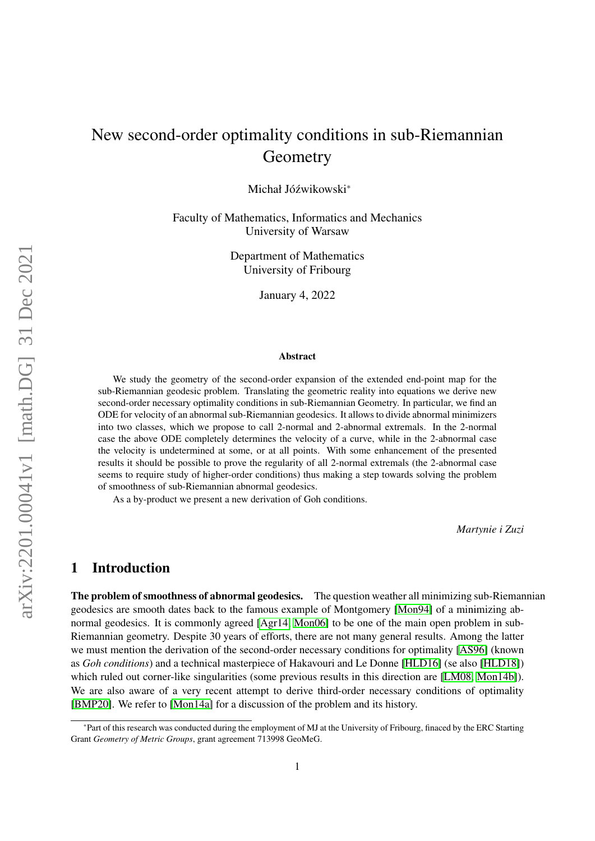# New second-order optimality conditions in sub-Riemannian **Geometry**

Michał Jóźwikowski\*

Faculty of Mathematics, Informatics and Mechanics University of Warsaw

> Department of Mathematics University of Fribourg

> > January 4, 2022

#### Abstract

We study the geometry of the second-order expansion of the extended end-point map for the sub-Riemannian geodesic problem. Translating the geometric reality into equations we derive new second-order necessary optimality conditions in sub-Riemannian Geometry. In particular, we find an ODE for velocity of an abnormal sub-Riemannian geodesics. It allows to divide abnormal minimizers into two classes, which we propose to call 2-normal and 2-abnormal extremals. In the 2-normal case the above ODE completely determines the velocity of a curve, while in the 2-abnormal case the velocity is undetermined at some, or at all points. With some enhancement of the presented results it should be possible to prove the regularity of all 2-normal extremals (the 2-abnormal case seems to require study of higher-order conditions) thus making a step towards solving the problem of smoothness of sub-Riemannian abnormal geodesics.

As a by-product we present a new derivation of Goh conditions.

*Martynie i Zuzi*

# 1 Introduction

The problem of smoothness of abnormal geodesics. The question weather all minimizing sub-Riemannian geodesics are smooth dates back to the famous example of Montgomery [\[Mon94\]](#page-30-0) of a minimizing abnormal geodesics. It is commonly agreed [\[Agr14,](#page-30-1) [Mon06\]](#page-30-2) to be one of the main open problem in sub-Riemannian geometry. Despite 30 years of efforts, there are not many general results. Among the latter we must mention the derivation of the second-order necessary conditions for optimality [\[AS96\]](#page-30-3) (known as *Goh conditions*) and a technical masterpiece of Hakavouri and Le Donne [\[HLD16\]](#page-30-4) (se also [\[HLD18\]](#page-30-5)) which ruled out corner-like singularities (some previous results in this direction are [\[LM08,](#page-30-6) [Mon14b\]](#page-31-0)). We are also aware of a very recent attempt to derive third-order necessary conditions of optimality [\[BMP20\]](#page-30-7). We refer to [\[Mon14a\]](#page-31-1) for a discussion of the problem and its history.

<sup>\*</sup>Part of this research was conducted during the employment of MJ at the University of Fribourg, finaced by the ERC Starting Grant *Geometry of Metric Groups*, grant agreement 713998 GeoMeG.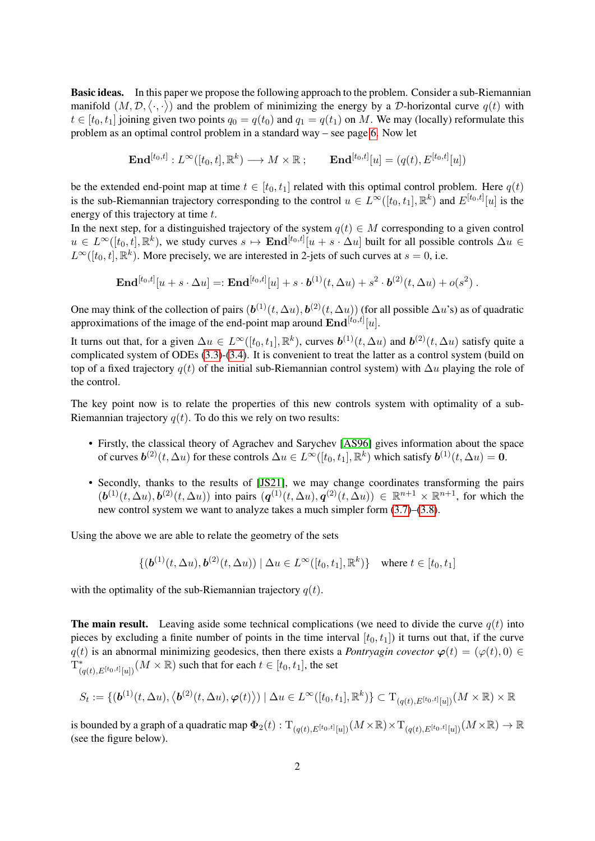Basic ideas. In this paper we propose the following approach to the problem. Consider a sub-Riemannian manifold  $(M, \mathcal{D}, \langle \cdot, \cdot \rangle)$  and the problem of minimizing the energy by a D-horizontal curve  $q(t)$  with  $t \in [t_0, t_1]$  joining given two points  $q_0 = q(t_0)$  and  $q_1 = q(t_1)$  on M. We may (locally) reformulate this problem as an optimal control problem in a standard way – see page [6.](#page-5-0) Now let

$$
\mathbf{End}^{[t_0,t]}: L^{\infty}([t_0,t],\mathbb{R}^k) \longrightarrow M \times \mathbb{R} ; \qquad \mathbf{End}^{[t_0,t]}[u] = (q(t), E^{[t_0,t]}[u])
$$

be the extended end-point map at time  $t \in [t_0, t_1]$  related with this optimal control problem. Here  $q(t)$ is the sub-Riemannian trajectory corresponding to the control  $u \in L^{\infty}([t_0, t_1], \mathbb{R}^k)$  and  $E^{[t_0, t]}[u]$  is the energy of this trajectory at time t.

In the next step, for a distinguished trajectory of the system  $q(t) \in M$  corresponding to a given control  $u \in L^{\infty}([t_0, t], \mathbb{R}^k)$ , we study curves  $s \mapsto \text{End}^{[t_0, t]}[u + s \cdot \Delta u]$  built for all possible controls  $\Delta u \in$  $L^{\infty}([t_0, t], \mathbb{R}^k)$ . More precisely, we are interested in 2-jets of such curves at  $s = 0$ , i.e.

**End**<sup>[t<sub>0</sub>,t]</sup>[u + s 
$$
\Delta u
$$
] =: **End**<sup>[t<sub>0</sub>,t]</sup>[u] + s  $\cdot$  **b**<sup>(1)</sup>(t,  $\Delta u$ ) + s<sup>2</sup>  $\cdot$  **b**<sup>(2)</sup>(t,  $\Delta u$ ) + o(s<sup>2</sup>).

One may think of the collection of pairs  $(b^{(1)}(t,\Delta u), b^{(2)}(t,\Delta u))$  (for all possible  $\Delta u$ 's) as of quadratic approximations of the image of the end-point map around  $\text{End}^{[t_0,t]}[u]$ .

It turns out that, for a given  $\Delta u \in L^{\infty}([t_0, t_1], \mathbb{R}^k)$ , curves  $\mathbf{b}^{(1)}(t, \Delta u)$  and  $\mathbf{b}^{(2)}(t, \Delta u)$  satisfy quite a complicated system of ODEs [\(3.3\)](#page-7-0)-[\(3.4\)](#page-7-1). It is convenient to treat the latter as a control system (build on top of a fixed trajectory  $q(t)$  of the initial sub-Riemannian control system) with  $\Delta u$  playing the role of the control.

The key point now is to relate the properties of this new controls system with optimality of a sub-Riemannian trajectory  $q(t)$ . To do this we rely on two results:

- Firstly, the classical theory of Agrachev and Sarychev [\[AS96\]](#page-30-3) gives information about the space of curves  $\mathbf{b}^{(2)}(t,\Delta u)$  for these controls  $\Delta u \in L^{\infty}([t_0,t_1],\mathbb{R}^k)$  which satisfy  $\mathbf{b}^{(1)}(t,\Delta u) = \mathbf{0}$ .
- Secondly, thanks to the results of [\[JS21\]](#page-30-8), we may change coordinates transforming the pairs  $(\mathbf{b}^{(1)}(t,\Delta u),\mathbf{b}^{(2)}(t,\Delta u))$  into pairs  $(\mathbf{q}^{(1)}(t,\Delta u),\mathbf{q}^{(2)}(t,\Delta u)) \in \mathbb{R}^{n+1} \times \mathbb{R}^{n+1}$ , for which the new control system we want to analyze takes a much simpler form [\(3.7\)](#page-8-0)–[\(3.8\)](#page-8-1).

Using the above we are able to relate the geometry of the sets

$$
\{(\bm{b}^{(1)}(t,\Delta u),\bm{b}^{(2)}(t,\Delta u)) \mid \Delta u \in L^{\infty}([t_0,t_1],\mathbb{R}^k)\} \text{ where } t \in [t_0,t_1]
$$

with the optimality of the sub-Riemannian trajectory  $q(t)$ .

**The main result.** Leaving aside some technical complications (we need to divide the curve  $q(t)$  into pieces by excluding a finite number of points in the time interval  $[t_0, t_1]$  it turns out that, if the curve  $q(t)$  is an abnormal minimizing geodesics, then there exists a *Pontryagin covector*  $\varphi(t) = (\varphi(t), 0) \in$  $\mathrm{T}^*_{(q(t),E^{[t_0,t]}[u])}(M\times\mathbb{R})$  such that for each  $t\in[t_0,t_1]$ , the set

$$
S_t := \{(\boldsymbol{b}^{(1)}(t,\Delta u), \langle \boldsymbol{b}^{(2)}(t,\Delta u),\boldsymbol{\varphi}(t)\rangle) \mid \Delta u \in L^{\infty}([t_0,t_1],\mathbb{R}^k)\} \subset \mathrm{T}_{(q(t),E^{[t_0,t]}[u])}(M\times\mathbb{R})\times\mathbb{R}
$$

is bounded by a graph of a quadratic map  $\Phi_2(t)$  :  $\mathrm{T}_{(q(t),E^{[t_0,t]}[u])}(M\times\mathbb{R})\times\mathrm{T}_{(q(t),E^{[t_0,t]}[u])}(M\times\mathbb{R})\to\mathbb{R}$ (see the figure below).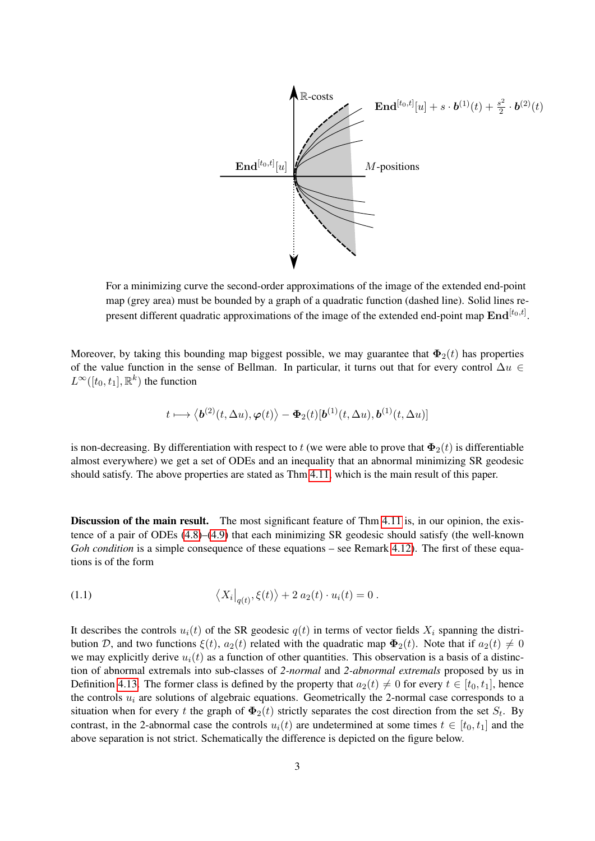

For a minimizing curve the second-order approximations of the image of the extended end-point map (grey area) must be bounded by a graph of a quadratic function (dashed line). Solid lines represent different quadratic approximations of the image of the extended end-point map  $\text{End}^{[t_0,t]}$ .

Moreover, by taking this bounding map biggest possible, we may guarantee that  $\Phi_2(t)$  has properties of the value function in the sense of Bellman. In particular, it turns out that for every control  $\Delta u \in$  $L^{\infty}([t_0, t_1], \mathbb{R}^k)$  the function

$$
t \longmapsto \langle \mathbf{b}^{(2)}(t,\Delta u), \boldsymbol{\varphi}(t) \rangle - \boldsymbol{\Phi}_2(t) [\mathbf{b}^{(1)}(t,\Delta u), \mathbf{b}^{(1)}(t,\Delta u)]
$$

is non-decreasing. By differentiation with respect to t (we were able to prove that  $\Phi_2(t)$  is differentiable almost everywhere) we get a set of ODEs and an inequality that an abnormal minimizing SR geodesic should satisfy. The above properties are stated as Thm [4.11,](#page-18-0) which is the main result of this paper.

Discussion of the main result. The most significant feature of Thm [4.11](#page-18-0) is, in our opinion, the existence of a pair of ODEs [\(4.8\)](#page-19-0)–[\(4.9\)](#page-19-1) that each minimizing SR geodesic should satisfy (the well-known *Goh condition* is a simple consequence of these equations – see Remark [4.12\)](#page-19-2). The first of these equations is of the form

<span id="page-2-0"></span>(1.1) 
$$
\left\langle X_i \big|_{q(t)}, \xi(t) \right\rangle + 2 a_2(t) \cdot u_i(t) = 0.
$$

It describes the controls  $u_i(t)$  of the SR geodesic  $q(t)$  in terms of vector fields  $X_i$  spanning the distribution D, and two functions  $\xi(t)$ ,  $a_2(t)$  related with the quadratic map  $\Phi_2(t)$ . Note that if  $a_2(t) \neq 0$ we may explicitly derive  $u_i(t)$  as a function of other quantities. This observation is a basis of a distinction of abnormal extremals into sub-classes of *2-normal* and *2-abnormal extremals* proposed by us in Definition [4.13.](#page-20-0) The former class is defined by the property that  $a_2(t) \neq 0$  for every  $t \in [t_0, t_1]$ , hence the controls  $u_i$  are solutions of algebraic equations. Geometrically the 2-normal case corresponds to a situation when for every t the graph of  $\Phi_2(t)$  strictly separates the cost direction from the set  $S_t$ . By contrast, in the 2-abnormal case the controls  $u_i(t)$  are undetermined at some times  $t \in [t_0, t_1]$  and the above separation is not strict. Schematically the difference is depicted on the figure below.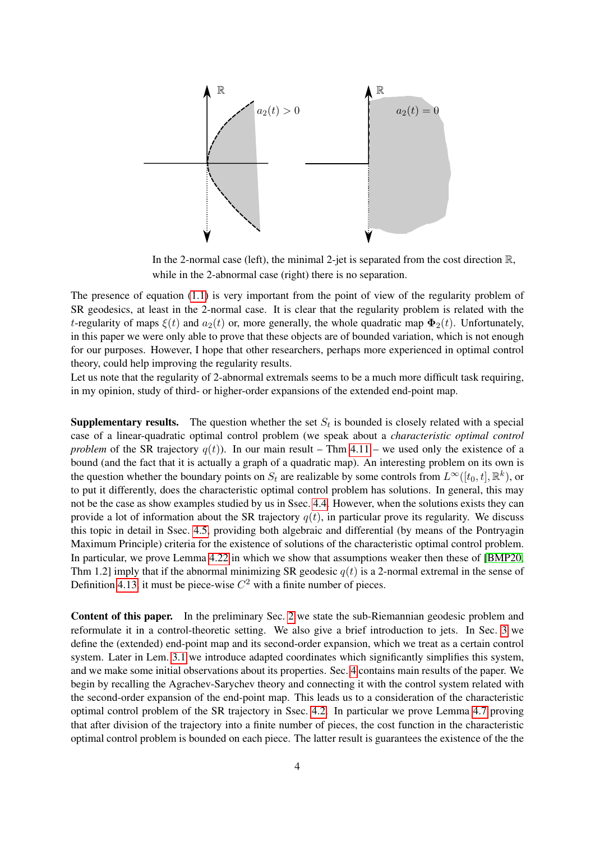

In the 2-normal case (left), the minimal 2-jet is separated from the cost direction  $\mathbb{R}$ , while in the 2-abnormal case (right) there is no separation.

The presence of equation [\(1.1\)](#page-2-0) is very important from the point of view of the regularity problem of SR geodesics, at least in the 2-normal case. It is clear that the regularity problem is related with the t-regularity of maps  $\xi(t)$  and  $a_2(t)$  or, more generally, the whole quadratic map  $\Phi_2(t)$ . Unfortunately, in this paper we were only able to prove that these objects are of bounded variation, which is not enough for our purposes. However, I hope that other researchers, perhaps more experienced in optimal control theory, could help improving the regularity results.

Let us note that the regularity of 2-abnormal extremals seems to be a much more difficult task requiring, in my opinion, study of third- or higher-order expansions of the extended end-point map.

**Supplementary results.** The question whether the set  $S_t$  is bounded is closely related with a special case of a linear-quadratic optimal control problem (we speak about a *characteristic optimal control problem* of the SR trajectory  $q(t)$ ). In our main result – Thm [4.11](#page-18-0) – we used only the existence of a bound (and the fact that it is actually a graph of a quadratic map). An interesting problem on its own is the question whether the boundary points on  $S_t$  are realizable by some controls from  $L^\infty([t_0, t], \mathbb{R}^k)$ , or to put it differently, does the characteristic optimal control problem has solutions. In general, this may not be the case as show examples studied by us in Ssec. [4.4.](#page-18-1) However, when the solutions exists they can provide a lot of information about the SR trajectory  $q(t)$ , in particular prove its regularity. We discuss this topic in detail in Ssec. [4.5,](#page-22-0) providing both algebraic and differential (by means of the Pontryagin Maximum Principle) criteria for the existence of solutions of the characteristic optimal control problem. In particular, we prove Lemma [4.22](#page-28-0) in which we show that assumptions weaker then these of [\[BMP20,](#page-30-7) Thm 1.2] imply that if the abnormal minimizing SR geodesic  $q(t)$  is a 2-normal extremal in the sense of Definition [4.13,](#page-20-0) it must be piece-wise  $C^2$  with a finite number of pieces.

Content of this paper. In the preliminary Sec. [2](#page-4-0) we state the sub-Riemannian geodesic problem and reformulate it in a control-theoretic setting. We also give a brief introduction to jets. In Sec. [3](#page-6-0) we define the (extended) end-point map and its second-order expansion, which we treat as a certain control system. Later in Lem. [3.1](#page-8-2) we introduce adapted coordinates which significantly simplifies this system, and we make some initial observations about its properties. Sec. [4](#page-11-0) contains main results of the paper. We begin by recalling the Agrachev-Sarychev theory and connecting it with the control system related with the second-order expansion of the end-point map. This leads us to a consideration of the characteristic optimal control problem of the SR trajectory in Ssec. [4.2.](#page-13-0) In particular we prove Lemma [4.7](#page-15-0) proving that after division of the trajectory into a finite number of pieces, the cost function in the characteristic optimal control problem is bounded on each piece. The latter result is guarantees the existence of the the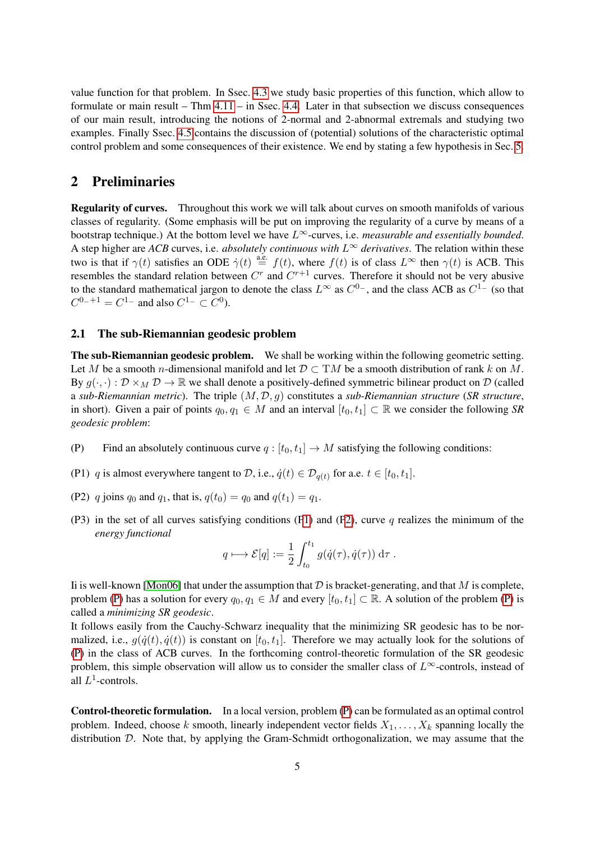value function for that problem. In Ssec. [4.3](#page-15-1) we study basic properties of this function, which allow to formulate or main result – Thm [4.11](#page-18-0) – in Ssec. [4.4.](#page-18-1) Later in that subsection we discuss consequences of our main result, introducing the notions of 2-normal and 2-abnormal extremals and studying two examples. Finally Ssec. [4.5](#page-22-0) contains the discussion of (potential) solutions of the characteristic optimal control problem and some consequences of their existence. We end by stating a few hypothesis in Sec. [5.](#page-29-0)

# <span id="page-4-0"></span>2 Preliminaries

Regularity of curves. Throughout this work we will talk about curves on smooth manifolds of various classes of regularity. (Some emphasis will be put on improving the regularity of a curve by means of a bootstrap technique.) At the bottom level we have L∞-curves, i.e. *measurable and essentially bounded*. A step higher are *ACB* curves, i.e. *absolutely continuous with*  $L^{\infty}$  *derivatives*. The relation within these two is that if  $\gamma(t)$  satisfies an ODE  $\dot{\gamma}(t) \stackrel{\text{a.e.}}{=} f(t)$ , where  $f(t)$  is of class  $L^{\infty}$  then  $\gamma(t)$  is ACB. This resembles the standard relation between  $C<sup>r</sup>$  and  $C<sup>r+1</sup>$  curves. Therefore it should not be very abusive to the standard mathematical jargon to denote the class  $L^{\infty}$  as  $C^{0-}$ , and the class ACB as  $C^{1-}$  (so that  $C^{0-+1} = C^{1-}$  and also  $C^{1-} \subset C^0$ ).

#### 2.1 The sub-Riemannian geodesic problem

The sub-Riemannian geodesic problem. We shall be working within the following geometric setting. Let M be a smooth *n*-dimensional manifold and let  $D \subset TM$  be a smooth distribution of rank k on M. By  $g(\cdot, \cdot): \mathcal{D} \times_M \mathcal{D} \to \mathbb{R}$  we shall denote a positively-defined symmetric bilinear product on  $\mathcal{D}$  (called a *sub-Riemannian metric*). The triple (M, D, g) constitutes a *sub-Riemannian structure* (*SR structure*, in short). Given a pair of points  $q_0, q_1 \in M$  and an interval  $[t_0, t_1] \subset \mathbb{R}$  we consider the following *SR geodesic problem*:

- <span id="page-4-3"></span>(P) Find an absolutely continuous curve  $q : [t_0, t_1] \rightarrow M$  satisfying the following conditions:
- <span id="page-4-1"></span>(P1) q is almost everywhere tangent to  $D$ , i.e.,  $\dot{q}(t) \in \mathcal{D}_{q(t)}$  for a.e.  $t \in [t_0, t_1]$ .
- <span id="page-4-2"></span>(P2) q joins  $q_0$  and  $q_1$ , that is,  $q(t_0) = q_0$  and  $q(t_1) = q_1$ .
- (P3) in the set of all curves satisfying conditions ([P1\)](#page-4-1) and ([P2\)](#page-4-2), curve  $q$  realizes the minimum of the *energy functional*

$$
q \longmapsto \mathcal{E}[q] := \frac{1}{2} \int_{t_0}^{t_1} g(\dot{q}(\tau), \dot{q}(\tau)) \, d\tau.
$$

Ii is well-known [\[Mon06\]](#page-30-2) that under the assumption that  $D$  is bracket-generating, and that M is complete, problem [\(P\)](#page-4-3) has a solution for every  $q_0, q_1 \in M$  and every  $[t_0, t_1] \subset \mathbb{R}$ . A solution of the problem (P) is called a *minimizing SR geodesic*.

It follows easily from the Cauchy-Schwarz inequality that the minimizing SR geodesic has to be normalized, i.e.,  $q(\dot{q}(t), \dot{q}(t))$  is constant on  $[t_0, t_1]$ . Therefore we may actually look for the solutions of [\(P\)](#page-4-3) in the class of ACB curves. In the forthcoming control-theoretic formulation of the SR geodesic problem, this simple observation will allow us to consider the smaller class of  $L^{\infty}$ -controls, instead of all  $L^1$ -controls.

Control-theoretic formulation. In a local version, problem [\(P\)](#page-4-3) can be formulated as an optimal control problem. Indeed, choose k smooth, linearly independent vector fields  $X_1, \ldots, X_k$  spanning locally the distribution D. Note that, by applying the Gram-Schmidt orthogonalization, we may assume that the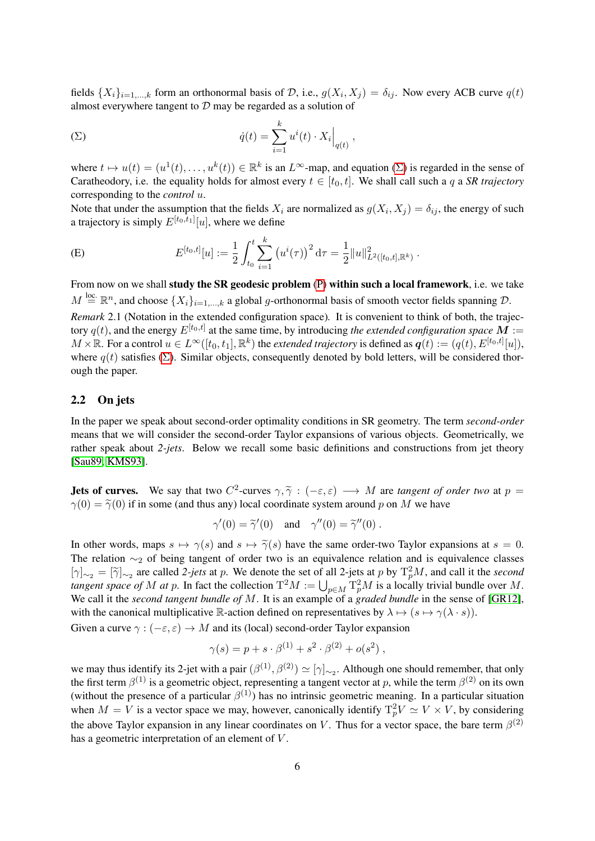fields  $\{X_i\}_{i=1,\dots,k}$  form an orthonormal basis of D, i.e.,  $g(X_i, X_j) = \delta_{ij}$ . Now every ACB curve  $q(t)$ almost everywhere tangent to  $D$  may be regarded as a solution of

<span id="page-5-1"></span><span id="page-5-0"></span>
$$
\dot{q}(t) = \sum_{i=1}^{k} u^{i}(t) \cdot X_{i} \Big|_{q(t)},
$$

where  $t \mapsto u(t) = (u^1(t), \dots, u^k(t)) \in \mathbb{R}^k$  is an  $L^\infty$ -map, and equation  $(\Sigma)$  is regarded in the sense of Caratheodory, i.e. the equality holds for almost every  $t \in [t_0, t]$ . We shall call such a q a *SR trajectory* corresponding to the *control* u.

Note that under the assumption that the fields  $X_i$  are normalized as  $g(X_i, X_j) = \delta_{ij}$ , the energy of such a trajectory is simply  $E^{[t_0,t_1]}[u]$ , where we define

<span id="page-5-3"></span>(E) 
$$
E^{[t_0,t]}[u] := \frac{1}{2} \int_{t_0}^t \sum_{i=1}^k (u^i(\tau))^2 d\tau = \frac{1}{2} ||u||^2_{L^2([t_0,t],\mathbb{R}^k)}.
$$

<span id="page-5-4"></span>From now on we shall study the SR geodesic problem [\(P\)](#page-4-3) within such a local framework, i.e. we take  $M \stackrel{\text{loc.}}{=} \mathbb{R}^n$ , and choose  $\{X_i\}_{i=1,\dots,k}$  a global g-orthonormal basis of smooth vector fields spanning  $\mathcal{D}$ . *Remark* 2.1 (Notation in the extended configuration space)*.* It is convenient to think of both, the trajectory  $q(t)$ , and the energy  $E^{[t_0,t]}$  at the same time, by introducing *the extended configuration space*  $M :=$  $M \times \mathbb{R}$ . For a control  $u \in L^{\infty}([t_0, t_1], \mathbb{R}^k)$  the *extended trajectory* is defined as  $q(t) := (q(t), E^{[t_0, t]}[u])$ , where  $q(t)$  satisfies ([Σ](#page-5-0)). Similar objects, consequently denoted by bold letters, will be considered thorough the paper.

#### <span id="page-5-2"></span>2.2 On jets

In the paper we speak about second-order optimality conditions in SR geometry. The term *second-order* means that we will consider the second-order Taylor expansions of various objects. Geometrically, we rather speak about *2-jets*. Below we recall some basic definitions and constructions from jet theory [\[Sau89,](#page-31-2) [KMS93\]](#page-30-9).

**Jets of curves.** We say that two  $C^2$ -curves  $\gamma$ ,  $\tilde{\gamma}$  :  $(-\varepsilon, \varepsilon) \longrightarrow M$  are *tangent of order two* at  $p = \tilde{\gamma}(0) - \tilde{\gamma}(0)$  if in some (and thus any) local coordinate system around n on M we have  $\gamma(0) = \tilde{\gamma}(0)$  if in some (and thus any) local coordinate system around p on M we have

$$
\gamma'(0) = \tilde{\gamma}'(0)
$$
 and  $\gamma''(0) = \tilde{\gamma}''(0)$ .

In other words, maps  $s \mapsto \gamma(s)$  and  $s \mapsto \tilde{\gamma}(s)$  have the same order-two Taylor expansions at  $s = 0$ . The relation  $\sim_2$  of being tangent of order two is an equivalence relation and is equivalence classes  $[\gamma]_{\sim_2} = [\tilde{\gamma}]_{\sim_2}$  are called 2-*jets* at p. We denote the set of all 2-jets at p by  $T_p^2M$ , and call it the *second*<br>tangent grass of M at p. In feat the collection  $T_p^2M$  in 1.1  $T_p^2M$  is a locally trivial hun *tangent space of* M *at* p. In fact the collection  $T^2M := \bigcup_{p \in M} T_p^2M$  is a locally trivial bundle over M. We call it the *second tangent bundle of* M. It is an example of a *graded bundle* in the sense of [\[GR12\]](#page-30-10), with the canonical multiplicative R-action defined on representatives by  $\lambda \mapsto (s \mapsto \gamma(\lambda \cdot s)).$ 

Given a curve 
$$
\gamma : (-\varepsilon, \varepsilon) \to M
$$
 and its (local) second-order Taylor expansion

$$
\gamma(s) = p + s \cdot \beta^{(1)} + s^2 \cdot \beta^{(2)} + o(s^2) ,
$$

we may thus identify its 2-jet with a pair  $(\beta^{(1)}, \beta^{(2)}) \simeq [\gamma]_{\sim_2}$ . Although one should remember, that only the first term  $\beta^{(1)}$  is a geometric object, representing a tangent vector at p, while the term  $\beta^{(2)}$  on its own (without the presence of a particular  $\beta^{(1)}$ ) has no intrinsic geometric meaning. In a particular situation when  $M = V$  is a vector space we may, however, canonically identify  $T_p^2 V \simeq V \times V$ , by considering the above Taylor expansion in any linear coordinates on V. Thus for a vector space, the bare term  $\beta^{(2)}$ has a geometric interpretation of an element of V.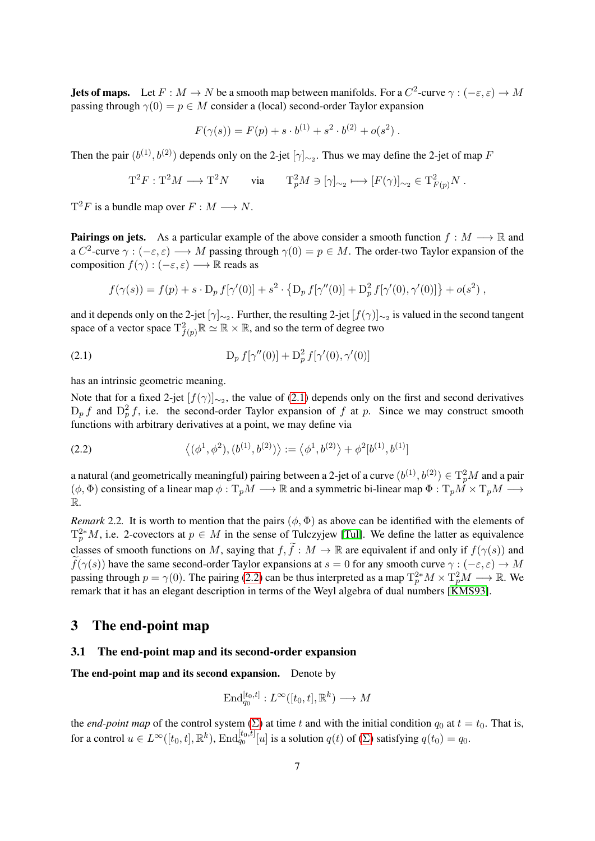**Jets of maps.** Let  $F : M \to N$  be a smooth map between manifolds. For a  $C^2$ -curve  $\gamma : (-\varepsilon, \varepsilon) \to M$ passing through  $\gamma(0) = p \in M$  consider a (local) second-order Taylor expansion

$$
F(\gamma(s)) = F(p) + s \cdot b^{(1)} + s^2 \cdot b^{(2)} + o(s^2) .
$$

Then the pair  $(b^{(1)}, b^{(2)})$  depends only on the 2-jet  $[\gamma]_{\sim_2}$ . Thus we may define the 2-jet of map F

$$
\mathrm{T}^2 F: \mathrm{T}^2 M \longrightarrow \mathrm{T}^2 N \qquad \text{via} \qquad \mathrm{T}^2_p M \ni [\gamma]_{\sim_2} \longmapsto [F(\gamma)]_{\sim_2} \in \mathrm{T}^2_{F(p)} N \; .
$$

 $T^2F$  is a bundle map over  $F: M \longrightarrow N$ .

**Pairings on jets.** As a particular example of the above consider a smooth function  $f : M \longrightarrow \mathbb{R}$  and a C<sup>2</sup>-curve  $\gamma : (-\varepsilon, \varepsilon) \longrightarrow M$  passing through  $\gamma(0) = p \in M$ . The order-two Taylor expansion of the composition  $f(\gamma) : (-\varepsilon, \varepsilon) \longrightarrow \mathbb{R}$  reads as

$$
f(\gamma(s)) = f(p) + s \cdot D_p f[\gamma'(0)] + s^2 \cdot \left\{ D_p f[\gamma''(0)] + D_p^2 f[\gamma'(0), \gamma'(0)] \right\} + o(s^2) ,
$$

and it depends only on the 2-jet  $[\gamma]_{\sim_2}$ . Further, the resulting 2-jet  $[f(\gamma)]_{\sim_2}$  is valued in the second tangent space of a vector space  $T^2_{f(p)} \mathbb{R} \simeq \mathbb{R} \times \mathbb{R}$ , and so the term of degree two

(2.1) 
$$
D_p f[\gamma''(0)] + D_p^2 f[\gamma'(0), \gamma'(0)]
$$

has an intrinsic geometric meaning.

Note that for a fixed 2-jet  $[f(\gamma)]_{\sim_2}$ , the value of [\(2.1\)](#page-5-1) depends only on the first and second derivatives  $D_p f$  and  $D_p^2 f$ , i.e. the second-order Taylor expansion of f at p. Since we may construct smooth functions with arbitrary derivatives at a point, we may define via

<span id="page-6-1"></span>(2.2) 
$$
\langle (\phi^1, \phi^2), (b^{(1)}, b^{(2)}) \rangle := \langle \phi^1, b^{(2)} \rangle + \phi^2[b^{(1)}, b^{(1)}]
$$

a natural (and geometrically meaningful) pairing between a 2-jet of a curve  $(b^{(1)}, b^{(2)}) \in T_p^2M$  and a pair  $(\phi, \Phi)$  consisting of a linear map  $\phi : T_pM \longrightarrow \mathbb{R}$  and a symmetric bi-linear map  $\Phi : T_pM \times T_pM \longrightarrow$ R.

*Remark* 2.2. It is worth to mention that the pairs  $(\phi, \Phi)$  as above can be identified with the elements of  $T_p^{2*}M$ , i.e. 2-covectors at  $p \in M$  in the sense of Tulczyjew [\[Tul\]](#page-31-3). We define the latter as equivalence classes of smooth functions on M, saying that  $f, \tilde{f} : M \to \mathbb{R}$  are equivalent if and only if  $f(\gamma(s))$  and  $\tilde{f}(\gamma(s))$  have the same second-order Taylor expansions at  $s = 0$  for any smooth curve  $\gamma : (-\varepsilon, \varepsilon) \to M$ passing through  $p = \gamma(0)$ . The pairing [\(2.2\)](#page-6-1) can be thus interpreted as a map  $T_p^{2*}M \times T_p^2M \longrightarrow \mathbb{R}$ . We remark that it has an elegant description in terms of the Weyl algebra of dual numbers [\[KMS93\]](#page-30-9).

# <span id="page-6-0"></span>3 The end-point map

#### 3.1 The end-point map and its second-order expansion

The end-point map and its second expansion. Denote by

$$
\text{End}_{q_0}^{[t_0,t]}: L^\infty([t_0,t],\mathbb{R}^k) \longrightarrow M
$$

the *end-point map* of the control system ( $\Sigma$ ) at time t and with the initial condition  $q_0$  at  $t = t_0$ . That is, for a control  $u \in L^{\infty}([t_0, t], \mathbb{R}^k)$ ,  $\text{End}_{q_0}^{[t_0, t]}[u]$  is a solution  $q(t)$  of ( $\Sigma$ ) satisfying  $q(t_0) = q_0$ .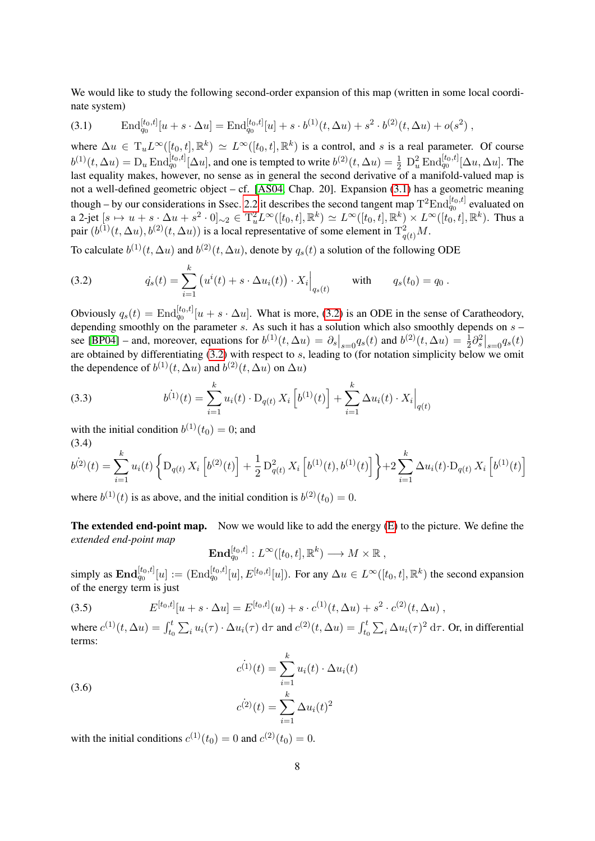We would like to study the following second-order expansion of this map (written in some local coordinate system)

<span id="page-7-2"></span>(3.1) 
$$
\text{End}_{q_0}^{[t_0,t]}[u+s\cdot\Delta u] = \text{End}_{q_0}^{[t_0,t]}[u] + s \cdot b^{(1)}(t,\Delta u) + s^2 \cdot b^{(2)}(t,\Delta u) + o(s^2),
$$

where  $\Delta u \in T_u L^{\infty}([t_0, t], \mathbb{R}^k) \simeq L^{\infty}([t_0, t], \mathbb{R}^k)$  is a control, and s is a real parameter. Of course  $b^{(1)}(t, \Delta u) = \mathcal{D}_u \operatorname{End}_{q_0}^{[t_0, t]}[\Delta u]$ , and one is tempted to write  $b^{(2)}(t, \Delta u) = \frac{1}{2} \mathcal{D}_u^2 \operatorname{End}_{q_0}^{[t_0, t]}[\Delta u, \Delta u]$ . The last equality makes, however, no sense as in general the second derivative of a manifold-valued map is not a well-defined geometric object – cf. [\[AS04,](#page-30-11) Chap. 20]. Expansion [\(3.1\)](#page-7-2) has a geometric meaning though – by our considerations in Ssec. [2.2](#page-5-2) it describes the second tangent map  $T^2 \text{End}_{q_0}^{[t_0,t]}$  evaluated on a 2-jet  $[s \mapsto u + s \cdot \Delta u + s^2 \cdot 0]_{\sim} \in \mathrm{T}_u^2 L^\infty([t_0, t], \mathbb{R}^k) \simeq L^\infty([t_0, t], \mathbb{R}^k) \times L^\infty([t_0, t], \mathbb{R}^k)$ . Thus a pair  $(b^{(1)}(t,\Delta u), b^{(2)}(t,\Delta u))$  is a local representative of some element in  $\mathrm{T}^2_{q(t)}M$ .

To calculate  $b^{(1)}(t,\Delta u)$  and  $b^{(2)}(t,\Delta u)$ , denote by  $q_s(t)$  a solution of the following ODE

<span id="page-7-3"></span>(3.2) 
$$
\dot{q}_s(t) = \sum_{i=1}^k (u^i(t) + s \cdot \Delta u_i(t)) \cdot X_i \Big|_{q_s(t)} \quad \text{with} \quad q_s(t_0) = q_0.
$$

Obviously  $q_s(t) = \text{End}_{q_0}^{[t_0,t]}[u + s \cdot \Delta u]$ . What is more, [\(3.2\)](#page-7-3) is an ODE in the sense of Caratheodory, depending smoothly on the parameter  $s$ . As such it has a solution which also smoothly depends on  $s$  – see [\[BP04\]](#page-30-12) – and, moreover, equations for  $b^{(1)}(t, \Delta u) = \partial_s |_{s=0} q_s(t)$  and  $b^{(2)}(t, \Delta u) = \frac{1}{2} \partial_s^2 |_{s=0} q_s(t)$ are obtained by differentiating  $(3.2)$  with respect to s, leading to (for notation simplicity below we omit the dependence of  $b^{(1)}(t, \Delta u)$  and  $b^{(2)}(t, \Delta u)$  on  $\Delta u$ )

<span id="page-7-0"></span>(3.3) 
$$
b^{(1)}(t) = \sum_{i=1}^{k} u_i(t) \cdot D_{q(t)} X_i \left[ b^{(1)}(t) \right] + \sum_{i=1}^{k} \Delta u_i(t) \cdot X_i \Big|_{q(t)}
$$

with the initial condition  $b^{(1)}(t_0) = 0$ ; and (3.4)

<span id="page-7-1"></span>
$$
b^{(2)}(t) = \sum_{i=1}^{k} u_i(t) \left\{ D_{q(t)} X_i \left[ b^{(2)}(t) \right] + \frac{1}{2} D_{q(t)}^2 X_i \left[ b^{(1)}(t), b^{(1)}(t) \right] \right\} + 2 \sum_{i=1}^{k} \Delta u_i(t) \cdot D_{q(t)} X_i \left[ b^{(1)}(t) \right]
$$

where  $b^{(1)}(t)$  is as above, and the initial condition is  $b^{(2)}(t_0) = 0$ .

The extended end-point map. Now we would like to add the energy [\(E\)](#page-5-3) to the picture. We define the *extended end-point map*

 $\mathbf{End}^{[t_0,t]}_{q_0}: L^\infty([t_0,t],\mathbb{R}^k) \longrightarrow M\times\mathbb{R} \ ,$ 

simply as  $\text{End}_{q_0}^{[t_0,t]}[u] := (\text{End}_{q_0}^{[t_0,t]}[u], E^{[t_0,t]}[u])$ . For any  $\Delta u \in L^{\infty}([t_0,t], \mathbb{R}^k)$  the second expansion of the energy term is just

(3.5) 
$$
E^{[t_0,t]}[u+s\cdot\Delta u] = E^{[t_0,t]}(u) + s \cdot c^{(1)}(t,\Delta u) + s^2 \cdot c^{(2)}(t,\Delta u) ,
$$

where  $c^{(1)}(t, \Delta u) = \int_{t_0}^t \sum_i u_i(\tau) \cdot \Delta u_i(\tau) d\tau$  and  $c^{(2)}(t, \Delta u) = \int_{t_0}^t \sum_i \Delta u_i(\tau)^2 d\tau$ . Or, in differential terms:

$$
c^{(1)}(t) = \sum_{i=1}^{k} u_i(t) \cdot \Delta u_i(t)
$$

$$
c^{(2)}(t) = \sum_{i=1}^{k} \Delta u_i(t)^2
$$

with the initial conditions  $c^{(1)}(t_0) = 0$  and  $c^{(2)}(t_0) = 0$ .

(3.6)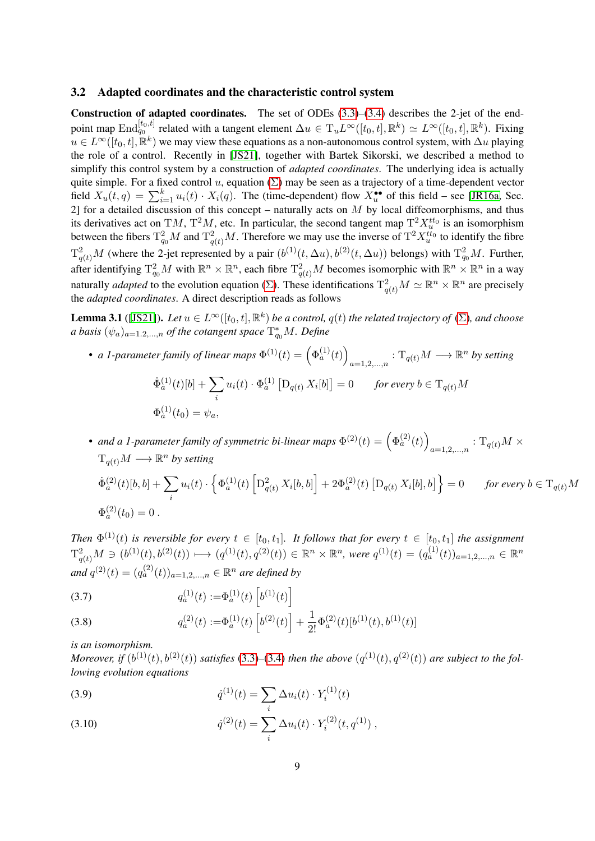#### 3.2 Adapted coordinates and the characteristic control system

Construction of adapted coordinates. The set of ODEs [\(3.3\)](#page-7-0)–[\(3.4\)](#page-7-1) describes the 2-jet of the endpoint map  $\text{End}_{q_0}^{[t_0,t]}$  related with a tangent element  $\Delta u \in T_u L^\infty([t_0,t],\mathbb{R}^k) \simeq L^\infty([t_0,t],\mathbb{R}^k)$ . Fixing  $u \in L^{\infty}([t_0, t], \mathbb{R}^k)$  we may view these equations as a non-autonomous control system, with  $\Delta u$  playing the role of a control. Recently in [\[JS21\]](#page-30-8), together with Bartek Sikorski, we described a method to simplify this control system by a construction of *adapted coordinates*. The underlying idea is actually quite simple. For a fixed control u, equation  $(\Sigma)$  may be seen as a trajectory of a time-dependent vector field  $X_u(t,q) = \sum_{i=1}^k u_i(t) \cdot X_i(q)$ . The (time-dependent) flow  $X_u^{\bullet\bullet}$  of this field – see [\[JR16a,](#page-30-13) Sec. 2] for a detailed discussion of this concept – naturally acts on  $M$  by local diffeomorphisms, and thus its derivatives act on TM,  $T^2M$ , etc. In particular, the second tangent map  $T^2X_u^{tt_0}$  is an isomorphism between the fibers  $T_{q_0}^2 M$  and  $T_{q(t)}^2 M$ . Therefore we may use the inverse of  $T^2 X_u^{tt_0}$  to identify the fibre  $T^2_{q(t)}M$  (where the 2-jet represented by a pair  $(b^{(1)}(t,\Delta u), b^{(2)}(t,\Delta u))$  belongs) with  $T^2_{q_0}M$ . Further, after identifying  $T_{q_0}^2 M$  with  $\mathbb{R}^n \times \mathbb{R}^n$ , each fibre  $T_{q(t)}^2 M$  becomes isomorphic with  $\mathbb{R}^n \times \mathbb{R}^n$  in a way naturally *adapted* to the evolution equation ( $\Sigma$ ). These identifications  $T^2_{q(t)}M \simeq \mathbb{R}^n \times \mathbb{R}^n$  are precisely the *adapted coordinates*. A direct description reads as follows

<span id="page-8-2"></span>**Lemma 3.1** ([\[JS21\]](#page-30-8)). Let  $u \in L^{\infty}([t_0, t], \mathbb{R}^k)$  be a control,  $q(t)$  the related trajectory of  $(\Sigma)$ , and choose *a basis*  $(\psi_a)_{a=1,2,...,n}$  *of the cotangent space*  $\mathrm{T}_{q_0}^*M$ *. Define* 

• *a 1-parameter family of linear maps*  $\Phi^{(1)}(t) = \left( \Phi_a^{(1)}(t) \right)$  $\lim_{a=1,2,...,n} : \mathrm{T}_{q(t)}M \longrightarrow \mathbb{R}^n$  by setting

$$
\dot{\Phi}_a^{(1)}(t)[b] + \sum_i u_i(t) \cdot \Phi_a^{(1)} [D_{q(t)} X_i[b]] = 0 \quad \text{for every } b \in T_{q(t)}M
$$
  

$$
\Phi_a^{(1)}(t_0) = \psi_a,
$$

• and a 1-parameter family of symmetric bi-linear maps  $\Phi^{(2)}(t) = \left( \Phi_a^{(2)}(t) \right)$  $_{a=1,2,...,n}$ : T<sub>q(t)</sub> $M \times$  $T_{q(t)}M \longrightarrow \mathbb{R}^n$  by setting

$$
\dot{\Phi}_a^{(2)}(t)[b,b] + \sum_i u_i(t) \cdot \left\{ \Phi_a^{(1)}(t) \left[ \mathcal{D}_{q(t)}^2 X_i[b,b] \right] + 2\Phi_a^{(2)}(t) \left[ \mathcal{D}_{q(t)} X_i[b],b \right] \right\} = 0 \n\text{ for every } b \in \mathcal{T}_{q(t)}M
$$
\n
$$
\Phi_a^{(2)}(t_0) = 0.
$$

*Then*  $\Phi^{(1)}(t)$  *is reversible for every*  $t \in [t_0, t_1]$ *. It follows that for every*  $t \in [t_0, t_1]$  *the assignment*  $\mathrm{T}^2_{q(t)}M \ni (b^{(1)}(t), b^{(2)}(t)) \longmapsto (q^{(1)}(t), q^{(2)}(t)) \in \mathbb{R}^n \times \mathbb{R}^n$ , were  $q^{(1)}(t) = (q_a^{(1)}(t))_{a=1,2,...,n} \in \mathbb{R}^n$ and  $q^{(2)}(t) = (q_a^{(2)}(t))_{a=1,2,...,n} \in \mathbb{R}^n$  are defined by

<span id="page-8-0"></span>(3.7) 
$$
q_a^{(1)}(t) := \Phi_a^{(1)}(t) \left[ b^{(1)}(t) \right]
$$

<span id="page-8-1"></span>(3.8) 
$$
q_a^{(2)}(t) := \Phi_a^{(1)}(t) \left[ b^{(2)}(t) \right] + \frac{1}{2!} \Phi_a^{(2)}(t) [b^{(1)}(t), b^{(1)}(t)]
$$

*is an isomorphism.*

*Moreover, if*  $(b^{(1)}(t), b^{(2)}(t))$  *satisfies* [\(3.3\)](#page-7-0)–[\(3.4\)](#page-7-1) *then the above*  $(q^{(1)}(t), q^{(2)}(t))$  *are subject to the following evolution equations*

<span id="page-8-3"></span>(3.9) 
$$
\dot{q}^{(1)}(t) = \sum_{i} \Delta u_i(t) \cdot Y_i^{(1)}(t)
$$

<span id="page-8-4"></span>(3.10) 
$$
\dot{q}^{(2)}(t) = \sum_{i} \Delta u_i(t) \cdot Y_i^{(2)}(t, q^{(1)}) ,
$$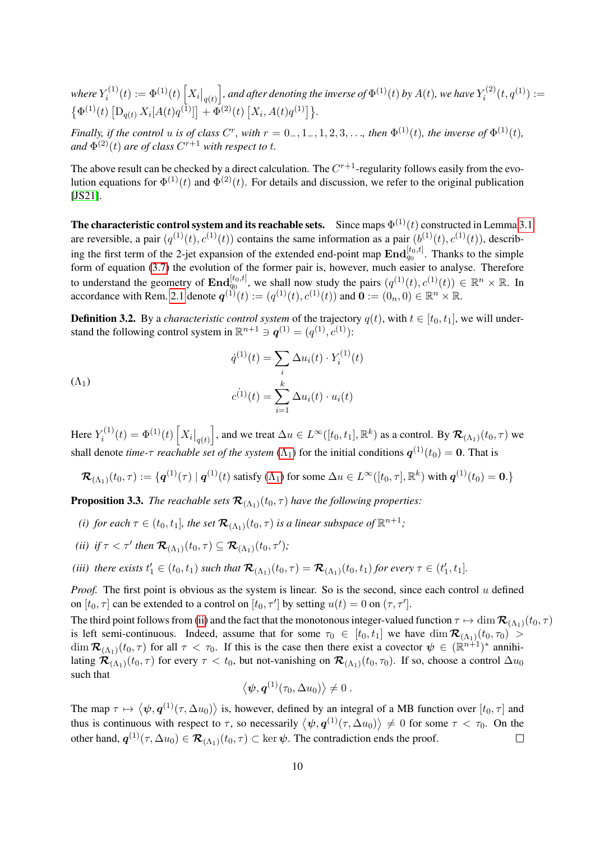where  $Y_i^{(1)}$  $Y_i^{(1)}(t) := \Phi^{(1)}(t) \left[ X_i \big|_{q(t)} \right]$ , and after denoting the inverse of  $\Phi^{(1)}(t)$  by  $A(t)$ , we have  $Y_i^{(2)}$  $\zeta^{(2)}_i(t,q^{(1)}) :=$  $\{\Phi^{(1)}(t) \left[ \mathcal{D}_{q(t)} X_i[A(t)q^{(1)}] \right] + \Phi^{(2)}(t) \left[ X_i, A(t)q^{(1)} \right] \}.$ 

*Finally, if the control u is of class*  $C^r$ , with  $r = 0_-, 1_-, 1, 2, 3, \ldots$ , then  $\Phi^{(1)}(t)$ , the inverse of  $\Phi^{(1)}(t)$ , and  $\Phi^{(2)}(t)$  are of class  $C^{r+1}$  with respect to t.

The above result can be checked by a direct calculation. The  $C^{r+1}$ -regularity follows easily from the evolution equations for  $\Phi^{(1)}(t)$  and  $\Phi^{(2)}(t)$ . For details and discussion, we refer to the original publication [\[JS21\]](#page-30-8).

**The characteristic control system and its reachable sets.** Since maps  $\Phi^{(1)}(t)$  constructed in Lemma [3.1](#page-8-2) are reversible, a pair  $(q^{(1)}(t), c^{(1)}(t))$  contains the same information as a pair  $(b^{(1)}(t), c^{(1)}(t))$ , describing the first term of the 2-jet expansion of the extended end-point map  $\text{End}_{q_0}^{[t_0,t]}$ . Thanks to the simple form of equation [\(3.7\)](#page-8-0) the evolution of the former pair is, however, much easier to analyse. Therefore to understand the geometry of  $\text{End}_{q_0}^{[t_0,t]}$ , we shall now study the pairs  $(q^{(1)}(t), c^{(1)}(t)) \in \mathbb{R}^n \times \mathbb{R}$ . In accordance with Rem. [2.1](#page-5-4) denote  $q^{(1)}(t) := (q^{(1)}(t), c^{(1)}(t))$  and  $\mathbf{0} := (0_n, 0) \in \mathbb{R}^n \times \mathbb{R}$ .

**Definition 3.2.** By a *characteristic control system* of the trajectory  $q(t)$ , with  $t \in [t_0, t_1]$ , we will understand the following control system in  $\mathbb{R}^{n+1} \ni q^{(1)} = (q^{(1)}, c^{(1)})$ :

<span id="page-9-0"></span>
$$
\dot{q}^{(1)}(t) = \sum_{i} \Delta u_i(t) \cdot Y_i^{(1)}(t)
$$

$$
c^{(1)}(t) = \sum_{i=1}^{k} \Delta u_i(t) \cdot u_i(t)
$$

Here  $Y_i^{(1)}$  $\mathcal{F}_i^{(1)}(t) = \Phi^{(1)}(t) \left[ X_i \big|_{q(t)} \right]$ , and we treat  $\Delta u \in L^\infty([t_0, t_1], \mathbb{R}^k)$  as a control. By  $\mathcal{R}_{(\Lambda_1)}(t_0, \tau)$  we shall denote *time-* $\tau$  *reachable set of the system* ( $\Lambda_1$ ) for the initial conditions  $q^{(1)}(t_0) = 0$ . That is

$$
\mathcal{R}_{(\Lambda_1)}(t_0,\tau) := \{ \mathbf{q}^{(1)}(\tau) \mid \mathbf{q}^{(1)}(t) \text{ satisfy } (\Lambda_1) \text{ for some } \Delta u \in L^{\infty}([t_0,\tau],\mathbb{R}^k) \text{ with } \mathbf{q}^{(1)}(t_0) = \mathbf{0} \}
$$

<span id="page-9-2"></span>**Proposition 3.3.** The reachable sets  $\mathcal{R}_{(\Lambda_1)}(t_0, \tau)$  have the following properties:

- *(i) for each*  $\tau \in (t_0, t_1]$ *, the set*  $\mathcal{R}_{(\Lambda_1)}(t_0, \tau)$  *is a linear subspace of*  $\mathbb{R}^{n+1}$ *;*
- <span id="page-9-1"></span>(*ii*) if  $\tau < \tau'$  then  $\mathcal{R}_{(\Lambda_1)}(t_0, \tau) \subseteq \mathcal{R}_{(\Lambda_1)}(t_0, \tau')$ ;
- (*iii*) *there exists*  $t'_1 \in (t_0, t_1)$  *such that*  $\mathcal{R}_{(\Lambda_1)}(t_0, \tau) = \mathcal{R}_{(\Lambda_1)}(t_0, t_1)$  *for every*  $\tau \in (t'_1, t_1]$ *.*

*Proof.* The first point is obvious as the system is linear. So is the second, since each control  $u$  defined on  $[t_0, \tau]$  can be extended to a control on  $[t_0, \tau']$  by setting  $u(t) = 0$  on  $(\tau, \tau']$ .

The third point follows from [\(ii\)](#page-9-1) and the fact that the monotonous integer-valued function  $\tau\mapsto\dim\mathcal{R}_{(\Lambda_1)}(t_0,\tau)$ is left semi-continuous. Indeed, assume that for some  $\tau_0 \in [t_0, t_1]$  we have  $\dim \mathcal{R}_{(\Lambda_1)}(t_0, \tau_0)$  $\dim \mathcal{R}_{(\Lambda_1)}(t_0, \tau)$  for all  $\tau < \tau_0$ . If this is the case then there exist a covector  $\psi \in (\mathbb{R}^{n+1})^*$  annihilating  $\mathcal{R}_{(\Lambda_1)}(t_0,\tau)$  for every  $\tau < t_0$ , but not-vanishing on  $\mathcal{R}_{(\Lambda_1)}(t_0,\tau_0)$ . If so, choose a control  $\Delta u_0$ such that

$$
\big\langle \boldsymbol{\psi}, \boldsymbol{q}^{(1)}(\tau_0, \Delta u_0) \big\rangle \neq 0 \ .
$$

The map  $\tau \mapsto \langle \psi, q^{(1)}(\tau, \Delta u_0) \rangle$  is, however, defined by an integral of a MB function over  $[t_0, \tau]$  and thus is continuous with respect to  $\tau$ , so necessarily  $\langle \psi, q^{(1)}(\tau, \Delta u_0) \rangle \neq 0$  for some  $\tau < \tau_0$ . On the other hand,  $q^{(1)}(\tau, \Delta u_0) \in \mathcal{R}_{(\Lambda_1)}(t_0, \tau) \subset \text{ker } \psi$ . The contradiction ends the proof.  $\Box$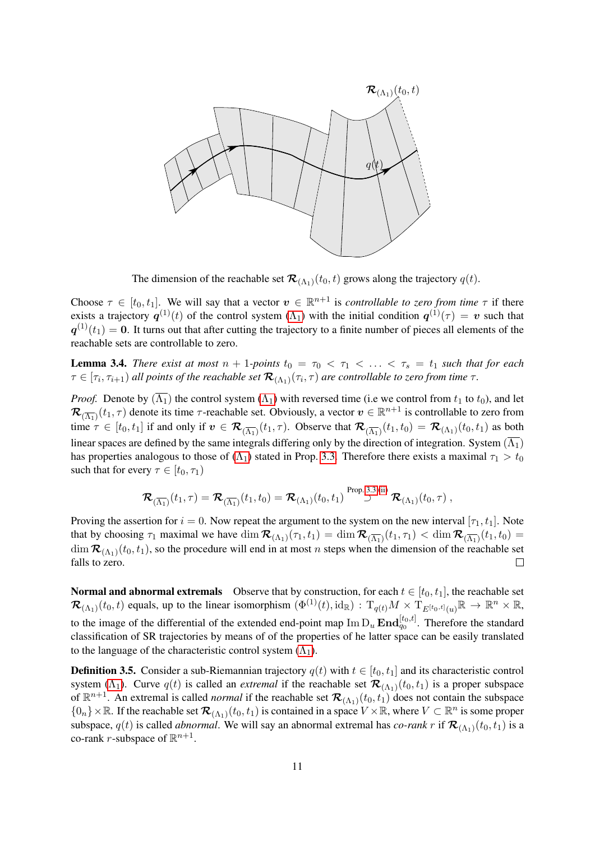

The dimension of the reachable set  $\mathcal{R}_{(\Lambda_1)}(t_0, t)$  grows along the trajectory  $q(t)$ .

Choose  $\tau \in [t_0, t_1]$ . We will say that a vector  $v \in \mathbb{R}^{n+1}$  is *controllable to zero from time*  $\tau$  if there exists a trajectory  $q^{(1)}(t)$  of the control system  $(\Lambda_1)$  with the initial condition  $q^{(1)}(\tau) = v$  such that  $q^{(1)}(t_1) = 0$ . It turns out that after cutting the trajectory to a finite number of pieces all elements of the reachable sets are controllable to zero.

<span id="page-10-1"></span>**Lemma 3.4.** *There exist at most*  $n + 1$ -points  $t_0 = \tau_0 < \tau_1 < \ldots < \tau_s = t_1$  such that for each  $\tau\in[\tau_i,\tau_{i+1})$  all points of the reachable set  $\mathcal{R}_{(\Lambda_1)}(\tau_i,\tau)$  are controllable to zero from time  $\tau.$ 

*Proof.* Denote by  $(\overline{\Lambda_1})$  the control system  $(\Lambda_1)$  with reversed time (i.e we control from  $t_1$  to  $t_0$ ), and let  $\mathcal{R}_{(\overline{\Lambda_1})}(t_1,\tau)$  denote its time  $\tau$ -reachable set. Obviously, a vector  $\boldsymbol{v} \in \mathbb{R}^{n+1}$  is controllable to zero from time  $\tau \in [t_0, t_1]$  if and only if  $\boldsymbol{v} \in \mathcal{R}_{(\overline{\Lambda_1})}(t_1, \tau)$ . Observe that  $\mathcal{R}_{(\overline{\Lambda_1})}(t_1, t_0) = \mathcal{R}_{(\Lambda_1)}(t_0, t_1)$  as both linear spaces are defined by the same integrals differing only by the direction of integration. System  $(\overline{\Lambda_1})$ has properties analogous to those of  $(\Lambda_1)$  stated in Prop. [3.3.](#page-9-2) Therefore there exists a maximal  $\tau_1 > t_0$ such that for every  $\tau \in [t_0, \tau_1)$ 

$$
\boldsymbol{\mathcal{R}}_{(\overline{\Lambda_1})}(t_1,\tau)=\boldsymbol{\mathcal{R}}_{(\overline{\Lambda_1})}(t_1,t_0)=\boldsymbol{\mathcal{R}}_{(\Lambda_1)}(t_0,t_1)\overset{\text{Prop. 3.3 (ii)}}{\supset} \boldsymbol{\mathcal{R}}_{(\Lambda_1)}(t_0,\tau)\;,
$$

Proving the assertion for  $i = 0$ . Now repeat the argument to the system on the new interval  $[\tau_1, t_1]$ . Note that by choosing  $\tau_1$  maximal we have  $\dim \mathcal{R}_{(\Lambda_1)}(\tau_1, t_1) = \dim \mathcal{R}_{(\overline{\Lambda_1})}(t_1, \tau_1) < \dim \mathcal{R}_{(\overline{\Lambda_1})}(t_1, t_0) =$  $\dim \mathcal{R}_{(\Lambda_1)}(t_0,t_1)$ , so the procedure will end in at most n steps when the dimension of the reachable set falls to zero.  $\Box$ 

**Normal and abnormal extremals** Observe that by construction, for each  $t \in [t_0, t_1]$ , the reachable set  $\mathcal{R}_{(\Lambda_1)}(t_0,t)$  equals, up to the linear isomorphism  $(\Phi^{(1)}(t), \mathrm{id}_{\mathbb{R}}): \mathrm{T}_{q(t)}M \times \mathrm{T}_{E^{[t_0,t]}(u)}\mathbb{R} \to \mathbb{R}^n \times \mathbb{R}$ , to the image of the differential of the extended end-point map  $\mathrm{Im} \, \mathrm{D}_u \, \mathrm{End}^{[t_0,t]}_{q_0}$ . Therefore the standard classification of SR trajectories by means of of the properties of he latter space can be easily translated to the language of the characteristic control system  $(Λ<sub>1</sub>)$  $(Λ<sub>1</sub>)$  $(Λ<sub>1</sub>)$ .

<span id="page-10-0"></span>**Definition 3.5.** Consider a sub-Riemannian trajectory  $q(t)$  with  $t \in [t_0, t_1]$  and its characteristic control system ( $\Lambda_1$ ). Curve  $q(t)$  is called an *extremal* if the reachable set  $\mathcal{R}_{(\Lambda_1)}(t_0, t_1)$  is a proper subspace of  $\mathbb{R}^{n+1}$ . An extremal is called *normal* if the reachable set  $\mathcal{R}_{(\Lambda_1)}(t_0, t_1)$  does not contain the subspace  $\{0_n\}\times\mathbb{R}$ . If the reachable set  $\mathcal{R}_{(\Lambda_1)}(t_0, t_1)$  is contained in a space  $V\times\mathbb{R}$ , where  $V\subset\mathbb{R}^n$  is some proper subspace,  $q(t)$  is called *abnormal*. We will say an abnormal extremal has *co-rank* r if  $\mathcal{R}_{(\Lambda_1)}(t_0, t_1)$  is a co-rank *r*-subspace of  $\mathbb{R}^{n+1}$ .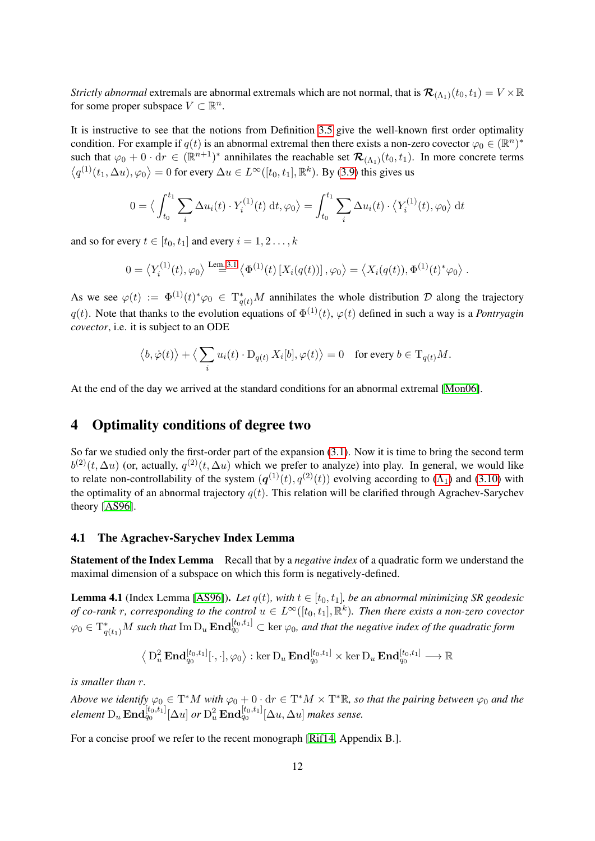*Strictly abnormal* extremals are abnormal extremals which are not normal, that is  $\mathcal{R}_{(\Lambda_1)}(t_0,t_1) = V \times \mathbb{R}$ for some proper subspace  $V \subset \mathbb{R}^n$ .

It is instructive to see that the notions from Definition [3.5](#page-10-0) give the well-known first order optimality condition. For example if  $q(t)$  is an abnormal extremal then there exists a non-zero covector  $\varphi_0 \in (\mathbb{R}^n)^*$ such that  $\varphi_0 + 0 \cdot dr \in (\mathbb{R}^{n+1})^*$  annihilates the reachable set  $\mathcal{R}_{(\Lambda_1)}(t_0, t_1)$ . In more concrete terms  $\langle q^{(1)}(t_1, \Delta u), \varphi_0 \rangle = 0$  for every  $\Delta u \in L^{\infty}([t_0, t_1], \mathbb{R}^k)$ . By [\(3.9\)](#page-8-3) this gives us

$$
0 = \langle \int_{t_0}^{t_1} \sum_i \Delta u_i(t) \cdot Y_i^{(1)}(t) dt, \varphi_0 \rangle = \int_{t_0}^{t_1} \sum_i \Delta u_i(t) \cdot \langle Y_i^{(1)}(t), \varphi_0 \rangle dt
$$

and so for every  $t \in [t_0, t_1]$  and every  $i = 1, 2, \ldots, k$ 

$$
0 = \left\langle Y_i^{(1)}(t), \varphi_0 \right\rangle \stackrel{\text{Lem. 3.1}}{=} \left\langle \Phi^{(1)}(t) \left[ X_i(q(t)) \right], \varphi_0 \right\rangle = \left\langle X_i(q(t)), \Phi^{(1)}(t)^* \varphi_0 \right\rangle.
$$

As we see  $\varphi(t) := \Phi^{(1)}(t)^*\varphi_0 \in T^*_{q(t)}M$  annihilates the whole distribution D along the trajectory  $q(t)$ . Note that thanks to the evolution equations of  $\Phi^{(1)}(t)$ ,  $\varphi(t)$  defined in such a way is a *Pontryagin covector*, i.e. it is subject to an ODE

$$
\left\langle b,\dot{\varphi}(t)\right\rangle+\left\langle \sum_i u_i(t)\cdot \mathcal{D}_{q(t)}\,X_i[b],\varphi(t)\right\rangle=0 \quad \text{for every } b\in \mathrm{T}_{q(t)}M.
$$

At the end of the day we arrived at the standard conditions for an abnormal extremal [\[Mon06\]](#page-30-2).

# <span id="page-11-0"></span>4 Optimality conditions of degree two

So far we studied only the first-order part of the expansion [\(3.1\)](#page-7-2). Now it is time to bring the second term  $b^{(2)}(t,\Delta u)$  (or, actually,  $q^{(2)}(t,\Delta u)$  which we prefer to analyze) into play. In general, we would like to relate non-controllability of the system  $(q^{(1)}(t), q^{(2)}(t))$  evolving according to  $(\Lambda_1)$  and [\(3.10\)](#page-8-4) with the optimality of an abnormal trajectory  $q(t)$ . This relation will be clarified through Agrachev-Sarychev theory [\[AS96\]](#page-30-3).

#### 4.1 The Agrachev-Sarychev Index Lemma

Statement of the Index Lemma Recall that by a *negative index* of a quadratic form we understand the maximal dimension of a subspace on which this form is negatively-defined.

<span id="page-11-1"></span>**Lemma 4.1** (Index Lemma [\[AS96\]](#page-30-3)). Let  $q(t)$ , with  $t \in [t_0, t_1]$ , be an abnormal minimizing SR geodesic *of co-rank r, corresponding to the control*  $u \in L^{\infty}([t_0, t_1], \mathbb{R}^k)$ . Then there exists a non-zero covector  $\varphi_0\in T^*_{q(t_1)}M$  such that  ${\rm Im}\,{\rm D}_u\,{\bf End}^{[t_0,t_1]}_{q_0}\subset \ker\varphi_0$ , and that the negative index of the quadratic form

$$
\big\langle D_u^2 \mathop{\bf End}\nolimits_{q_0}^{[t_0,t_1]}[\cdot,\cdot],\varphi_0 \big\rangle : \ker D_u \mathop{\bf End}\nolimits_{q_0}^{[t_0,t_1]} \times \ker D_u \mathop{\bf End}\nolimits_{q_0}^{[t_0,t_1]} \longrightarrow \mathbb{R}
$$

*is smaller than* r*.*

*Above we identify*  $\varphi_0 \in T^*M$  *with*  $\varphi_0 + 0 \cdot dr \in T^*M \times T^* \mathbb{R}$ *, so that the pairing between*  $\varphi_0$  *and the*  $\epsilon$ lement  ${\rm D}_u\mathop{\bf End}\nolimits_{q_0}^{[t_0,t_1]}[\Delta u]$  or  ${\rm D}_u^2\mathop{\bf End}\nolimits_{q_0}^{[t_0,t_1]}[\Delta u,\Delta u]$  makes sense.

For a concise proof we refer to the recent monograph [\[Rif14,](#page-31-4) Appendix B.].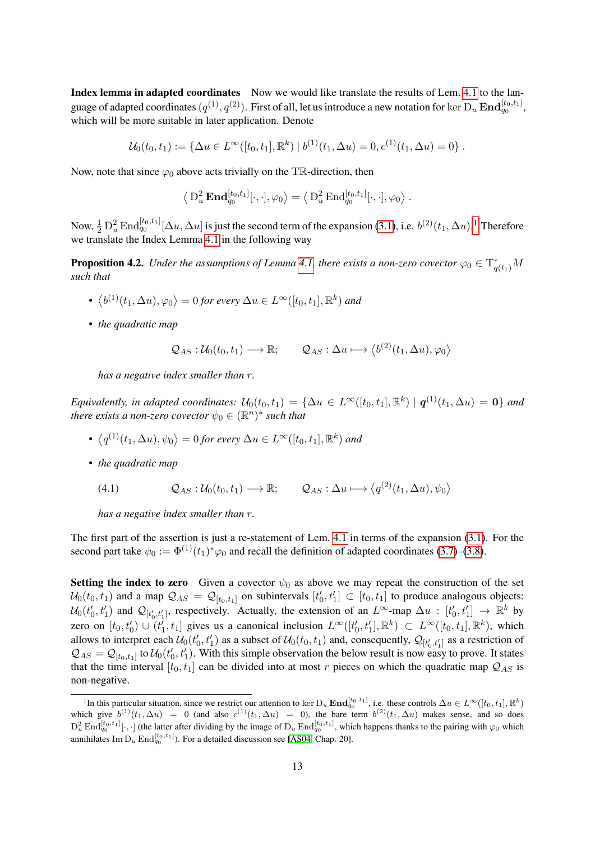Index lemma in adapted coordinates Now we would like translate the results of Lem. [4.1](#page-11-1) to the language of adapted coordinates  $(q^{(1)}, q^{(2)})$ . First of all, let us introduce a new notation for ker  $D_u \textbf{End}_{q_0}^{[t_0,t_1]}$ , which will be more suitable in later application. Denote

$$
\mathcal{U}_0(t_0, t_1) := \{ \Delta u \in L^{\infty}([t_0, t_1], \mathbb{R}^k) \mid b^{(1)}(t_1, \Delta u) = 0, c^{(1)}(t_1, \Delta u) = 0 \}.
$$

Now, note that since  $\varphi_0$  above acts trivially on the TR-direction, then

$$
\left\langle D_u^2 \mathbf{End}^{[t_0,t_1]}_{q_0}[\cdot,\cdot],\varphi_0\right\rangle = \left\langle D_u^2 \mathbf{End}^{[t_0,t_1]}_{q_0}[\cdot,\cdot],\varphi_0\right\rangle.
$$

Now,  $\frac{1}{2} \, \mathrm{D}^2_u \, \mathrm{End}^{[t_0,t_1]}_{q_0} [\Delta u, \Delta u]$  $\frac{1}{2} \, \mathrm{D}^2_u \, \mathrm{End}^{[t_0,t_1]}_{q_0} [\Delta u, \Delta u]$  $\frac{1}{2} \, \mathrm{D}^2_u \, \mathrm{End}^{[t_0,t_1]}_{q_0} [\Delta u, \Delta u]$  is just the second term of the expansion [\(3.1\)](#page-7-2), i.e.  $b^{(2)}(t_1, \Delta u)$ .<sup>1</sup> Therefore we translate the Index Lemma [4.1](#page-11-1) in the following way

<span id="page-12-1"></span>**Proposition 4.2.** *Under the assumptions of Lemma [4.1,](#page-11-1) there exists a non-zero covector*  $\varphi_0 \in T_{q(t_1)}^*M$ *such that*

- $\langle b^{(1)}(t_1, \Delta u), \varphi_0 \rangle = 0$  for every  $\Delta u \in L^\infty([t_0, t_1], \mathbb{R}^k)$  and
- *the quadratic map*

$$
Q_{AS}: \mathcal{U}_0(t_0, t_1) \longrightarrow \mathbb{R}; \qquad Q_{AS}: \Delta u \longmapsto \langle b^{(2)}(t_1, \Delta u), \varphi_0 \rangle
$$

*has a negative index smaller than* r*.*

*Equivalently, in adapted coordinates:*  $\mathcal{U}_0(t_0,t_1) = \{ \Delta u \in L^\infty([t_0,t_1],\mathbb{R}^k) \mid q^{(1)}(t_1,\Delta u) = 0 \}$  and *there exists a non-zero covector*  $\psi_0 \in (\mathbb{R}^n)^*$  *such that* 

• 
$$
\langle q^{(1)}(t_1, \Delta u), \psi_0 \rangle = 0
$$
 for every  $\Delta u \in L^{\infty}([t_0, t_1], \mathbb{R}^k)$  and

• *the quadratic map*

<span id="page-12-2"></span>(4.1) 
$$
Q_{AS}: \mathcal{U}_0(t_0, t_1) \longrightarrow \mathbb{R}; \qquad Q_{AS}: \Delta u \longmapsto \langle q^{(2)}(t_1, \Delta u), \psi_0 \rangle
$$

*has a negative index smaller than* r*.*

The first part of the assertion is just a re-statement of Lem. [4.1](#page-11-1) in terms of the expansion [\(3.1\)](#page-7-2). For the second part take  $\psi_0 := \Phi^{(1)}(t_1)^* \varphi_0$  and recall the definition of adapted coordinates [\(3.7\)](#page-8-0)–[\(3.8\)](#page-8-1).

**Setting the index to zero** Given a covector  $\psi_0$  as above we may repeat the construction of the set  $U_0(t_0,t_1)$  and a map  $\mathcal{Q}_{AS} = \mathcal{Q}_{[t_0,t_1]}$  on subintervals  $[t'_0,t'_1] \subset [t_0,t_1]$  to produce analogous objects:  $U_0(t'_0,t'_1)$  and  $\mathcal{Q}_{[t'_0,t'_1]}$ , respectively. Actually, the extension of an  $L^\infty$ -map  $\Delta u : [t'_0,t'_1] \to \mathbb{R}^k$  by zero on  $[t_0, t'_0) \cup (t'_1, t_1]$  gives us a canonical inclusion  $L^{\infty}([t'_0, t'_1], \mathbb{R}^k) \subset L^{\infty}([t_0, t_1], \mathbb{R}^k)$ , which allows to interpret each  $U_0(t'_0, t'_1)$  as a subset of  $U_0(t_0, t_1)$  and, consequently,  $\mathcal{Q}_{[t'_0, t'_1]}$  as a restriction of  $\mathcal{Q}_{AS} = \mathcal{Q}_{[t_0,t_1]}$  to  $\mathcal{U}_0(t'_0,t'_1)$ . With this simple observation the below result is now easy to prove. It states that the time interval  $[t_0, t_1]$  can be divided into at most r pieces on which the quadratic map  $\mathcal{Q}_{AS}$  is non-negative.

<span id="page-12-0"></span><sup>&</sup>lt;sup>1</sup>In this particular situation, since we restrict our attention to ker  $D_u \text{End}_{q_0}^{[t_0, t_1]}$ , i.e. these controls  $\Delta u \in L^{\infty}([t_0, t_1], \mathbb{R}^k)$ which give  $b^{(1)}(t_1, \Delta u) = 0$  (and also  $c^{(1)}(t_1, \Delta u) = 0$ ), the bare term  $b^{(2)}(t_1, \Delta u)$  makes sense, and so does  $D_u^2$  End $\frac{[t_0, t_1]}{q_0}[\cdot, \cdot]$  (the latter after dividing by the image of  $D_u$  End $\frac{[t_0, t_1]}{q_0}$ , which happens thanks to the pairing with  $\varphi_0$  which annihilates Im  $D_u$  End $q_0^{[t_0, t_1]}$ ). For a detailed discussion see [\[AS04,](#page-30-11) Chap. 20].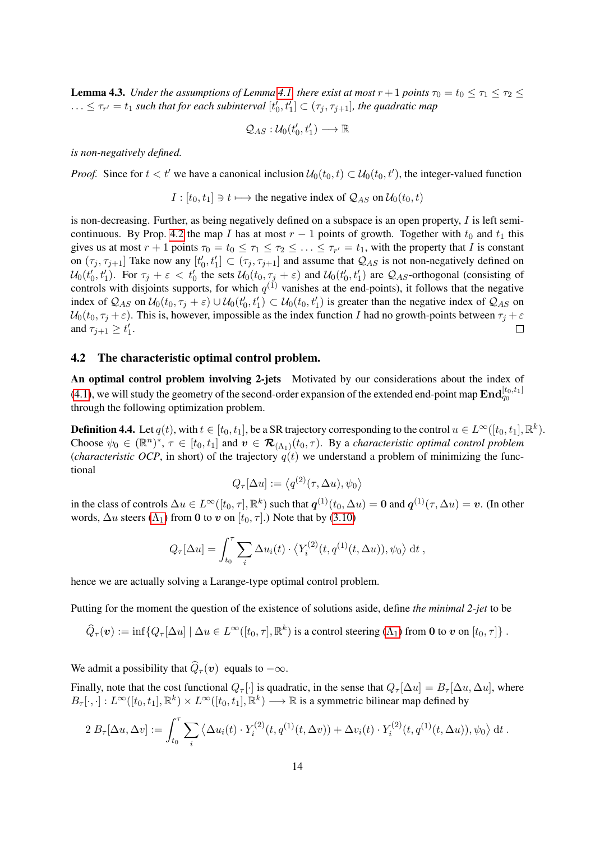<span id="page-13-1"></span>**Lemma 4.3.** *Under the assumptions of Lemma [4.1,](#page-11-1) there exist at most*  $r + 1$  *points*  $\tau_0 = t_0 \le \tau_1 \le \tau_2 \le$  $\ldots \leq \tau_{r'} = t_1$  such that for each subinterval  $[t'_0, t'_1] \subset (\tau_j, \tau_{j+1}]$ , the quadratic map

$$
\mathcal{Q}_{AS}: \mathcal{U}_0(t'_0, t'_1) \longrightarrow \mathbb{R}
$$

*is non-negatively defined.*

*Proof.* Since for  $t < t'$  we have a canonical inclusion  $U_0(t_0, t) \subset U_0(t_0, t')$ , the integer-valued function

$$
I: [t_0, t_1] \ni t \mapsto
$$
 the negative index of  $Q_{AS}$  on  $\mathcal{U}_0(t_0, t)$ 

is non-decreasing. Further, as being negatively defined on a subspace is an open property, I is left semi-continuous. By Prop. [4.2](#page-12-1) the map I has at most  $r - 1$  points of growth. Together with  $t_0$  and  $t_1$  this gives us at most  $r + 1$  points  $\tau_0 = t_0 \le \tau_1 \le \tau_2 \le \ldots \le \tau_{r'} = t_1$ , with the property that I is constant on  $(\tau_j, \tau_{j+1}]$  Take now any  $[t'_0, t'_1] \subset (\tau_j, \tau_{j+1}]$  and assume that  $\mathcal{Q}_{AS}$  is not non-negatively defined on  $U_0(t'_0,t'_1)$ . For  $\tau_j + \varepsilon < t'_0$  the sets  $U_0(t_0,\tau_j + \varepsilon)$  and  $U_0(t'_0,t'_1)$  are  $\mathcal{Q}_{AS}$ -orthogonal (consisting of controls with disjoints supports, for which  $q^{(1)}$  vanishes at the end-points), it follows that the negative index of  $Q_{AS}$  on  $\mathcal{U}_0(t_0, \tau_j + \varepsilon) \cup \mathcal{U}_0(t'_0, t'_1) \subset \mathcal{U}_0(t_0, t'_1)$  is greater than the negative index of  $Q_{AS}$  on  $U_0(t_0, \tau_j + \varepsilon)$ . This is, however, impossible as the index function I had no growth-points between  $\tau_j + \varepsilon$ and  $\tau_{j+1} \geq t'_1$ .  $\Box$ 

#### <span id="page-13-0"></span>4.2 The characteristic optimal control problem.

An optimal control problem involving 2-jets Motivated by our considerations about the index of [\(4.1\)](#page-12-2), we will study the geometry of the second-order expansion of the extended end-point map  $\text{End}_{q_0}^{[t_0,t_1]}$ through the following optimization problem.

**Definition 4.4.** Let  $q(t)$ , with  $t \in [t_0, t_1]$ , be a SR trajectory corresponding to the control  $u \in L^{\infty}([t_0, t_1], \mathbb{R}^k)$ . Choose  $\psi_0 \in (\mathbb{R}^n)^*, \tau \in [t_0, t_1]$  and  $v \in \mathcal{R}_{(\Lambda_1)}(t_0, \tau)$ . By a *characteristic optimal control problem* (*characteristic OCP*, in short) of the trajectory  $q(t)$  we understand a problem of minimizing the functional

$$
Q_\tau[\Delta u] := \bigl\langle q^{(2)}(\tau, \Delta u), \psi_0 \bigr\rangle
$$

in the class of controls  $\Delta u \in L^{\infty}([t_0, \tau], \mathbb{R}^k)$  such that  $q^{(1)}(t_0, \Delta u) = 0$  and  $q^{(1)}(\tau, \Delta u) = v$ . (In other words,  $\Delta u$  steers  $(\Lambda_1)$  from 0 to v on  $[t_0, \tau]$ .) Note that by [\(3.10\)](#page-8-4)

$$
Q_{\tau}[\Delta u] = \int_{t_0}^{\tau} \sum_{i} \Delta u_i(t) \cdot \langle Y_i^{(2)}(t, q^{(1)}(t, \Delta u)), \psi_0 \rangle dt,
$$

hence we are actually solving a Larange-type optimal control problem.

Putting for the moment the question of the existence of solutions aside, define *the minimal 2-jet* to be

$$
\widehat{Q}_{\tau}(\boldsymbol{v}) := \inf \{ Q_{\tau}[\Delta u] \mid \Delta u \in L^{\infty}([t_0, \tau], \mathbb{R}^k) \text{ is a control steering } (\Lambda_1) \text{ from } \boldsymbol{0} \text{ to } \boldsymbol{v} \text{ on } [t_0, \tau] \} .
$$

We admit a possibility that  $\hat{Q}_{\tau}(\boldsymbol{v})$  equals to  $-\infty$ .

Finally, note that the cost functional  $Q_{\tau}[\cdot]$  is quadratic, in the sense that  $Q_{\tau}[\Delta u] = B_{\tau}[\Delta u, \Delta u]$ , where  $B_{\tau}[\cdot,\cdot]: L^{\infty}([t_0,t_1],\mathbb{R}^k) \times L^{\infty}([t_0,t_1],\mathbb{R}^k) \longrightarrow \mathbb{R}$  is a symmetric bilinear map defined by

$$
2 B_{\tau}[\Delta u, \Delta v] := \int_{t_0}^{\tau} \sum_{i} \langle \Delta u_i(t) \cdot Y_i^{(2)}(t, q^{(1)}(t, \Delta v)) + \Delta v_i(t) \cdot Y_i^{(2)}(t, q^{(1)}(t, \Delta u)), \psi_0 \rangle dt.
$$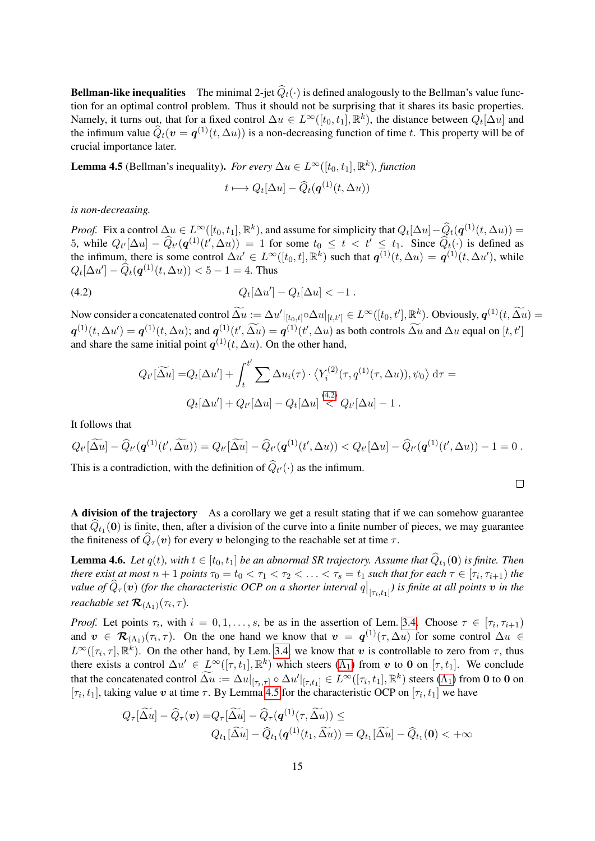**Bellman-like inequalities** The minimal 2-jet  $\hat{Q}_t(\cdot)$  is defined analogously to the Bellman's value function for an optimal control problem. Thus it should not be surprising that it shares its basic properties. Namely, it turns out, that for a fixed control  $\Delta u \in L^{\infty}([t_0, t_1], \mathbb{R}^k)$ , the distance between  $Q_t[\Delta u]$  and the infimum value  $\hat{Q}_t(\mathbf{v} = \mathbf{q}^{(1)}(t, \Delta u))$  is a non-decreasing function of time t. This property will be of crucial importance later.

<span id="page-14-1"></span>**Lemma 4.5** (Bellman's inequality). *For every*  $\Delta u \in L^{\infty}([t_0, t_1], \mathbb{R}^k)$ , function

<span id="page-14-0"></span>
$$
t \longmapsto Q_t[\Delta u] - \widehat{Q}_t(\boldsymbol{q}^{(1)}(t,\Delta u))
$$

*is non-decreasing.*

*Proof.* Fix a control  $\Delta u \in L^{\infty}([t_0, t_1], \mathbb{R}^k)$ , and assume for simplicity that  $Q_t[\Delta u] - \widehat{Q}_t(q^{(1)}(t, \Delta u)) =$ 5, while  $Q_{t'}[\Delta u] - \widehat{Q}_{t'}(q^{(1)}(t', \Delta u)) = 1$  for some  $t_0 \le t < t' \le t_1$ . Since  $\widehat{Q}_t(\cdot)$  is defined as the infimum, there is some control  $\Delta u' \in L^{\infty}([t_0, t], \mathbb{R}^k)$  such that  $q^{(1)}(t, \Delta u) = q^{(1)}(t, \Delta u')$ , while  $Q_t[\Delta u'] - \widehat{Q}_t(q^{(1)}(t, \Delta u)) < 5 - 1 = 4$ . Thus

$$
(4.2) \tQ_t[\Delta u'] - Q_t[\Delta u] < -1 \, .
$$

Now consider a concatenated control  $\widetilde{\Delta u} := \Delta u'|_{[t_0,t]} \circ \Delta u|_{[t,t']} \in L^{\infty}([t_0,t'], \mathbb{R}^k)$ . Obviously,  $q^{(1)}(t, \widetilde{\Delta u}) =$  $q^{(1)}(t, \Delta u') = q^{(1)}(t, \Delta u)$ ; and  $q^{(1)}(t', \Delta u) = q^{(1)}(t', \Delta u)$  as both controls  $\Delta u$  and  $\Delta u$  equal on  $[t, t']$ and share the same initial point  $q^{(1)}(t, \Delta u)$ . On the other hand,

$$
Q_{t'}[\widetilde{\Delta u}] = Q_t[\Delta u'] + \int_t^{t'} \sum \Delta u_i(\tau) \cdot \langle Y_i^{(2)}(\tau, q^{(1)}(\tau, \Delta u)), \psi_0 \rangle d\tau =
$$
  

$$
Q_t[\Delta u'] + Q_{t'}[\Delta u] - Q_t[\Delta u] \stackrel{(4.2)}{<} Q_{t'}[\Delta u] - 1.
$$

It follows that

$$
Q_{t'}[\widetilde{\Delta u}]-\widehat{Q}_{t'}(\boldsymbol{q}^{(1)}(t',\widetilde{\Delta u}))=Q_{t'}[\widetilde{\Delta u}]-\widehat{Q}_{t'}(\boldsymbol{q}^{(1)}(t',\Delta u))
$$

This is a contradiction, with the definition of  $Q_{t'}(\cdot)$  as the infimum.

$$
\Box
$$

A division of the trajectory As a corollary we get a result stating that if we can somehow guarantee that  $Q_{t_1}(\mathbf{0})$  is finite, then, after a division of the curve into a finite number of pieces, we may guarantee the finiteness of  $\hat{Q}_{\tau}(\nu)$  for every v belonging to the reachable set at time  $\tau$ .

<span id="page-14-2"></span>**Lemma 4.6.** *Let*  $q(t)$ , with  $t \in [t_0, t_1]$  *be an abnormal SR trajectory. Assume that*  $Q_{t_1}(\mathbf{0})$  *is finite. Then there exist at most*  $n+1$   $points \tau_0=t_0<\tau_1<\tau_2<\ldots<\tau_s=t_1$  such that for each  $\tau\in[\tau_i,\tau_{i+1})$  the  $value$  of  $\widehat{Q}_{\tau}({\bm v})$  (for the characteristic OCP on a shorter interval  $q\big|_{[\tau_i,t_1]}$ ) is finite at all points  ${\bm v}$  in the *reachable set*  $\mathcal{R}_{(\Lambda_1)}(\tau_i, \tau)$ *.* 

*Proof.* Let points  $\tau_i$ , with  $i = 0, 1, \ldots, s$ , be as in the assertion of Lem. [3.4.](#page-10-1) Choose  $\tau \in [\tau_i, \tau_{i+1})$ and  $v \in \mathcal{R}_{(\Lambda_1)}(\tau_i, \tau)$ . On the one hand we know that  $v = q^{(1)}(\tau, \Delta u)$  for some control  $\Delta u \in$  $L^{\infty}([\tau_i, \tau], \mathbb{R}^k)$ . On the other hand, by Lem. [3.4,](#page-10-1) we know that v is controllable to zero from  $\tau$ , thus there exists a control  $\Delta u' \in L^{\infty}([\tau, t_1], \mathbb{R}^k)$  which steers  $(\Lambda_1)$  from v to 0 on  $[\tau, t_1]$ . We conclude that the concatenated control  $\widetilde{\Delta u} := \Delta u|_{[\tau_i, \tau]} \circ \Delta u'|_{[\tau, t_1]} \in L^{\infty}([\tau_i, t_1], \mathbb{R}^k)$  steers  $(\Lambda_1)$  from 0 to 0 on [ $\tau_i, t_1$ ], taking value v at time  $\tau$ . By Lemma [4.5](#page-14-1) for the characteristic OCP on [ $\tau_i, t_1$ ] we have

$$
Q_{\tau}[\widetilde{\Delta u}] - \widehat{Q}_{\tau}(\boldsymbol{v}) = Q_{\tau}[\widetilde{\Delta u}] - \widehat{Q}_{\tau}(\boldsymbol{q}^{(1)}(\tau, \widetilde{\Delta u})) \le
$$
  

$$
Q_{t_1}[\widetilde{\Delta u}] - \widehat{Q}_{t_1}(\boldsymbol{q}^{(1)}(t_1, \widetilde{\Delta u})) = Q_{t_1}[\widetilde{\Delta u}] - \widehat{Q}_{t_1}(\boldsymbol{0}) < +\infty
$$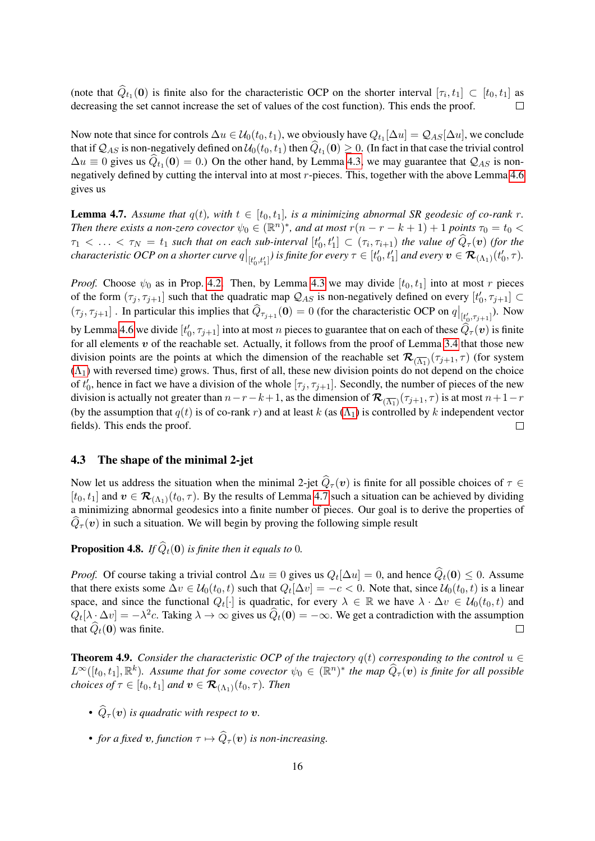(note that  $Q_{t_1}(\mathbf{0})$  is finite also for the characteristic OCP on the shorter interval  $[\tau_i, t_1] \subset [t_0, t_1]$  as decreasing the set cannot increase the set of values of the cost function). This ends the proof.  $\Box$ 

Now note that since for controls  $\Delta u \in \mathcal{U}_0(t_0, t_1)$ , we obviously have  $Q_{t_1}[\Delta u] = \mathcal{Q}_{AS}[\Delta u]$ , we conclude that if  $\mathcal{Q}_{AS}$  is non-negatively defined on  $\mathcal{U}_0(t_0, t_1)$  then  $Q_{t_1}(\mathbf{0}) \ge 0$ . (In fact in that case the trivial control  $\Delta u \equiv 0$  gives us  $Q_{t_1}(\mathbf{0}) = 0$ .) On the other hand, by Lemma [4.3,](#page-13-1) we may guarantee that  $Q_{AS}$  is nonnegatively defined by cutting the interval into at most r-pieces. This, together with the above Lemma [4.6](#page-14-2) gives us

<span id="page-15-0"></span>**Lemma 4.7.** Assume that  $q(t)$ , with  $t \in [t_0, t_1]$ , is a minimizing abnormal SR geodesic of co-rank r. *Then there exists a non-zero covector*  $\psi_0 \in (\mathbb{R}^n)^*$ , and at most  $r(n - r - k + 1) + 1$  points  $\tau_0 = t_0$  <  $\tau_1 < \ldots < \tau_N = t_1$  such that on each sub-interval  $[t'_0, t'_1] \subset (\tau_i, \tau_{i+1})$  the value of  $\widehat{Q}_{\tau}(v)$  (for the  $\alpha$  *characteristic OCP on a shorter curve*  $q|_{[t'_0,t'_1]}$ *) is finite for every*  $\tau\in[t'_0,t'_1]$  *and every*  $\bm v\in\bm{\mathcal R}_{(\Lambda_1)}(t'_0,\tau)$ *.* 

*Proof.* Choose  $\psi_0$  as in Prop. [4.2.](#page-12-1) Then, by Lemma [4.3](#page-13-1) we may divide  $[t_0, t_1]$  into at most r pieces of the form  $(\tau_j, \tau_{j+1}]$  such that the quadratic map  $\mathcal{Q}_{AS}$  is non-negatively defined on every  $[t'_0, \tau_{j+1}] \subset$  $(\tau_j, \tau_{j+1}]$ . In particular this implies that  $\hat{Q}_{\tau_{j+1}}(0) = 0$  (for the characteristic OCP on  $q|_{[t'_0, \tau_{j+1}]}$ ). Now by Lemma [4.6](#page-14-2) we divide  $[t'_0, \tau_{j+1}]$  into at most *n* pieces to guarantee that on each of these  $\hat{Q}_\tau(\boldsymbol{v})$  is finite for all elements  $v$  of the reachable set. Actually, it follows from the proof of Lemma [3.4](#page-10-1) that those new division points are the points at which the dimension of the reachable set  $\mathcal{R}_{(\overline{\Lambda_1})}(\tau_{j+1}, \tau)$  (for system  $(\Lambda_1)$  with reversed time) grows. Thus, first of all, these new division points do not depend on the choice of  $t'_0$ , hence in fact we have a division of the whole  $[\tau_j, \tau_{j+1}]$ . Secondly, the number of pieces of the new division is actually not greater than  $n-r-k+1$ , as the dimension of  $\mathcal{R}_{(\overline{\Lambda_1})}(\tau_{j+1},\tau)$  is at most  $n+1-r$ (by the assumption that  $q(t)$  is of co-rank r) and at least k (as  $(\Lambda_1)$  is controlled by k independent vector fields). This ends the proof.  $\Box$ 

#### <span id="page-15-1"></span>4.3 The shape of the minimal 2-jet

Now let us address the situation when the minimal 2-jet  $\hat{Q}_{\tau}(v)$  is finite for all possible choices of  $\tau \in$  $[t_0, t_1]$  and  $v \in \mathcal{R}_{(\Lambda_1)}(t_0, \tau)$ . By the results of Lemma [4.7](#page-15-0) such a situation can be achieved by dividing a minimizing abnormal geodesics into a finite number of pieces. Our goal is to derive the properties of  $Q_\tau (\mathbf{v})$  in such a situation. We will begin by proving the following simple result

<span id="page-15-3"></span>**Proposition 4.8.** *If*  $\widehat{Q}_t(\mathbf{0})$  *is finite then it equals to* 0*.* 

*Proof.* Of course taking a trivial control  $\Delta u \equiv 0$  gives us  $Q_t[\Delta u] = 0$ , and hence  $Q_t(\mathbf{0}) \leq 0$ . Assume that there exists some  $\Delta v \in U_0(t_0, t)$  such that  $Q_t[\Delta v] = -c < 0$ . Note that, since  $U_0(t_0, t)$  is a linear space, and since the functional  $Q_t[\cdot]$  is quadratic, for every  $\lambda \in \mathbb{R}$  we have  $\lambda \cdot \Delta v \in \mathcal{U}_0(t_0, t)$  and  $Q_t[\lambda \cdot \Delta v] = -\lambda^2 c$ . Taking  $\lambda \to \infty$  gives us  $\widehat{Q}_t(\mathbf{0}) = -\infty$ . We get a contradiction with the assumption that  $\widehat{Q}_t(\mathbf{0})$  was finite.

<span id="page-15-2"></span>**Theorem 4.9.** *Consider the characteristic OCP of the trajectory*  $q(t)$  *corresponding to the control*  $u \in$  $L^{\infty}([t_0, t_1], \mathbb{R}^k)$ . Assume that for some covector  $\psi_0 \in (\mathbb{R}^n)^*$  the map  $\widehat{Q}_\tau(v)$  is finite for all possible *choices of*  $\tau \in [t_0, t_1]$  and  $\boldsymbol{v} \in \mathcal{R}_{(\Lambda_1)}(t_0, \tau)$ *. Then* 

- $\widehat{Q}_{\tau}(\boldsymbol{v})$  *is quadratic with respect to v*.
- *for a fixed v, function*  $\tau \mapsto \widehat{Q}_{\tau}(v)$  *is non-increasing.*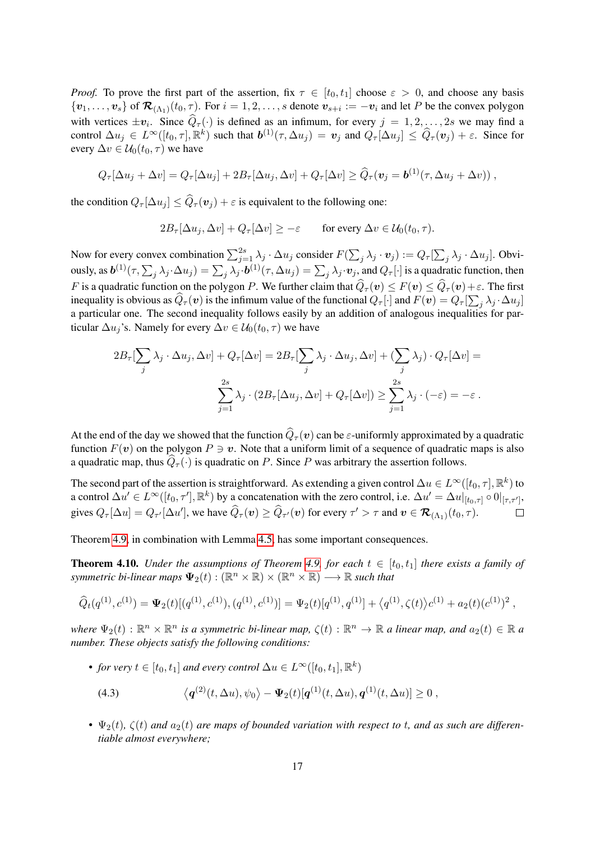*Proof.* To prove the first part of the assertion, fix  $\tau \in [t_0, t_1]$  choose  $\varepsilon > 0$ , and choose any basis  $\{v_1,\ldots,v_s\}$  of  $\mathcal{R}_{(\Lambda_1)}(t_0,\tau)$ . For  $i=1,2,\ldots,s$  denote  $v_{s+i}:=-v_i$  and let P be the convex polygon with vertices  $\pm v_i$ . Since  $Q_\tau(\cdot)$  is defined as an infimum, for every  $j = 1, 2, ..., 2s$  we may find a control  $\Delta u_j \in L^{\infty}([t_0, \tau], \mathbb{R}^k)$  such that  $\mathbf{b}^{(1)}(\tau, \Delta u_j) = v_j$  and  $Q_{\tau}[\Delta u_j] \leq \widehat{Q}_{\tau}(v_j) + \varepsilon$ . Since for every  $\Delta v \in \mathcal{U}_0(t_0, \tau)$  we have

$$
Q_{\tau}[\Delta u_j + \Delta v] = Q_{\tau}[\Delta u_j] + 2B_{\tau}[\Delta u_j, \Delta v] + Q_{\tau}[\Delta v] \ge \widehat{Q}_{\tau}(\mathbf{v}_j = \mathbf{b}^{(1)}(\tau, \Delta u_j + \Delta v)),
$$

the condition  $Q_{\tau}[\Delta u_i] \leq \widehat{Q}_{\tau}(v_i) + \varepsilon$  is equivalent to the following one:

$$
2B_{\tau}[\Delta u_j, \Delta v] + Q_{\tau}[\Delta v] \geq -\varepsilon \quad \text{for every } \Delta v \in \mathcal{U}_0(t_0, \tau).
$$

Now for every convex combination  $\sum_{j=1}^{2s} \lambda_j \cdot \Delta u_j$  consider  $F(\sum_j \lambda_j \cdot \mathbf{v}_j) := Q_\tau[\sum_j \lambda_j \cdot \Delta u_j]$ . Obviously, as  $\bm{b}^{(1)}(\tau,\sum_j\lambda_j\cdot\Delta u_j)=\sum_j\lambda_j\cdot\bm{b}^{(1)}(\tau,\Delta u_j)=\sum_j\lambda_j\cdot\bm{v}_j,$  and  $Q_\tau[\cdot]$  is a quadratic function, then F is a quadratic function on the polygon P. We further claim that  $\widehat{Q}_{\tau}(v) \leq F(v) \leq \widehat{Q}_{\tau}(v)+\varepsilon$ . The first inequality is obvious as  $\overline{Q}_{\tau}(v)$  is the infimum value of the functional  $Q_{\tau}[\cdot]$  and  $F(v) = Q_{\tau}[\sum_{j} \lambda_j \cdot \Delta u_j]$ a particular one. The second inequality follows easily by an addition of analogous inequalities for particular  $\Delta u_i$ 's. Namely for every  $\Delta v \in \mathcal{U}_0(t_0, \tau)$  we have

$$
2B_{\tau}[\sum_{j} \lambda_{j} \cdot \Delta u_{j}, \Delta v] + Q_{\tau}[\Delta v] = 2B_{\tau}[\sum_{j} \lambda_{j} \cdot \Delta u_{j}, \Delta v] + (\sum_{j} \lambda_{j}) \cdot Q_{\tau}[\Delta v] =
$$
  

$$
\sum_{j=1}^{2s} \lambda_{j} \cdot (2B_{\tau}[\Delta u_{j}, \Delta v] + Q_{\tau}[\Delta v]) \ge \sum_{j=1}^{2s} \lambda_{j} \cdot (-\varepsilon) = -\varepsilon.
$$

At the end of the day we showed that the function  $\widehat{Q}_{\tau}(v)$  can be  $\varepsilon$ -uniformly approximated by a quadratic function  $F(v)$  on the polygon  $P \ni v$ . Note that a uniform limit of a sequence of quadratic maps is also a quadratic map, thus  $Q_{\tau}(\cdot)$  is quadratic on P. Since P was arbitrary the assertion follows.

The second part of the assertion is straightforward. As extending a given control  $\Delta u \in L^\infty([t_0,\tau],\mathbb{R}^k)$  to a control  $\Delta u' \in L^{\infty}([t_0, \tau'], \mathbb{R}^k)$  by a concatenation with the zero control, i.e.  $\Delta u' = \Delta u|_{[t_0, \tau]} \circ 0|_{[\tau, \tau']},$ gives  $Q_{\tau}[\Delta u] = Q_{\tau'}[\Delta u']$ , we have  $\widehat{Q}_{\tau}(v) \ge \widehat{Q}_{\tau'}(v)$  for every  $\tau' > \tau$  and  $v \in \mathcal{R}_{(\Lambda_1)}(t_0, \tau)$ .  $\Box$ 

Theorem [4.9,](#page-15-2) in combination with Lemma [4.5,](#page-14-1) has some important consequences.

<span id="page-16-0"></span>**Theorem 4.10.** *Under the assumptions of Theorem [4.9,](#page-15-2) for each*  $t \in [t_0, t_1]$  *there exists a family of*  $symmetric$   $bi$ -linear maps  $\Psi_2(t): (\mathbb{R}^n \times \mathbb{R}) \times (\mathbb{R}^n \times \mathbb{R}) \longrightarrow \mathbb{R}$  such that

$$
\widehat{Q}_t(q^{(1)}, c^{(1)}) = \Psi_2(t) [(q^{(1)}, c^{(1)}), (q^{(1)}, c^{(1)})] = \Psi_2(t) [q^{(1)}, q^{(1)}] + \langle q^{(1)}, \zeta(t) \rangle c^{(1)} + a_2(t) (c^{(1)})^2,
$$

 $\forall x$  where  $\Psi_2(t)$  :  $\mathbb{R}^n \times \mathbb{R}^n$  is a symmetric bi-linear map,  $\zeta(t)$  :  $\mathbb{R}^n \to \mathbb{R}$  a linear map, and  $a_2(t) \in \mathbb{R}$  a *number. These objects satisfy the following conditions:*

• *for very*  $t \in [t_0, t_1]$  and every control  $\Delta u \in L^{\infty}([t_0, t_1], \mathbb{R}^k)$ 

<span id="page-16-1"></span>(4.3) 
$$
\langle \mathbf{q}^{(2)}(t,\Delta u), \psi_0 \rangle - \Psi_2(t) [\mathbf{q}^{(1)}(t,\Delta u), \mathbf{q}^{(1)}(t,\Delta u)] \geq 0,
$$

•  $\Psi_2(t)$ ,  $\zeta(t)$  and  $a_2(t)$  are maps of bounded variation with respect to t, and as such are differen*tiable almost everywhere;*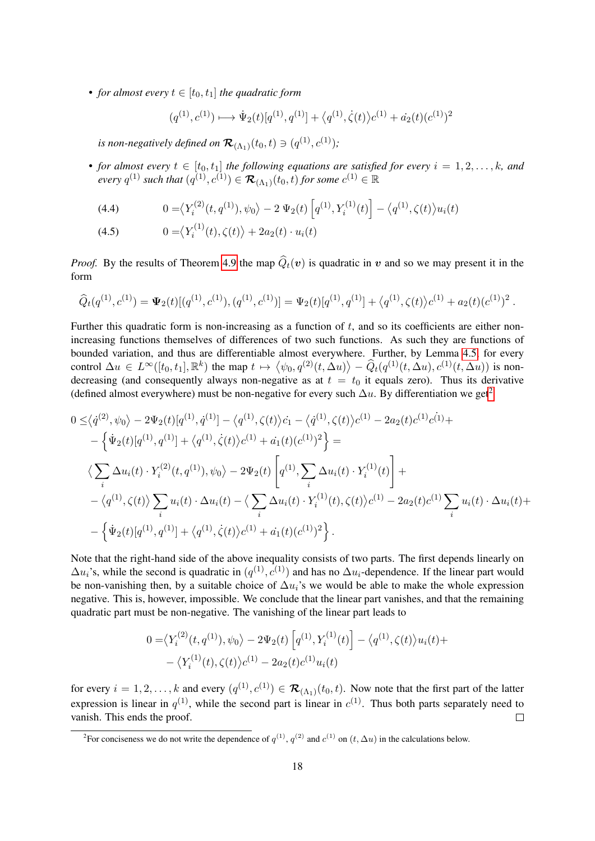• *for almost every*  $t \in [t_0, t_1]$  *the quadratic form* 

$$
(q^{(1)},c^{(1)}) \longmapsto \dot{\Psi}_2(t)[q^{(1)},q^{(1)}] + \langle q^{(1)},\dot{\zeta}(t)\rangle c^{(1)} + \dot{a_2}(t)(c^{(1)})^2
$$

*is non-negatively defined on*  $\mathcal{R}_{(\Lambda_1)}(t_0,t) \ni (q^{(1)}, c^{(1)})$ ;

• *for almost every*  $t \in [t_0, t_1]$  *the following equations are satisfied for every*  $i = 1, 2, \ldots, k$ *, and*  $\textit{every}\ q^{(1)}$  such that  $(q^{(1)},c^{(1)})\in\mathcal{R}_{(\Lambda_{1})}(t_{0},t)$  for some  $c^{(1)}\in\mathbb{R}$ 

<span id="page-17-1"></span>(4.4) 
$$
0 = \langle Y_i^{(2)}(t, q^{(1)}), \psi_0 \rangle - 2 \Psi_2(t) \left[ q^{(1)}, Y_i^{(1)}(t) \right] - \langle q^{(1)}, \zeta(t) \rangle u_i(t)
$$

<span id="page-17-2"></span>(4.5) 
$$
0 = \langle Y_i^{(1)}(t), \zeta(t) \rangle + 2a_2(t) \cdot u_i(t)
$$

*Proof.* By the results of Theorem [4.9](#page-15-2) the map  $\hat{Q}_t(v)$  is quadratic in v and so we may present it in the form

$$
\widehat{Q}_t(q^{(1)}, c^{(1)}) = \Psi_2(t)[(q^{(1)}, c^{(1)}), (q^{(1)}, c^{(1)})] = \Psi_2(t)[q^{(1)}, q^{(1)}] + \langle q^{(1)}, \zeta(t) \rangle c^{(1)} + a_2(t)(c^{(1)})^2.
$$

Further this quadratic form is non-increasing as a function of  $t$ , and so its coefficients are either nonincreasing functions themselves of differences of two such functions. As such they are functions of bounded variation, and thus are differentiable almost everywhere. Further, by Lemma [4.5,](#page-14-1) for every control  $\Delta u \in L^{\infty}([t_0, t_1], \mathbb{R}^k)$  the map  $t \mapsto \langle \psi_0, q^{(2)}(t, \Delta u) \rangle - \widehat{Q}_t(q^{(1)}(t, \Delta u), c^{(1)}(t, \Delta u))$  is nondecreasing (and consequently always non-negative as at  $t = t_0$  it equals zero). Thus its derivative (defined almost everywhere) must be non-negative for every such  $\Delta u$ . By differentiation we get<sup>[2](#page-17-0)</sup>

$$
0 \leq \langle \dot{q}^{(2)}, \psi_0 \rangle - 2\Psi_2(t)[q^{(1)}, \dot{q}^{(1)}] - \langle q^{(1)}, \zeta(t) \rangle \dot{c}_1 - \langle \dot{q}^{(1)}, \zeta(t) \rangle c^{(1)} - 2a_2(t)c^{(1)}c^{(1)} + - \left\{ \dot{\Psi}_2(t)[q^{(1)}, q^{(1)}] + \langle q^{(1)}, \dot{\zeta}(t) \rangle c^{(1)} + \dot{a}_1(t)(c^{(1)})^2 \right\} = \n\langle \sum_i \Delta u_i(t) \cdot Y_i^{(2)}(t, q^{(1)}), \psi_0 \rangle - 2\Psi_2(t) \left[ q^{(1)}, \sum_i \Delta u_i(t) \cdot Y_i^{(1)}(t) \right] + - \langle q^{(1)}, \zeta(t) \rangle \sum_i u_i(t) \cdot \Delta u_i(t) - \langle \sum_i \Delta u_i(t) \cdot Y_i^{(1)}(t), \zeta(t) \rangle c^{(1)} - 2a_2(t)c^{(1)} \sum_i u_i(t) \cdot \Delta u_i(t) + - \left\{ \dot{\Psi}_2(t)[q^{(1)}, q^{(1)}] + \langle q^{(1)}, \dot{\zeta}(t) \rangle c^{(1)} + \dot{a}_1(t)(c^{(1)})^2 \right\}.
$$

Note that the right-hand side of the above inequality consists of two parts. The first depends linearly on  $\Delta u_i$ 's, while the second is quadratic in  $(q^{(1)}, c^{(1)})$  and has no  $\Delta u_i$ -dependence. If the linear part would be non-vanishing then, by a suitable choice of  $\Delta u_i$ 's we would be able to make the whole expression negative. This is, however, impossible. We conclude that the linear part vanishes, and that the remaining quadratic part must be non-negative. The vanishing of the linear part leads to

$$
0 = \langle Y_i^{(2)}(t, q^{(1)}), \psi_0 \rangle - 2\Psi_2(t) \left[ q^{(1)}, Y_i^{(1)}(t) \right] - \langle q^{(1)}, \zeta(t) \rangle u_i(t) +
$$
  
-  $\langle Y_i^{(1)}(t), \zeta(t) \rangle c^{(1)} - 2a_2(t)c^{(1)}u_i(t)$ 

for every  $i=1,2,\ldots,k$  and every  $(q^{(1)},c^{(1)}) \in \mathcal{R}_{(\Lambda_1)}(t_0,t)$ . Now note that the first part of the latter expression is linear in  $q^{(1)}$ , while the second part is linear in  $c^{(1)}$ . Thus both parts separately need to vanish. This ends the proof.  $\Box$ 

<span id="page-17-0"></span><sup>&</sup>lt;sup>2</sup>For conciseness we do not write the dependence of  $q^{(1)}$ ,  $q^{(2)}$  and  $c^{(1)}$  on  $(t, \Delta u)$  in the calculations below.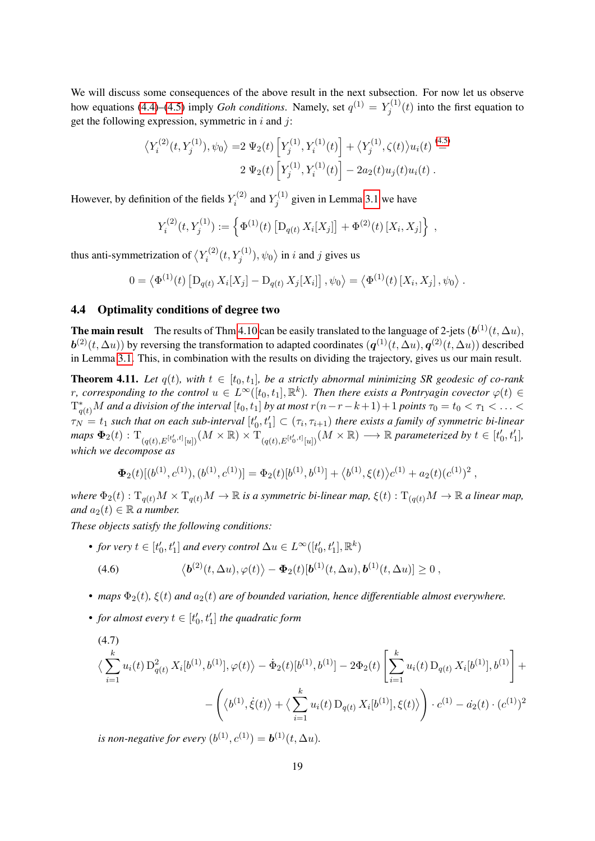We will discuss some consequences of the above result in the next subsection. For now let us observe how equations [\(4.4\)](#page-17-1)–[\(4.5\)](#page-17-2) imply *Goh conditions*. Namely, set  $q^{(1)} = Y_i^{(1)}$  $j^{(1)}(t)$  into the first equation to get the following expression, symmetric in  $i$  and  $j$ :

$$
\langle Y_i^{(2)}(t, Y_j^{(1)}), \psi_0 \rangle = 2 \Psi_2(t) \left[ Y_j^{(1)}, Y_i^{(1)}(t) \right] + \langle Y_j^{(1)}, \zeta(t) \rangle u_i(t) \stackrel{(4.5)}{=} 2 \Psi_2(t) \left[ Y_j^{(1)}, Y_i^{(1)}(t) \right] - 2a_2(t)u_j(t)u_i(t).
$$

However, by definition of the fields  $Y_i^{(2)}$  $Y_i^{(2)}$  and  $Y_j^{(1)}$  $j^{(1)}$  given in Lemma [3.1](#page-8-2) we have

$$
Y_i^{(2)}(t, Y_j^{(1)}) := \left\{ \Phi^{(1)}(t) \left[ D_{q(t)} X_i[X_j] \right] + \Phi^{(2)}(t) \left[ X_i, X_j \right] \right\},
$$

thus anti-symmetrization of  $\langle Y_i^{(2)} \rangle$  $\langle f_i^{(2)}(t, Y_j^{(1)}), \psi_0 \rangle$  in *i* and *j* gives us

$$
0 = \left\langle \Phi^{(1)}(t) \left[ D_{q(t)} X_i[X_j] - D_{q(t)} X_j[X_i] \right], \psi_0 \right\rangle = \left\langle \Phi^{(1)}(t) \left[ X_i, X_j \right], \psi_0 \right\rangle.
$$

### <span id="page-18-1"></span>4.4 Optimality conditions of degree two

**The main result** The results of Thm [4.10](#page-16-0) can be easily translated to the language of 2-jets  $(b^{(1)}(t, \Delta u)$ ,  $\bm{b}^{(2)}(t,\Delta u)$ ) by reversing the transformation to adapted coordinates  $(\bm{q}^{(1)}(t,\Delta u),\bm{q}^{(2)}(t,\Delta u))$  described in Lemma [3.1.](#page-8-2) This, in combination with the results on dividing the trajectory, gives us our main result.

<span id="page-18-0"></span>**Theorem 4.11.** Let  $q(t)$ , with  $t \in [t_0, t_1]$ , be a strictly abnormal minimizing SR geodesic of co-rank r, corresponding to the control  $u \in L^{\infty}([t_0,t_1],\mathbb{R}^k)$ . Then there exists a Pontryagin covector  $\varphi(t) \in$  $\int_{q(t)}^* M$  *and a division of the interval*  $[t_0, t_1]$  *by at most*  $r(n-r-k+1)+1$  *points*  $\tau_0 = t_0 < \tau_1 < \ldots <$  $\tau_N = t_1$  such that on each sub-interval  $[t'_0, t'_1] \subset (\tau_i, \tau_{i+1})$  there exists a family of symmetric bi-linear  $maps\ \Phi_2(t) : \mathrm{T}_{(q(t),E^{[t'_0,t]}[u])}(M\times\mathbb{R})\times \mathrm{T}_{(q(t),E^{[t'_0,t]}[u])}(M\times\mathbb{R}) \longrightarrow \mathbb{R}$  parameterized by  $t\in[t'_0,t'_1]$ , *which we decompose as*

$$
\Phi_2(t)[(b^{(1)},c^{(1)}),(b^{(1)},c^{(1)})]=\Phi_2(t)[b^{(1)},b^{(1)}]+\langle b^{(1)},\xi(t)\rangle c^{(1)}+a_2(t)(c^{(1)})^2,
$$

*where*  $\Phi_2(t)$ :  $T_{q(t)}M \times T_{q(t)}M \to \mathbb{R}$  *is a symmetric bi-linear map,*  $\xi(t)$ :  $T_{(q(t)}M \to \mathbb{R}$  *a linear map, and*  $a_2(t) \in \mathbb{R}$  *a number.* 

*These objects satisfy the following conditions:*

- <span id="page-18-2"></span>• for very  $t \in [t'_0, t'_1]$  and every control  $\Delta u \in L^{\infty}([t'_0, t'_1], \mathbb{R}^k)$ (4.6)  $\left< \bm{b}^{(2)}(t,\Delta u),\varphi(t) \right> - \bm{\Phi}_2(t) [\bm{b}^{(1)}(t,\Delta u),\bm{b}^{(1)}(t,\Delta u)] \geq 0 \ ,$
- *maps*  $\Phi_2(t)$ ,  $\xi(t)$  *and*  $a_2(t)$  *are of bounded variation, hence differentiable almost everywhere.*
- for almost every  $t \in [t'_0, t'_1]$  the quadratic form

<span id="page-18-3"></span>(4.7)  
\n
$$
\langle \sum_{i=1}^{k} u_i(t) D_{q(t)}^2 X_i[b^{(1)}, b^{(1)}], \varphi(t) \rangle - \dot{\Phi}_2(t)[b^{(1)}, b^{(1)}] - 2\Phi_2(t) \left[ \sum_{i=1}^{k} u_i(t) D_{q(t)} X_i[b^{(1)}], b^{(1)} \right] +
$$
\n
$$
- \left( \langle b^{(1)}, \dot{\xi}(t) \rangle + \langle \sum_{i=1}^{k} u_i(t) D_{q(t)} X_i[b^{(1)}], \xi(t) \rangle \right) \cdot c^{(1)} - \dot{a_2}(t) \cdot (c^{(1)})^2
$$

*is non-negative for every*  $(b^{(1)}, c^{(1)}) = b^{(1)}(t, \Delta u)$ .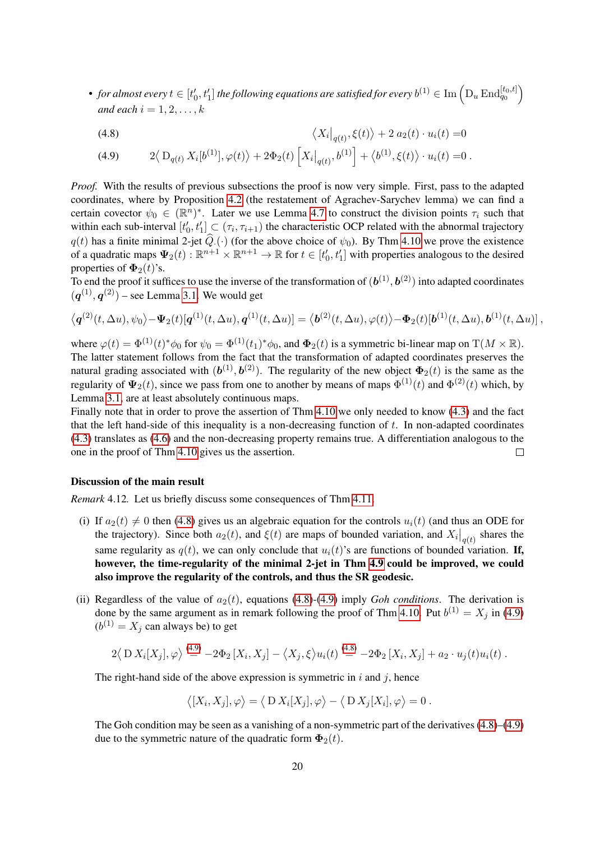$\bullet$  *for almost every*  $t\in[t_0',t_1']$  *the following equations are satisfied for every*  $b^{(1)}\in\text{Im}\left(\mathrm{D}_u\,\mathrm{End}^{[t_0,t]}_{q_0}\right)$ *and each*  $i = 1, 2, \ldots, k$ 

<span id="page-19-0"></span>(4.8) 
$$
\langle X_i|_{q(t)}, \xi(t) \rangle + 2 a_2(t) \cdot u_i(t) = 0
$$

<span id="page-19-1"></span>(4.9) 
$$
2\langle D_{q(t)} X_i[b^{(1)}], \varphi(t) \rangle + 2\Phi_2(t) \left[ X_i \big|_{q(t)}, b^{(1)} \right] + \langle b^{(1)}, \xi(t) \rangle \cdot u_i(t) = 0.
$$

*Proof.* With the results of previous subsections the proof is now very simple. First, pass to the adapted coordinates, where by Proposition [4.2](#page-12-1) (the restatement of Agrachev-Sarychev lemma) we can find a certain covector  $\psi_0 \in (\mathbb{R}^n)^*$ . Later we use Lemma [4.7](#page-15-0) to construct the division points  $\tau_i$  such that within each sub-interval  $[t'_0, t'_1] \subset (\tau_i, \tau_{i+1})$  the characteristic OCP related with the abnormal trajectory  $q(t)$  has a finite minimal 2-jet  $\widehat{Q}\left(\cdot\right)$  (for the above choice of  $\psi_0$ ). By Thm [4.10](#page-16-0) we prove the existence of a quadratic maps  $\Psi_2(t)$ :  $\mathbb{R}^{n+1} \times \mathbb{R}^{n+1} \to \mathbb{R}$  for  $t \in [t'_0, t'_1]$  with properties analogous to the desired properties of  $\Phi_2(t)$ 's.

To end the proof it suffices to use the inverse of the transformation of  $(b^{(1)}, b^{(2)})$  into adapted coordinates  $(q^{(1)}, q^{(2)})$  – see Lemma [3.1.](#page-8-2) We would get

$$
\langle \mathbf{q}^{(2)}(t,\Delta u),\psi_0\rangle - \Psi_2(t)[\mathbf{q}^{(1)}(t,\Delta u),\mathbf{q}^{(1)}(t,\Delta u)] = \langle \mathbf{b}^{(2)}(t,\Delta u),\varphi(t)\rangle - \Phi_2(t)[\mathbf{b}^{(1)}(t,\Delta u),\mathbf{b}^{(1)}(t,\Delta u)]\,,
$$

where  $\varphi(t) = \Phi^{(1)}(t)^* \phi_0$  for  $\psi_0 = \Phi^{(1)}(t_1)^* \phi_0$ , and  $\Phi_2(t)$  is a symmetric bi-linear map on  $T(M \times \mathbb{R})$ . The latter statement follows from the fact that the transformation of adapted coordinates preserves the natural grading associated with  $(b^{(1)}, b^{(2)})$ . The regularity of the new object  $\Phi_2(t)$  is the same as the regularity of  $\Psi_2(t)$ , since we pass from one to another by means of maps  $\Phi^{(1)}(t)$  and  $\Phi^{(2)}(t)$  which, by Lemma [3.1,](#page-8-2) are at least absolutely continuous maps.

Finally note that in order to prove the assertion of Thm [4.10](#page-16-0) we only needed to know [\(4.3\)](#page-16-1) and the fact that the left hand-side of this inequality is a non-decreasing function of  $t$ . In non-adapted coordinates [\(4.3\)](#page-16-1) translates as [\(4.6\)](#page-18-2) and the non-decreasing property remains true. A differentiation analogous to the one in the proof of Thm [4.10](#page-16-0) gives us the assertion.  $\Box$ 

#### Discussion of the main result

<span id="page-19-2"></span>*Remark* 4.12*.* Let us briefly discuss some consequences of Thm [4.11.](#page-18-0)

- (i) If  $a_2(t) \neq 0$  then [\(4.8\)](#page-19-0) gives us an algebraic equation for the controls  $u_i(t)$  (and thus an ODE for the trajectory). Since both  $a_2(t)$ , and  $\xi(t)$  are maps of bounded variation, and  $X_i|_{q(t)}$  shares the same regularity as  $q(t)$ , we can only conclude that  $u_i(t)$ 's are functions of bounded variation. If, however, the time-regularity of the minimal 2-jet in Thm [4.9](#page-15-2) could be improved, we could also improve the regularity of the controls, and thus the SR geodesic.
- (ii) Regardless of the value of  $a_2(t)$ , equations [\(4.8\)](#page-19-0)-[\(4.9\)](#page-19-1) imply *Goh conditions*. The derivation is done by the same argument as in remark following the proof of Thm [4.10.](#page-16-0) Put  $b^{(1)} = X_j$  in [\(4.9\)](#page-19-1)  $(b^{(1)} = X_j$  can always be) to get

$$
2\langle D X_i[X_j],\varphi\rangle \stackrel{(4.9)}{=} -2\Phi_2[X_i,X_j] - \langle X_j,\xi\rangle u_i(t) \stackrel{(4.8)}{=} -2\Phi_2[X_i,X_j] + a_2 \cdot u_j(t)u_i(t) .
$$

The right-hand side of the above expression is symmetric in  $i$  and  $j$ , hence

$$
\langle [X_i, X_j], \varphi \rangle = \langle D X_i[X_j], \varphi \rangle - \langle D X_j[X_i], \varphi \rangle = 0.
$$

The Goh condition may be seen as a vanishing of a non-symmetric part of the derivatives [\(4.8\)](#page-19-0)–[\(4.9\)](#page-19-1) due to the symmetric nature of the quadratic form  $\Phi_2(t)$ .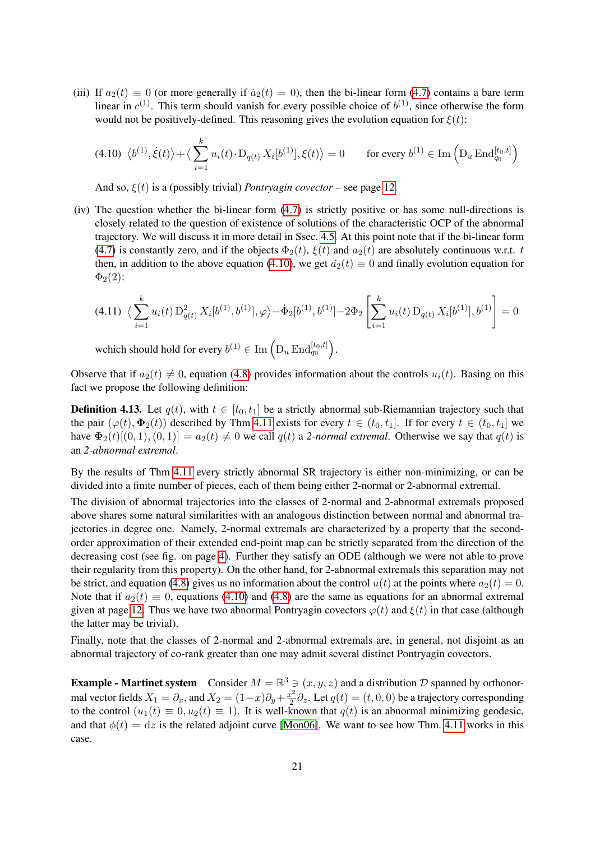(iii) If  $a_2(t) \equiv 0$  (or more generally if  $\dot{a}_2(t) = 0$ ), then the bi-linear form [\(4.7\)](#page-18-3) contains a bare term linear in  $c^{(1)}$ . This term should vanish for every possible choice of  $b^{(1)}$ , since otherwise the form would not be positively-defined. This reasoning gives the evolution equation for  $\xi(t)$ :

<span id="page-20-1"></span>
$$
(4.10)\ \langle b^{(1)}, \dot{\xi}(t) \rangle + \langle \sum_{i=1}^{k} u_i(t) \cdot \mathcal{D}_{q(t)} X_i[b^{(1)}], \xi(t) \rangle = 0 \qquad \text{for every } b^{(1)} \in \text{Im} \left( \mathcal{D}_u \operatorname{End}_{q_0}^{[t_0, t]} \right)
$$

And so,  $\xi(t)$  is a (possibly trivial) *Pontryagin covector* – see page [12.](#page-10-0)

(iv) The question whether the bi-linear form [\(4.7\)](#page-18-3) is strictly positive or has some null-directions is closely related to the question of existence of solutions of the characteristic OCP of the abnormal trajectory. We will discuss it in more detail in Ssec. [4.5.](#page-22-0) At this point note that if the bi-linear form [\(4.7\)](#page-18-3) is constantly zero, and if the objects  $\Phi_2(t)$ ,  $\xi(t)$  and  $a_2(t)$  are absolutely continuous w.r.t. t then, in addition to the above equation [\(4.10\)](#page-20-1), we get  $\dot{a_2}(t) \equiv 0$  and finally evolution equation for  $\Phi_2(2)$ :

$$
(4.11) \ \langle \sum_{i=1}^{k} u_i(t) D_{q(t)}^2 X_i[b^{(1)}, b^{(1)}], \varphi \rangle - \dot{\Phi}_2[b^{(1)}, b^{(1)}] - 2\Phi_2 \left[ \sum_{i=1}^{k} u_i(t) D_{q(t)} X_i[b^{(1)}], b^{(1)} \right] = 0
$$

wchich should hold for every  $b^{(1)} \in \mathrm{Im} \left( \mathrm{D}_u\, \mathrm{End}^{[t_0,t]}_{q_0} \right)$ .

Observe that if  $a_2(t) \neq 0$ , equation [\(4.8\)](#page-19-0) provides information about the controls  $u_i(t)$ . Basing on this fact we propose the following definition:

<span id="page-20-0"></span>**Definition 4.13.** Let  $q(t)$ , with  $t \in [t_0, t_1]$  be a strictly abnormal sub-Riemannian trajectory such that the pair  $(\varphi(t), \Phi_2(t))$  described by Thm [4.11](#page-18-0) exists for every  $t \in (t_0, t_1]$ . If for every  $t \in (t_0, t_1]$  we have  $\Phi_2(t)[(0,1), (0, 1)] = a_2(t) \neq 0$  we call  $q(t)$  a 2-normal extremal. Otherwise we say that  $q(t)$  is an *2-abnormal extremal*.

By the results of Thm [4.11](#page-18-0) every strictly abnormal SR trajectory is either non-minimizing, or can be divided into a finite number of pieces, each of them being either 2-normal or 2-abnormal extremal.

The division of abnormal trajectories into the classes of 2-normal and 2-abnormal extremals proposed above shares some natural similarities with an analogous distinction between normal and abnormal trajectories in degree one. Namely, 2-normal extremals are characterized by a property that the secondorder approximation of their extended end-point map can be strictly separated from the direction of the decreasing cost (see fig. on page [4\)](#page-2-0). Further they satisfy an ODE (although we were not able to prove their regularity from this property). On the other hand, for 2-abnormal extremals this separation may not be strict, and equation [\(4.8\)](#page-19-0) gives us no information about the control  $u(t)$  at the points where  $a_2(t) = 0$ . Note that if  $a_2(t) \equiv 0$ , equations [\(4.10\)](#page-20-1) and [\(4.8\)](#page-19-0) are the same as equations for an abnormal extremal given at page [12.](#page-10-0) Thus we have two abnormal Pontryagin covectors  $\varphi(t)$  and  $\xi(t)$  in that case (although the latter may be trivial).

Finally, note that the classes of 2-normal and 2-abnormal extremals are, in general, not disjoint as an abnormal trajectory of co-rank greater than one may admit several distinct Pontryagin covectors.

**Example - Martinet system** Consider  $M = \mathbb{R}^3 \ni (x, y, z)$  and a distribution D spanned by orthonormal vector fields  $X_1 = \partial_x$ , and  $X_2 = (1-x)\partial_y + \frac{x^2}{2}$  $\frac{z^2}{2}\partial_z$ . Let  $q(t) = (t, 0, 0)$  be a trajectory corresponding to the control  $(u_1(t) \equiv 0, u_2(t) \equiv 1)$ . It is well-known that  $q(t)$  is an abnormal minimizing geodesic, and that  $\phi(t) = dz$  is the related adjoint curve [\[Mon06\]](#page-30-2). We want to see how Thm. [4.11](#page-18-0) works in this case.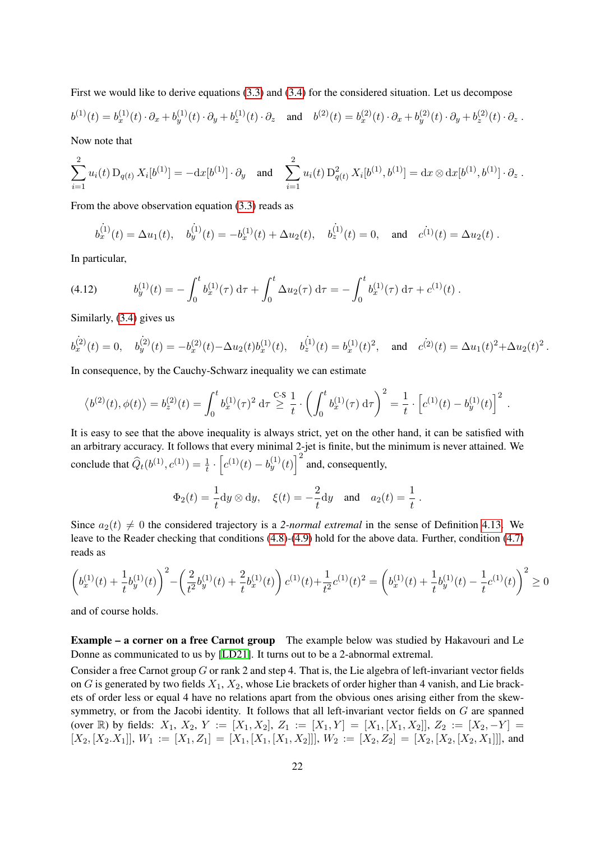First we would like to derive equations [\(3.3\)](#page-7-0) and [\(3.4\)](#page-7-1) for the considered situation. Let us decompose

$$
b^{(1)}(t) = b_x^{(1)}(t) \cdot \partial_x + b_y^{(1)}(t) \cdot \partial_y + b_z^{(1)}(t) \cdot \partial_z \quad \text{and} \quad b^{(2)}(t) = b_x^{(2)}(t) \cdot \partial_x + b_y^{(2)}(t) \cdot \partial_y + b_z^{(2)}(t) \cdot \partial_z.
$$

Now note that

$$
\sum_{i=1}^{2} u_i(t) D_{q(t)} X_i[b^{(1)}] = -\mathrm{d}x[b^{(1)}] \cdot \partial_y \quad \text{and} \quad \sum_{i=1}^{2} u_i(t) D_{q(t)}^2 X_i[b^{(1)}, b^{(1)}] = \mathrm{d}x \otimes \mathrm{d}x[b^{(1)}, b^{(1)}] \cdot \partial_z.
$$

From the above observation equation [\(3.3\)](#page-7-0) reads as

$$
b_x^{(1)}(t) = \Delta u_1(t)
$$
,  $b_y^{(1)}(t) = -b_x^{(1)}(t) + \Delta u_2(t)$ ,  $b_z^{(1)}(t) = 0$ , and  $c^{(1)}(t) = \Delta u_2(t)$ .

In particular,

(4.12) 
$$
b_y^{(1)}(t) = -\int_0^t b_x^{(1)}(\tau) d\tau + \int_0^t \Delta u_2(\tau) d\tau = -\int_0^t b_x^{(1)}(\tau) d\tau + c^{(1)}(t).
$$

Similarly, [\(3.4\)](#page-7-1) gives us

$$
b_x^{(2)}(t) = 0
$$
,  $b_y^{(2)}(t) = -b_x^{(2)}(t) - \Delta u_2(t)b_x^{(1)}(t)$ ,  $b_z^{(1)}(t) = b_x^{(1)}(t)^2$ , and  $c^{(2)}(t) = \Delta u_1(t)^2 + \Delta u_2(t)^2$ .

In consequence, by the Cauchy-Schwarz inequality we can estimate

$$
\langle b^{(2)}(t), \phi(t) \rangle = b_z^{(2)}(t) = \int_0^t b_x^{(1)}(\tau)^2 d\tau \stackrel{\mathbf{C-S}}{\geq} \frac{1}{t} \cdot \left( \int_0^t b_x^{(1)}(\tau) d\tau \right)^2 = \frac{1}{t} \cdot \left[ c^{(1)}(t) - b_y^{(1)}(t) \right]^2.
$$

It is easy to see that the above inequality is always strict, yet on the other hand, it can be satisfied with an arbitrary accuracy. It follows that every minimal 2-jet is finite, but the minimum is never attained. We conclude that  $\widehat{Q}_t(b^{(1)}, c^{(1)}) = \frac{1}{t} \cdot \left[ c^{(1)}(t) - b^{(1)}_y(t) \right]^2$  and, consequently,

$$
\Phi_2(t) = -\frac{1}{t} dy \otimes dy, \quad \xi(t) = -\frac{2}{t} dy \quad \text{and} \quad a_2(t) = \frac{1}{t}.
$$

Since  $a_2(t) \neq 0$  the considered trajectory is a 2-normal extremal in the sense of Definition [4.13.](#page-20-0) We leave to the Reader checking that conditions [\(4.8\)](#page-19-0)-[\(4.9\)](#page-19-1) hold for the above data. Further, condition [\(4.7\)](#page-18-3) reads as

$$
\left(b_x^{(1)}(t) + \frac{1}{t}b_y^{(1)}(t)\right)^2 - \left(\frac{2}{t^2}b_y^{(1)}(t) + \frac{2}{t}b_x^{(1)}(t)\right)c^{(1)}(t) + \frac{1}{t^2}c^{(1)}(t)^2 = \left(b_x^{(1)}(t) + \frac{1}{t}b_y^{(1)}(t) - \frac{1}{t}c^{(1)}(t)\right)^2 \ge 0
$$

and of course holds.

Example – a corner on a free Carnot group The example below was studied by Hakavouri and Le Donne as communicated to us by [\[LD21\]](#page-30-14). It turns out to be a 2-abnormal extremal.

Consider a free Carnot group G or rank 2 and step 4. That is, the Lie algebra of left-invariant vector fields on G is generated by two fields  $X_1, X_2$ , whose Lie brackets of order higher than 4 vanish, and Lie brackets of order less or equal 4 have no relations apart from the obvious ones arising either from the skewsymmetry, or from the Jacobi identity. It follows that all left-invariant vector fields on G are spanned (over R) by fields:  $X_1, X_2, Y := [X_1, X_2], Z_1 := [X_1, Y] = [X_1, [X_1, X_2]], Z_2 := [X_2, -Y] =$  $[X_2, [X_2, X_1]], W_1 := [X_1, Z_1] = [X_1, [X_1, [X_1, X_2]]], W_2 := [X_2, Z_2] = [X_2, [X_2, [X_2, X_1]]],$  and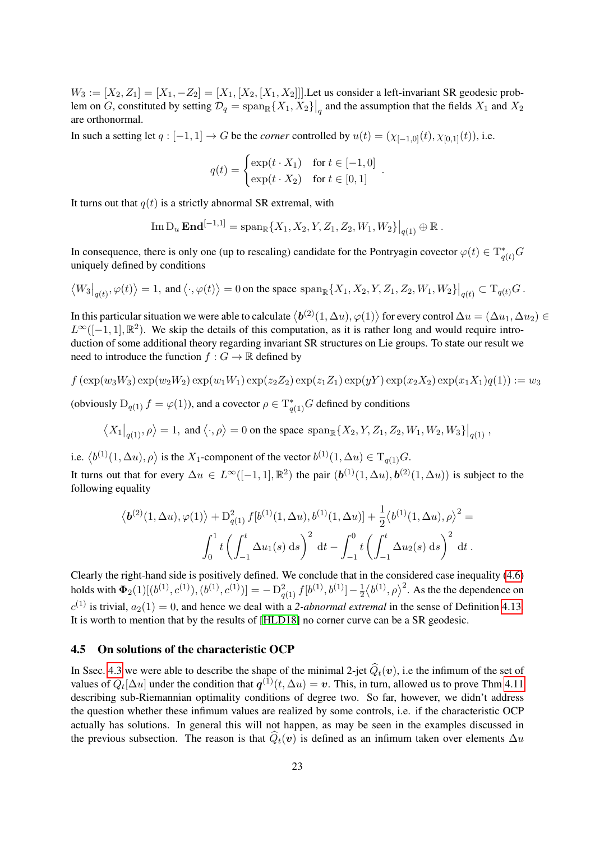$W_3 := [X_2, Z_1] = [X_1, -Z_2] = [X_1, [X_2, [X_1, X_2]]]$ . Let us consider a left-invariant SR geodesic problem on G, constituted by setting  $\mathcal{D}_q = \text{span}_{\mathbb{R}} \{X_1, X_2\} \big|_q$  and the assumption that the fields  $X_1$  and  $X_2$ are orthonormal.

In such a setting let  $q: [-1, 1] \rightarrow G$  be the *corner* controlled by  $u(t) = (\chi_{[-1,0]}(t), \chi_{[0,1]}(t))$ , i.e.

$$
q(t) = \begin{cases} \exp(t \cdot X_1) & \text{for } t \in [-1, 0] \\ \exp(t \cdot X_2) & \text{for } t \in [0, 1] \end{cases}
$$

.

It turns out that  $q(t)$  is a strictly abnormal SR extremal, with

Im D<sub>u</sub> **End**<sup>$$
[-1,1]
$$</sup> = span<sub>R</sub> { $X_1, X_2, Y, Z_1, Z_2, W_1, W_2$ }  $\big|_{q(1)} \oplus \mathbb{R}$ .

In consequence, there is only one (up to rescaling) candidate for the Pontryagin covector  $\varphi(t) \in T^*_{q(t)}G$ uniquely defined by conditions

$$
\left\langle W_3\big|_{q(t)}, \varphi(t)\right\rangle = 1, \text{ and } \left\langle\cdot, \varphi(t)\right\rangle = 0 \text{ on the space } \operatorname{span}_{\mathbb{R}}\{X_1, X_2, Y, Z_1, Z_2, W_1, W_2\}\big|_{q(t)} \subset T_{q(t)}G.
$$

In this particular situation we were able to calculate  $\big\langle \bm{b}^{(2)}(1,\Delta u),\varphi(1)\big\rangle$  for every control  $\Delta u=(\Delta u_1,\Delta u_2)\in$  $L^{\infty}([-1, 1], \mathbb{R}^2)$ . We skip the details of this computation, as it is rather long and would require introduction of some additional theory regarding invariant SR structures on Lie groups. To state our result we need to introduce the function  $f: G \to \mathbb{R}$  defined by

$$
f(\exp(w_3W_3)\exp(w_2W_2)\exp(w_1W_1)\exp(z_2Z_2)\exp(z_1Z_1)\exp(yY)\exp(x_2X_2)\exp(x_1X_1)q(1)) := w_3
$$

(obviously  $D_{q(1)} f = \varphi(1)$ ), and a covector  $\rho \in T^*_{q(1)} G$  defined by conditions

$$
\langle X_1 |_{q(1)}, \rho \rangle = 1, \text{ and } \langle \cdot, \rho \rangle = 0 \text{ on the space } \text{span}_{\mathbb{R}} \{ X_2, Y, Z_1, Z_2, W_1, W_2, W_3 \} |_{q(1)},
$$

i.e.  $\langle b^{(1)}(1,\Delta u), \rho \rangle$  is the X<sub>1</sub>-component of the vector  $b^{(1)}(1,\Delta u) \in T_{q(1)}G$ .

It turns out that for every  $\Delta u \in L^{\infty}([-1,1],\mathbb{R}^2)$  the pair  $(\mathbf{b}^{(1)}(1,\Delta u),\mathbf{b}^{(2)}(1,\Delta u))$  is subject to the following equality

$$
\langle \mathbf{b}^{(2)}(1, \Delta u), \varphi(1) \rangle + D_{q(1)}^2 f[b^{(1)}(1, \Delta u), b^{(1)}(1, \Delta u)] + \frac{1}{2} \langle b^{(1)}(1, \Delta u), \rho \rangle^2 =
$$
  

$$
\int_0^1 t \left( \int_{-1}^t \Delta u_1(s) \, ds \right)^2 dt - \int_{-1}^0 t \left( \int_{-1}^t \Delta u_2(s) \, ds \right)^2 dt.
$$

Clearly the right-hand side is positively defined. We conclude that in the considered case inequality [\(4.6\)](#page-18-2) holds with  $\mathbf{\Phi}_2(1)[(b^{(1)},c^{(1)}),(b^{(1)},c^{(1)})]=-\,\mathrm{D}^2_{q(1)}\,f[b^{(1)},b^{(1)}]-\frac{1}{2}$  $\frac{1}{2} \langle b^{(1)}, \rho \rangle^2$ . As the the dependence on  $c^{(1)}$  is trivial,  $a_2(1) = 0$ , and hence we deal with a 2-*abnormal extremal* in the sense of Definition [4.13.](#page-20-0) It is worth to mention that by the results of [\[HLD18\]](#page-30-5) no corner curve can be a SR geodesic.

### <span id="page-22-0"></span>4.5 On solutions of the characteristic OCP

In Ssec. [4.3](#page-15-1) we were able to describe the shape of the minimal 2-jet  $\hat{Q}_t(v)$ , i.e the infimum of the set of values of  $Q_t[\Delta u]$  under the condition that  $q^{(1)}(t,\Delta u) = v$ . This, in turn, allowed us to prove Thm [4.11](#page-18-0) describing sub-Riemannian optimality conditions of degree two. So far, however, we didn't address the question whether these infimum values are realized by some controls, i.e. if the characteristic OCP actually has solutions. In general this will not happen, as may be seen in the examples discussed in the previous subsection. The reason is that  $\hat{Q}_t(v)$  is defined as an infimum taken over elements  $\Delta u$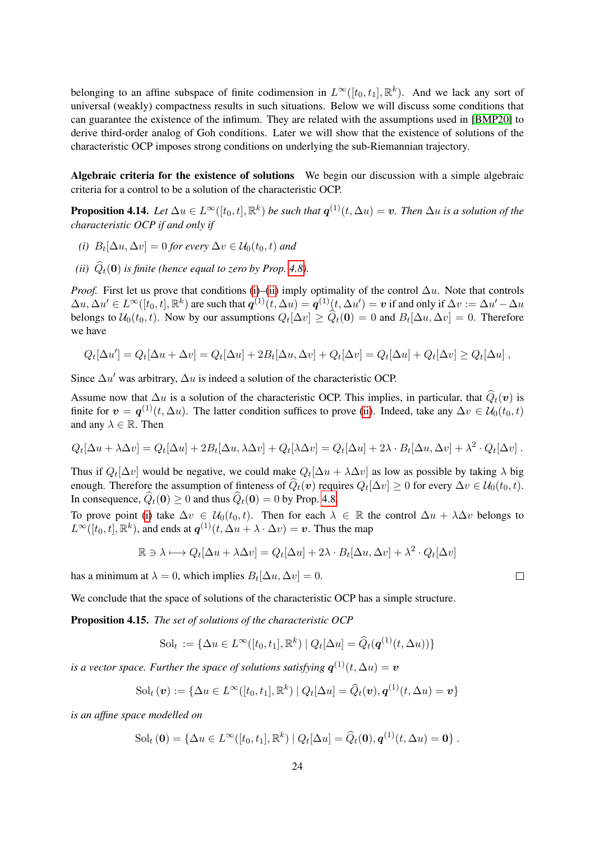belonging to an affine subspace of finite codimension in  $L^{\infty}([t_0, t_1], \mathbb{R}^k)$ . And we lack any sort of universal (weakly) compactness results in such situations. Below we will discuss some conditions that can guarantee the existence of the infimum. They are related with the assumptions used in [\[BMP20\]](#page-30-7) to derive third-order analog of Goh conditions. Later we will show that the existence of solutions of the characteristic OCP imposes strong conditions on underlying the sub-Riemannian trajectory.

Algebraic criteria for the existence of solutions We begin our discussion with a simple algebraic criteria for a control to be a solution of the characteristic OCP.

<span id="page-23-2"></span>**Proposition 4.14.** Let  $\Delta u \in L^{\infty}([t_0, t], \mathbb{R}^k)$  be such that  $q^{(1)}(t, \Delta u) = v$ . Then  $\Delta u$  is a solution of the *characteristic OCP if and only if*

- <span id="page-23-0"></span> $(i)$   $B_t[∆u, ∆v] = 0$  *for every*  $∆v ∈ U_0(t_0, t)$  *and*
- <span id="page-23-1"></span>*(ii)*  $\widehat{Q}_t(\mathbf{0})$  *is finite (hence equal to zero by Prop.* [4.8\)](#page-15-3)*.*

*Proof.* First let us prove that conditions [\(i\)](#page-23-0)–[\(ii\)](#page-23-1) imply optimality of the control  $\Delta u$ . Note that controls  $\Delta u,\Delta u'\in L^\infty([t_0,t],\mathbb{R}^k)$  are such that  $\bm{q}^{(1)}(t,\Delta u)=\bm{q}^{(1)}(t,\Delta u')=\bm{v}$  if and only if  $\Delta v:=\Delta u'-\Delta u$ belongs to  $\mathcal{U}_0(t_0, t)$ . Now by our assumptions  $Q_t[\Delta v] \geq Q_t(\mathbf{0}) = 0$  and  $B_t[\Delta u, \Delta v] = 0$ . Therefore we have

$$
Q_t[\Delta u'] = Q_t[\Delta u + \Delta v] = Q_t[\Delta u] + 2B_t[\Delta u, \Delta v] + Q_t[\Delta v] = Q_t[\Delta u] + Q_t[\Delta v] \ge Q_t[\Delta u],
$$

Since  $\Delta u'$  was arbitrary,  $\Delta u$  is indeed a solution of the characteristic OCP.

Assume now that  $\Delta u$  is a solution of the characteristic OCP. This implies, in particular, that  $\hat{Q}_t(v)$  is finite for  $v = q^{(1)}(t, \Delta u)$ . The latter condition suffices to prove [\(ii\)](#page-23-1). Indeed, take any  $\Delta v \in U_0(t_0, t)$ and any  $\lambda \in \mathbb{R}$ . Then

$$
Q_t[\Delta u + \lambda \Delta v] = Q_t[\Delta u] + 2B_t[\Delta u, \lambda \Delta v] + Q_t[\lambda \Delta v] = Q_t[\Delta u] + 2\lambda \cdot B_t[\Delta u, \Delta v] + \lambda^2 \cdot Q_t[\Delta v].
$$

Thus if  $Q_t[\Delta v]$  would be negative, we could make  $Q_t[\Delta u + \lambda \Delta v]$  as low as possible by taking  $\lambda$  big enough. Therefore the assumption of finteness of  $Q_t(v)$  requires  $Q_t[\Delta v] \ge 0$  for every  $\Delta v \in \mathcal{U}_0(t_0, t)$ . In consequence,  $\widehat{Q}_t(\mathbf{0}) \ge 0$  and thus  $\widehat{Q}_t(\mathbf{0}) = 0$  by Prop. [4.8.](#page-15-3)

To prove point [\(i\)](#page-23-0) take  $\Delta v \in \mathcal{U}_0(t_0,t)$ . Then for each  $\lambda \in \mathbb{R}$  the control  $\Delta u + \lambda \Delta v$  belongs to  $L^{\infty}([t_0,t], \mathbb{R}^k)$ , and ends at  $q^{(1)}(t, \Delta u + \lambda \cdot \Delta v) = v$ . Thus the map

$$
\mathbb{R} \ni \lambda \longmapsto Q_t[\Delta u + \lambda \Delta v] = Q_t[\Delta u] + 2\lambda \cdot B_t[\Delta u, \Delta v] + \lambda^2 \cdot Q_t[\Delta v]
$$

has a minimum at  $\lambda = 0$ , which implies  $B_t[\Delta u, \Delta v] = 0$ .

We conclude that the space of solutions of the characteristic OCP has a simple structure.

Proposition 4.15. *The set of solutions of the characteristic OCP*

$$
\mathrm{Sol}_t := \{ \Delta u \in L^\infty([t_0, t_1], \mathbb{R}^k) \mid Q_t[\Delta u] = \widehat{Q}_t(\mathbf{q}^{(1)}(t, \Delta u)) \}
$$

is a vector space. Further the space of solutions satisfying  $\bm{q}^{(1)}(t,\Delta u) = \bm{v}$ 

$$
\mathrm{Sol}_t(\boldsymbol{v}) := \{ \Delta u \in L^\infty([t_0,t_1],\mathbb{R}^k) \mid Q_t[\Delta u] = \widehat{Q}_t(\boldsymbol{v}), \boldsymbol{q}^{(1)}(t,\Delta u) = \boldsymbol{v} \}
$$

*is an affine space modelled on*

Sol<sub>t</sub> (0) = {
$$
\Delta u \in L^{\infty}([t_0, t_1], \mathbb{R}^k)
$$
 |  $Q_t[\Delta u] = \widehat{Q}_t(0), q^{(1)}(t, \Delta u) = 0$  }.

 $\Box$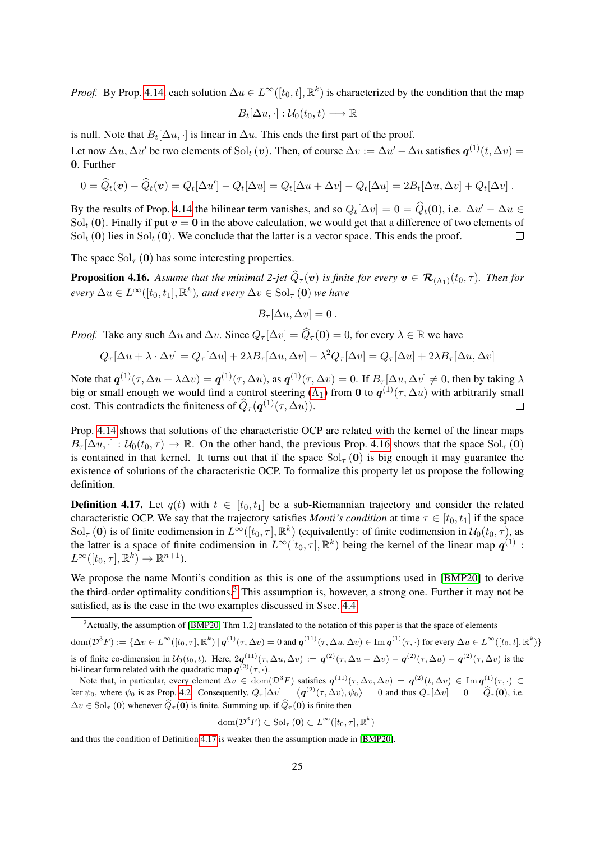*Proof.* By Prop. [4.14,](#page-23-2) each solution  $\Delta u \in L^{\infty}([t_0, t], \mathbb{R}^k)$  is characterized by the condition that the map

$$
B_t[\Delta u, \cdot]: \mathcal{U}_0(t_0, t) \longrightarrow \mathbb{R}
$$

is null. Note that  $B_t[\Delta u, \cdot]$  is linear in  $\Delta u$ . This ends the first part of the proof. Let now  $\Delta u$ ,  $\Delta u'$  be two elements of  ${\rm Sol}_t$  (v). Then, of course  $\Delta v:=\Delta u'-\Delta u$  satisfies  $\bm{q}^{(1)}(t,\Delta v)=$ 0. Further

$$
0 = \widehat{Q}_t(\boldsymbol{v}) - \widehat{Q}_t(\boldsymbol{v}) = Q_t[\Delta u'] - Q_t[\Delta u] = Q_t[\Delta u + \Delta v] - Q_t[\Delta u] = 2B_t[\Delta u, \Delta v] + Q_t[\Delta v].
$$

By the results of Prop. [4.14](#page-23-2) the bilinear term vanishes, and so  $Q_t[\Delta v] = 0 = \hat{Q}_t(\mathbf{0})$ , i.e.  $\Delta u' - \Delta u \in \mathbb{R}$  $Sol<sub>t</sub> (0)$ . Finally if put  $v = 0$  in the above calculation, we would get that a difference of two elements of  $Sol<sub>t</sub> (0)$  lies in  $Sol<sub>t</sub> (0)$ . We conclude that the latter is a vector space. This ends the proof.  $\Box$ 

The space  $Sol<sub>\tau</sub>(0)$  has some interesting properties.

<span id="page-24-0"></span>**Proposition 4.16.** Assume that the minimal 2-jet  $Q_\tau(v)$  is finite for every  $v \in \mathcal{R}_{(\Lambda_1)}(t_0, \tau)$ . Then for  $every \Delta u \in L^{\infty}([t_0,t_1],{\mathbb R}^k)$ , and every  $\Delta v \in {\rm Sol}_\tau\left(\mathbf{0}\right)$  we have

$$
B_{\tau}[\Delta u, \Delta v] = 0.
$$

*Proof.* Take any such  $\Delta u$  and  $\Delta v$ . Since  $Q_{\tau}[\Delta v] = \widehat{Q}_{\tau}(0) = 0$ , for every  $\lambda \in \mathbb{R}$  we have

$$
Q_{\tau}[\Delta u + \lambda \cdot \Delta v] = Q_{\tau}[\Delta u] + 2\lambda B_{\tau}[\Delta u, \Delta v] + \lambda^{2} Q_{\tau}[\Delta v] = Q_{\tau}[\Delta u] + 2\lambda B_{\tau}[\Delta u, \Delta v]
$$

Note that  $\bm{q}^{(1)}(\tau,\Delta u+\lambda\Delta v)=\bm{q}^{(1)}(\tau,\Delta u)$ , as  $\bm{q}^{(1)}(\tau,\Delta v)=0$ . If  $B_{\tau}[\Delta u,\Delta v]\neq 0$ , then by taking  $\lambda$ big or small enough we would find a control steering ( $\Lambda_1$ ) from 0 to  $q^{(1)}(\tau, \Delta u)$  with arbitrarily small cost. This contradicts the finiteness of  $\widehat{Q}_{\tau} (\boldsymbol{q}^{(1)}(\tau, \Delta u)).$  $\Box$ 

Prop. [4.14](#page-23-2) shows that solutions of the characteristic OCP are related with the kernel of the linear maps  $B_{\tau}[\Delta u, \cdot] : \mathcal{U}_0(t_0, \tau) \to \mathbb{R}$ . On the other hand, the previous Prop. [4.16](#page-24-0) shows that the space  $Sol_{\tau}(0)$ is contained in that kernel. It turns out that if the space  $Sol_\tau(0)$  is big enough it may guarantee the existence of solutions of the characteristic OCP. To formalize this property let us propose the following definition.

<span id="page-24-2"></span>**Definition 4.17.** Let  $q(t)$  with  $t \in [t_0, t_1]$  be a sub-Riemannian trajectory and consider the related characteristic OCP. We say that the trajectory satisfies *Monti's condition* at time  $\tau \in [t_0, t_1]$  if the space Sol<sub>τ</sub> (0) is of finite codimension in  $L^{\infty}([t_0, \tau], \mathbb{R}^k)$  (equivalently: of finite codimension in  $\mathcal{U}_0(t_0, \tau)$ , as the latter is a space of finite codimension in  $L^{\infty}([t_0, \tau], \mathbb{R}^k)$  being the kernel of the linear map  $q^{(1)}$ :  $L^{\infty}([t_0, \tau], \mathbb{R}^k) \to \mathbb{R}^{n+1}$ ).

We propose the name Monti's condition as this is one of the assumptions used in [\[BMP20\]](#page-30-7) to derive the third-order optimality conditions.<sup>[3](#page-24-1)</sup> This assumption is, however, a strong one. Further it may not be satisfied, as is the case in the two examples discussed in Ssec. [4.4.](#page-18-1)

<span id="page-24-1"></span> $3$ Actually, the assumption of [\[BMP20,](#page-30-7) Thm 1.2] translated to the notation of this paper is that the space of elements  ${\rm dom}(\mathcal{D}^3 F):=\{\Delta v\in L^\infty([t_0,\tau],\mathbb{R}^k)\,|\, \boldsymbol{q}^{(1)}(\tau,\Delta v)=0\, \text{and}\, \boldsymbol{q}^{(11)}(\tau,\Delta u,\Delta v)\in {\rm Im}\,\boldsymbol{q}^{(1)}(\tau,\cdot) \text{ for every }\Delta u\in L^\infty([t_0,t],\mathbb{R}^k)\}$ is of finite co-dimension in  $\mathcal{U}_0(t_0,t)$ . Here,  $2\boldsymbol{q}^{(11)}(\tau,\Delta u,\Delta v) := \boldsymbol{q}^{(2)}(\tau,\Delta u+\Delta v) - \boldsymbol{q}^{(2)}(\tau,\Delta u) - \boldsymbol{q}^{(2)}(\tau,\Delta v)$  is the bi-linear form related with the quadratic map  $q^{(2)}(\tau, \cdot)$ .

Note that, in particular, every element  $\Delta v \in \text{dom}(\mathcal{D}^3F)$  satisfies  $\boldsymbol{q}^{(11)}(\tau, \Delta v, \Delta v) = \boldsymbol{q}^{(2)}(t, \Delta v) \in \text{Im}\,\boldsymbol{q}^{(1)}(\tau, \cdot) \subset$ ker  $\psi_0$ , where  $\psi_0$  is as Prop. [4.2.](#page-12-1) Consequently,  $Q_\tau[\Delta v] = \langle \mathbf{q}^{(2)}(\tau, \Delta v), \psi_0 \rangle = 0$  and thus  $Q_\tau[\Delta v] = 0 = \widehat{Q}_\tau(\mathbf{0})$ , i.e.  $\Delta v \in Sol_\tau (0)$  whenever  $\widehat{Q}_\tau (0)$  is finite. Summing up, if  $\widehat{Q}_\tau (0)$  is finite then

$$
\text{dom}(\mathcal{D}^3 F) \subset \text{Sol}_{\tau}(\mathbf{0}) \subset L^{\infty}([t_0, \tau], \mathbb{R}^k)
$$

and thus the condition of Definition [4.17](#page-24-2) is weaker then the assumption made in [\[BMP20\]](#page-30-7).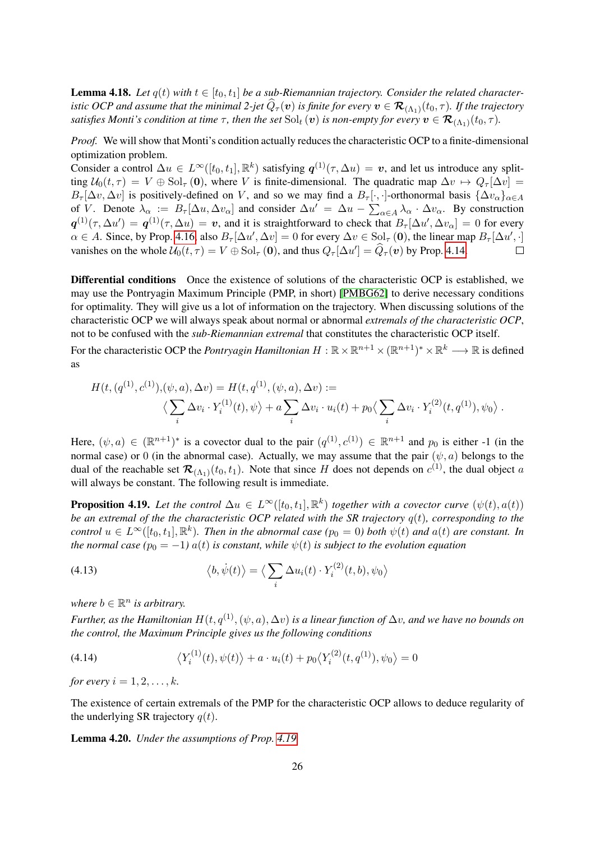<span id="page-25-4"></span>**Lemma 4.18.** Let  $q(t)$  with  $t \in [t_0, t_1]$  be a sub-Riemannian trajectory. Consider the related character*istic OCP and assume that the minimal 2-jet*  $Q_{\tau}(\boldsymbol{v})$  *is finite for every*  $\boldsymbol{v} \in \mathcal{R}_{(\Lambda_1)}(t_0, \tau)$ *. If the trajectory*  $s$ atisfies Monti's condition at time  $\tau$ , then the set  ${\rm Sol}_t$   $(\bm v)$  is non-empty for every  $\bm v\in \bm {\mathcal R}_{(\Lambda_1)}(t_0,\tau).$ 

*Proof.* We will show that Monti's condition actually reduces the characteristic OCP to a finite-dimensional optimization problem.

Consider a control  $\Delta u \in L^{\infty}([t_0, t_1], \mathbb{R}^k)$  satisfying  $q^{(1)}(\tau, \Delta u) = v$ , and let us introduce any splitting  $U_0(t, \tau) = V \oplus Sol_\tau(0)$ , where V is finite-dimensional. The quadratic map  $\Delta v \mapsto Q_\tau[\Delta v] =$  $B_{\tau}[\Delta v, \Delta v]$  is positively-defined on V, and so we may find a  $B_{\tau}[\cdot, \cdot]$ -orthonormal basis  $\{\Delta v_{\alpha}\}_{\alpha \in A}$ of V. Denote  $\lambda_{\alpha} := B_{\tau}[\Delta u, \Delta v_{\alpha}]$  and consider  $\Delta u' = \Delta u - \sum_{\alpha \in A} \lambda_{\alpha} \cdot \Delta v_{\alpha}$ . By construction  $q^{(1)}(\tau, \Delta u') = q^{(1)}(\tau, \Delta u) = v$ , and it is straightforward to check that  $B_{\tau}[\Delta u', \Delta v_{\alpha}] = 0$  for every  $\alpha \in A$ . Since, by Prop. [4.16,](#page-24-0) also  $B_{\tau}[\Delta u', \Delta v] = 0$  for every  $\Delta v \in Sol_{\tau}(0)$ , the linear map  $B_{\tau}[\Delta u', \cdot]$ vanishes on the whole  $U_0(t, \tau) = V \oplus Sol_{\tau} (\mathbf{0})$ , and thus  $Q_{\tau}[\Delta u'] = \widehat{Q}_{\tau}(v)$  by Prop. [4.14.](#page-23-2)  $\Box$ 

Differential conditions Once the existence of solutions of the characteristic OCP is established, we may use the Pontryagin Maximum Principle (PMP, in short) [\[PMBG62\]](#page-31-5) to derive necessary conditions for optimality. They will give us a lot of information on the trajectory. When discussing solutions of the characteristic OCP we will always speak about normal or abnormal *extremals of the characteristic OCP*, not to be confused with the *sub-Riemannian extremal* that constitutes the characteristic OCP itself.

For the characteristic OCP the *Pontryagin Hamiltonian*  $H : \mathbb{R} \times \mathbb{R}^{n+1} \times (\mathbb{R}^{n+1})^* \times \mathbb{R}^k \longrightarrow \mathbb{R}$  is defined as

$$
H(t, (q^{(1)}, c^{(1)}), (\psi, a), \Delta v) = H(t, q^{(1)}, (\psi, a), \Delta v) :=
$$
  

$$
\langle \sum_{i} \Delta v_{i} \cdot Y_{i}^{(1)}(t), \psi \rangle + a \sum_{i} \Delta v_{i} \cdot u_{i}(t) + p_{0} \langle \sum_{i} \Delta v_{i} \cdot Y_{i}^{(2)}(t, q^{(1)}), \psi_{0} \rangle.
$$

Here,  $(\psi, a) \in (\mathbb{R}^{n+1})^*$  is a covector dual to the pair  $(q^{(1)}, c^{(1)}) \in \mathbb{R}^{n+1}$  and  $p_0$  is either -1 (in the normal case) or 0 (in the abnormal case). Actually, we may assume that the pair  $(\psi, a)$  belongs to the dual of the reachable set  $\mathcal{R}_{(\Lambda_1)}(t_0, t_1)$ . Note that since H does not depends on  $c^{(1)}$ , the dual object a will always be constant. The following result is immediate.

<span id="page-25-0"></span>**Proposition 4.19.** Let the control  $\Delta u \in L^{\infty}([t_0, t_1], \mathbb{R}^k)$  together with a covector curve  $(\psi(t), a(t))$ *be an extremal of the the characteristic OCP related with the SR trajectory*  $q(t)$ *, corresponding to the*  $control\ u\in L^{\infty}([t_0,t_1],\mathbb{R}^k)$ . Then in the abnormal case  $(p_0=0)$  both  $\psi(t)$  and  $a(t)$  are constant. In *the normal case (* $p_0 = -1$ *)*  $a(t)$  *is constant, while*  $\psi(t)$  *is subject to the evolution equation* 

<span id="page-25-2"></span>(4.13) 
$$
\langle b, \dot{\psi}(t) \rangle = \langle \sum_{i} \Delta u_i(t) \cdot Y_i^{(2)}(t, b), \psi_0 \rangle
$$

*where*  $b \in \mathbb{R}^n$  *is arbitrary.* 

*Further, as the Hamiltonian*  $H(t, q^{(1)}, (\psi, a), \Delta v)$  *is a linear function of*  $\Delta v$ *, and we have no bounds on the control, the Maximum Principle gives us the following conditions*

<span id="page-25-1"></span>(4.14) 
$$
\langle Y_i^{(1)}(t), \psi(t) \rangle + a \cdot u_i(t) + p_0 \langle Y_i^{(2)}(t, q^{(1)}), \psi_0 \rangle = 0
$$

*for every*  $i = 1, 2, ..., k$ .

The existence of certain extremals of the PMP for the characteristic OCP allows to deduce regularity of the underlying SR trajectory  $q(t)$ .

<span id="page-25-3"></span>Lemma 4.20. *Under the assumptions of Prop. [4.19](#page-25-0)*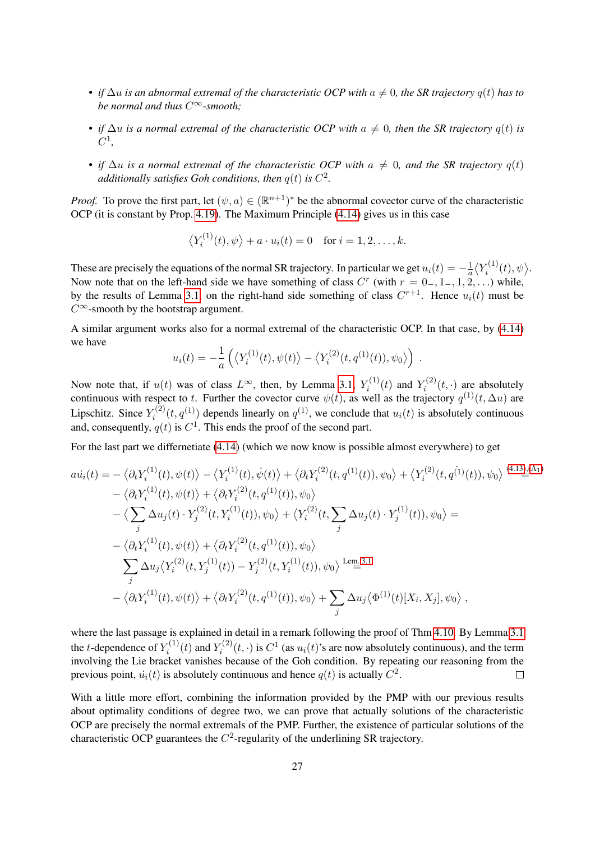- *if*  $\Delta u$  *is an abnormal extremal of the characteristic OCP with*  $a \neq 0$ *, the SR trajectory*  $q(t)$  *has to be normal and thus* C∞*-smooth;*
- *if*  $\Delta u$  *is a normal extremal of the characteristic OCP with*  $a \neq 0$ *, then the SR trajectory*  $q(t)$  *is*  $C^1$ ,
- *if*  $\Delta u$  *is a normal extremal of the characteristic OCP with*  $a \neq 0$ *, and the SR trajectory*  $q(t)$ additionally satisfies Goh conditions, then  $q(t)$  is  $C^2$ .

*Proof.* To prove the first part, let  $(\psi, a) \in (\mathbb{R}^{n+1})^*$  be the abnormal covector curve of the characteristic OCP (it is constant by Prop. [4.19\)](#page-25-0). The Maximum Principle [\(4.14\)](#page-25-1) gives us in this case

$$
\langle Y_i^{(1)}(t), \psi \rangle + a \cdot u_i(t) = 0 \quad \text{for } i = 1, 2, \dots, k.
$$

These are precisely the equations of the normal SR trajectory. In particular we get  $u_i(t) = -\frac{1}{a}$  $\frac{1}{a}\langle Y_i^{(1)}\rangle$  $\langle \tilde{t}^{(1)}(t),\psi\rangle.$ Now note that on the left-hand side we have something of class  $C^r$  (with  $r = 0_-, 1_-, 1, 2, ...)$  while, by the results of Lemma [3.1,](#page-8-2) on the right-hand side something of class  $C^{r+1}$ . Hence  $u_i(t)$  must be  $C^{\infty}$ -smooth by the bootstrap argument.

A similar argument works also for a normal extremal of the characteristic OCP. In that case, by [\(4.14\)](#page-25-1) we have

$$
u_i(t) = -\frac{1}{a} \left( \langle Y_i^{(1)}(t), \psi(t) \rangle - \langle Y_i^{(2)}(t, q^{(1)}(t)), \psi_0 \rangle \right) .
$$

Now note that, if  $u(t)$  was of class  $L^{\infty}$ , then, by Lemma [3.1,](#page-8-2)  $Y_i^{(1)}$  $Y_i^{(1)}(t)$  and  $Y_i^{(2)}$  $\zeta_i^{(2)}(t, \cdot)$  are absolutely continuous with respect to t. Further the covector curve  $\psi(t)$ , as well as the trajectory  $q^{(1)}(t,\Delta u)$  are Lipschitz. Since  $Y_i^{(2)}$  $\mathcal{F}_i^{(2)}(t, q^{(1)})$  depends linearly on  $q^{(1)}$ , we conclude that  $u_i(t)$  is absolutely continuous and, consequently,  $q(t)$  is  $C^1$ . This ends the proof of the second part.

For the last part we differnetiate [\(4.14\)](#page-25-1) (which we now know is possible almost everywhere) to get

$$
a\dot{u}_{i}(t) = -\langle \partial_{t}Y_{i}^{(1)}(t), \psi(t) \rangle - \langle Y_{i}^{(1)}(t), \dot{\psi}(t) \rangle + \langle \partial_{t}Y_{i}^{(2)}(t, q^{(1)}(t)), \psi_{0} \rangle + \langle Y_{i}^{(2)}(t, q^{(1)}(t)), \psi_{0} \rangle \frac{\langle 4.13\rangle \langle \Lambda_{1})}{-\langle \partial_{t}Y_{i}^{(1)}(t), \psi(t) \rangle + \langle \partial_{t}Y_{i}^{(2)}(t, q^{(1)}(t)), \psi_{0} \rangle} - \langle \sum_{j} \Delta u_{j}(t) \cdot Y_{j}^{(2)}(t, Y_{i}^{(1)}(t)), \psi_{0} \rangle + \langle Y_{i}^{(2)}(t, \sum_{j} \Delta u_{j}(t) \cdot Y_{j}^{(1)}(t)), \psi_{0} \rangle =
$$
  

$$
-\langle \partial_{t}Y_{i}^{(1)}(t), \psi(t) \rangle + \langle \partial_{t}Y_{i}^{(2)}(t, q^{(1)}(t)), \psi_{0} \rangle - \sum_{j} \Delta u_{j} \langle Y_{i}^{(2)}(t, Y_{j}^{(1)}(t)) - Y_{j}^{(2)}(t, Y_{i}^{(1)}(t)), \psi_{0} \rangle \stackrel{\text{Lem. 3.1}}{=} - \langle \partial_{t}Y_{i}^{(1)}(t), \psi(t) \rangle + \langle \partial_{t}Y_{i}^{(2)}(t, q^{(1)}(t)), \psi_{0} \rangle + \sum_{j} \Delta u_{j} \langle \Phi^{(1)}(t)[X_{i}, X_{j}], \psi_{0} \rangle,
$$

where the last passage is explained in detail in a remark following the proof of Thm [4.10.](#page-16-0) By Lemma [3.1](#page-8-2) the *t*-dependence of  $Y_i^{(1)}$  $Y_i^{(1)}(t)$  and  $Y_i^{(2)}$  $\chi_i^{(2)}(t, \cdot)$  is  $C^1$  (as  $u_i(t)$ 's are now absolutely continuous), and the term involving the Lie bracket vanishes because of the Goh condition. By repeating our reasoning from the previous point,  $\dot{u}_i(t)$  is absolutely continuous and hence  $q(t)$  is actually  $C^2$ .  $\Box$ 

With a little more effort, combining the information provided by the PMP with our previous results about optimality conditions of degree two, we can prove that actually solutions of the characteristic OCP are precisely the normal extremals of the PMP. Further, the existence of particular solutions of the characteristic OCP guarantees the  $C^2$ -regularity of the underlining SR trajectory.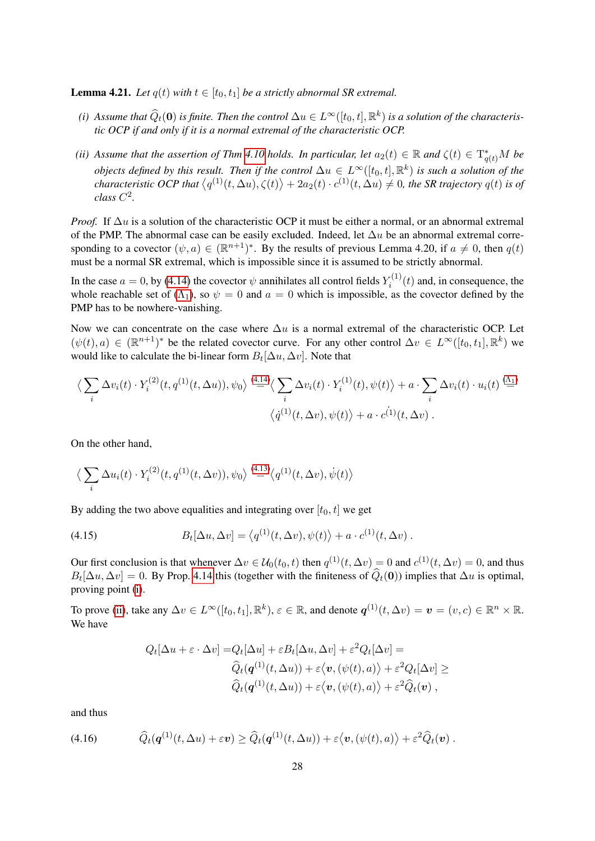<span id="page-27-3"></span>**Lemma 4.21.** *Let*  $q(t)$  *with*  $t \in [t_0, t_1]$  *be a strictly abnormal SR extremal.* 

- <span id="page-27-0"></span>*(i) Assume that*  $\widehat{Q}_t(\mathbf{0})$  *is finite. Then the control*  $\Delta u \in L^\infty([t_0, t], \mathbb{R}^k)$  *is a solution of the characteristic OCP if and only if it is a normal extremal of the characteristic OCP.*
- <span id="page-27-1"></span>*(ii)* Assume that the assertion of Thm [4.10](#page-16-0) holds. In particular, let  $a_2(t) \in \mathbb{R}$  and  $\zeta(t) \in T^*_{q(t)}M$  be *objects defined by this result. Then if the control*  $\Delta u \in L^{\infty}([t_0, t], \mathbb{R}^k)$  *is such a solution of the*  $characteristic~OCP$  that  $\left\langle q^{(1)}(t,\Delta u),\zeta(t)\right\rangle+2a_2(t)\cdot c^{(1)}(t,\Delta u)\neq 0,$  the SR trajectory  $q(t)$  is of  $class C<sup>2</sup>$ .

*Proof.* If  $\Delta u$  is a solution of the characteristic OCP it must be either a normal, or an abnormal extremal of the PMP. The abnormal case can be easily excluded. Indeed, let  $\Delta u$  be an abnormal extremal corresponding to a covector  $(\psi, a) \in (\mathbb{R}^{n+1})^*$ . By the results of previous Lemma 4.20, if  $a \neq 0$ , then  $q(t)$ must be a normal SR extremal, which is impossible since it is assumed to be strictly abnormal.

In the case  $a = 0$ , by [\(4.14\)](#page-25-1) the covector  $\psi$  annihilates all control fields  $Y_i^{(1)}$  $i^{(1)}(t)$  and, in consequence, the whole reachable set of  $(\Lambda_1)$ , so  $\psi = 0$  and  $a = 0$  which is impossible, as the covector defined by the PMP has to be nowhere-vanishing.

Now we can concentrate on the case where  $\Delta u$  is a normal extremal of the characteristic OCP. Let  $(\psi(t), a) \in (\mathbb{R}^{n+1})^*$  be the related covector curve. For any other control  $\Delta v \in L^{\infty}([t_0, t_1], \mathbb{R}^k)$  we would like to calculate the bi-linear form  $B_t[\Delta u, \Delta v]$ . Note that

$$
\langle \sum_{i} \Delta v_i(t) \cdot Y_i^{(2)}(t, q^{(1)}(t, \Delta u)), \psi_0 \rangle \stackrel{(4.14)}{=} \langle \sum_{i} \Delta v_i(t) \cdot Y_i^{(1)}(t), \psi(t) \rangle + a \cdot \sum_{i} \Delta v_i(t) \cdot u_i(t) \stackrel{(\Delta_1)}{=} \langle \dot{q}^{(1)}(t, \Delta v), \psi(t) \rangle + a \cdot c^{(1)}(t, \Delta v) .
$$

On the other hand,

$$
\left\langle \sum_{i} \Delta u_i(t) \cdot Y_i^{(2)}(t, q^{(1)}(t, \Delta v)), \psi_0 \right\rangle \stackrel{(4.13)}{=} \left\langle q^{(1)}(t, \Delta v), \dot{\psi}(t) \right\rangle
$$

By adding the two above equalities and integrating over  $[t_0, t]$  we get

(4.15) 
$$
B_t[\Delta u, \Delta v] = \langle q^{(1)}(t, \Delta v), \psi(t) \rangle + a \cdot c^{(1)}(t, \Delta v).
$$

Our first conclusion is that whenever  $\Delta v \in U_0(t_0, t)$  then  $q^{(1)}(t, \Delta v) = 0$  and  $c^{(1)}(t, \Delta v) = 0$ , and thus  $B_t[\Delta u, \Delta v] = 0$ . By Prop. [4.14](#page-23-2) this (together with the finiteness of  $Q_t(0)$ ) implies that  $\Delta u$  is optimal, proving point [\(i\)](#page-27-0).

To prove [\(ii\)](#page-27-1), take any  $\Delta v \in L^{\infty}([t_0, t_1], \mathbb{R}^k)$ ,  $\varepsilon \in \mathbb{R}$ , and denote  $q^{(1)}(t, \Delta v) = \boldsymbol{v} = (v, c) \in \mathbb{R}^n \times \mathbb{R}$ . We have

$$
Q_t[\Delta u + \varepsilon \cdot \Delta v] = Q_t[\Delta u] + \varepsilon B_t[\Delta u, \Delta v] + \varepsilon^2 Q_t[\Delta v] =
$$
  

$$
\widehat{Q}_t(\boldsymbol{q}^{(1)}(t, \Delta u)) + \varepsilon \langle \boldsymbol{v}, (\psi(t), a) \rangle + \varepsilon^2 Q_t[\Delta v] \ge
$$
  

$$
\widehat{Q}_t(\boldsymbol{q}^{(1)}(t, \Delta u)) + \varepsilon \langle \boldsymbol{v}, (\psi(t), a) \rangle + \varepsilon^2 \widehat{Q}_t(\boldsymbol{v}),
$$

and thus

<span id="page-27-2"></span>(4.16) 
$$
\widehat{Q}_t(\boldsymbol{q}^{(1)}(t,\Delta u)+\varepsilon \boldsymbol{v})\geq \widehat{Q}_t(\boldsymbol{q}^{(1)}(t,\Delta u))+\varepsilon \langle \boldsymbol{v},(\psi(t),a)\rangle+\varepsilon^2 \widehat{Q}_t(\boldsymbol{v}).
$$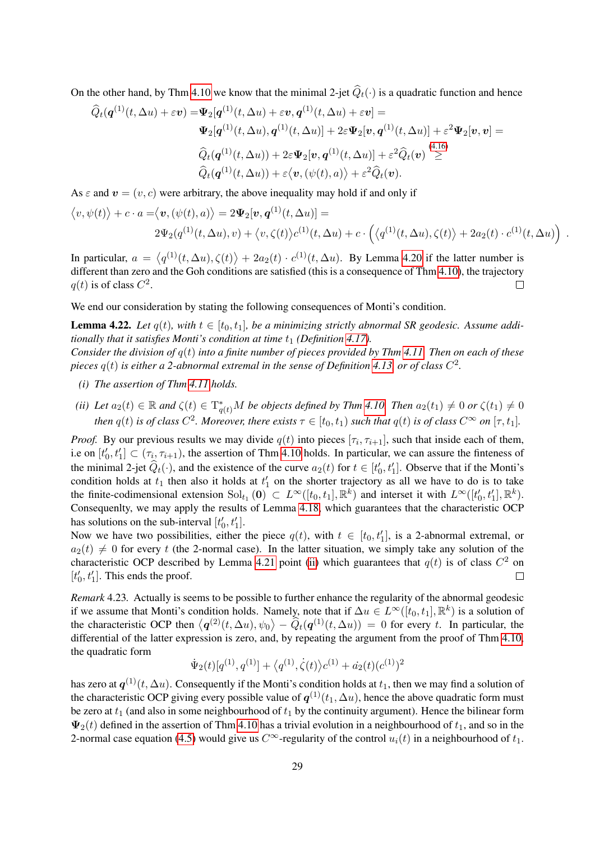On the other hand, by Thm [4.10](#page-16-0) we know that the minimal 2-jet  $\hat{Q}_t(\cdot)$  is a quadratic function and hence

$$
\begin{aligned}\n\widehat{Q}_t(\mathbf{q}^{(1)}(t,\Delta u) + \varepsilon \mathbf{v}) &= \mathbf{\Psi}_2[\mathbf{q}^{(1)}(t,\Delta u) + \varepsilon \mathbf{v}, \mathbf{q}^{(1)}(t,\Delta u) + \varepsilon \mathbf{v}] = \\
& \mathbf{\Psi}_2[\mathbf{q}^{(1)}(t,\Delta u), \mathbf{q}^{(1)}(t,\Delta u)] + 2\varepsilon \mathbf{\Psi}_2[\mathbf{v}, \mathbf{q}^{(1)}(t,\Delta u)] + \varepsilon^2 \mathbf{\Psi}_2[\mathbf{v}, \mathbf{v}] = \\
& \widehat{Q}_t(\mathbf{q}^{(1)}(t,\Delta u)) + 2\varepsilon \mathbf{\Psi}_2[\mathbf{v}, \mathbf{q}^{(1)}(t,\Delta u)] + \varepsilon^2 \widehat{Q}_t(\mathbf{v}) \stackrel{(4.16)}{\geq} \\
& \widehat{Q}_t(\mathbf{q}^{(1)}(t,\Delta u)) + \varepsilon \langle \mathbf{v}, (\psi(t), a) \rangle + \varepsilon^2 \widehat{Q}_t(\mathbf{v}).\n\end{aligned}
$$

As  $\varepsilon$  and  $\mathbf{v} = (v, c)$  were arbitrary, the above inequality may hold if and only if

$$
\langle v, \psi(t) \rangle + c \cdot a = \langle v, (\psi(t), a) \rangle = 2\Psi_2[v, \mathbf{q}^{(1)}(t, \Delta u)] =
$$
  

$$
2\Psi_2(q^{(1)}(t, \Delta u), v) + \langle v, \zeta(t) \rangle c^{(1)}(t, \Delta u) + c \cdot (\langle q^{(1)}(t, \Delta u), \zeta(t) \rangle + 2a_2(t) \cdot c^{(1)}(t, \Delta u)) .
$$

In particular,  $a = \langle q^{(1)}(t, \Delta u), \zeta(t) \rangle + 2a_2(t) \cdot c^{(1)}(t, \Delta u)$ . By Lemma [4.20](#page-25-3) if the latter number is different than zero and the Goh conditions are satisfied (this is a consequence of Thm [4.10\)](#page-16-0), the trajectory  $q(t)$  is of class  $C^2$ .  $\Box$ 

We end our consideration by stating the following consequences of Monti's condition.

<span id="page-28-0"></span>**Lemma 4.22.** Let  $q(t)$ , with  $t \in [t_0, t_1]$ , be a minimizing strictly abnormal SR geodesic. Assume addi*tionally that it satisfies Monti's condition at time*  $t_1$  *(Definition [4.17\)](#page-24-2). Consider the division of* q(t) *into a finite number of pieces provided by Thm [4.11.](#page-18-0) Then on each of these* pieces  $q(t)$  is either a 2-abnormal extremal in the sense of Definition [4.13,](#page-20-0) or of class  $C^2$ .

- *(i) The assertion of Thm [4.11](#page-18-0) holds.*
- *(ii)* Let  $a_2(t) \in \mathbb{R}$  and  $\zeta(t) \in T^*_{q(t)}M$  be objects defined by Thm [4.10.](#page-16-0) Then  $a_2(t_1) \neq 0$  or  $\zeta(t_1) \neq 0$ *then*  $q(t)$  *is of class*  $C^2$ *. Moreover, there exists*  $\tau \in [t_0, t_1)$  *such that*  $q(t)$  *is of class*  $C^{\infty}$  *on*  $[\tau, t_1]$ *.*

*Proof.* By our previous results we may divide  $q(t)$  into pieces  $[\tau_i, \tau_{i+1}]$ , such that inside each of them, i.e on  $[t'_0, t'_1] \subset (\tau_i, \tau_{i+1})$ , the assertion of Thm [4.10](#page-16-0) holds. In particular, we can assure the finteness of the minimal 2-jet  $\hat{Q}_t(\cdot)$ , and the existence of the curve  $a_2(t)$  for  $t \in [t'_0, t'_1]$ . Observe that if the Monti's condition holds at  $t_1$  then also it holds at  $t_1$  on the shorter trajectory as all we have to do is to take the finite-codimensional extension  $Sol_{t_1}(0) \subset L^{\infty}([t_0, t_1], \mathbb{R}^k)$  and interset it with  $L^{\infty}([t'_0, t'_1], \mathbb{R}^k)$ . Consequenlty, we may apply the results of Lemma [4.18,](#page-25-4) which guarantees that the characteristic OCP has solutions on the sub-interval  $[t'_0, t'_1]$ .

Now we have two possibilities, either the piece  $q(t)$ , with  $t \in [t_0, t_1']$ , is a 2-abnormal extremal, or  $a_2(t) \neq 0$  for every t (the 2-normal case). In the latter situation, we simply take any solution of the characteristic OCP described by Lemma [4.21](#page-27-3) point [\(ii\)](#page-27-1) which guarantees that  $q(t)$  is of class  $C^2$  on  $[t'_0, t'_1]$ . This ends the proof.  $\Box$ 

*Remark* 4.23*.* Actually is seems to be possible to further enhance the regularity of the abnormal geodesic if we assume that Monti's condition holds. Namely, note that if  $\Delta u \in L^{\infty}([t_0, t_1], \mathbb{R}^k)$  is a solution of the characteristic OCP then  $\langle \mathbf{q}^{(2)}(t,\Delta u), \psi_0 \rangle - \widehat{Q}_t(\mathbf{q}^{(1)}(t,\Delta u)) = 0$  for every t. In particular, the differential of the latter expression is zero, and, by repeating the argument from the proof of Thm [4.10,](#page-16-0) the quadratic form

$$
\dot{\Psi}_2(t)[q^{(1)},q^{(1)}]+\langle q^{(1)},\dot{\zeta}(t)\rangle c^{(1)}+ \dot{a_2}(t)(c^{(1)})^2
$$

has zero at  $q^{(1)}(t,\Delta u)$ . Consequently if the Monti's condition holds at  $t_1$ , then we may find a solution of the characteristic OCP giving every possible value of  $q^{(1)}(t_1, \Delta u)$ , hence the above quadratic form must be zero at  $t_1$  (and also in some neighbourhood of  $t_1$  by the continuity argument). Hence the bilinear form  $\Psi_2(t)$  defined in the assertion of Thm [4.10](#page-16-0) has a trivial evolution in a neighbourhood of  $t_1$ , and so in the 2-normal case equation [\(4.5\)](#page-17-2) would give us  $C^{\infty}$ -regularity of the control  $u_i(t)$  in a neighbourhood of  $t_1$ .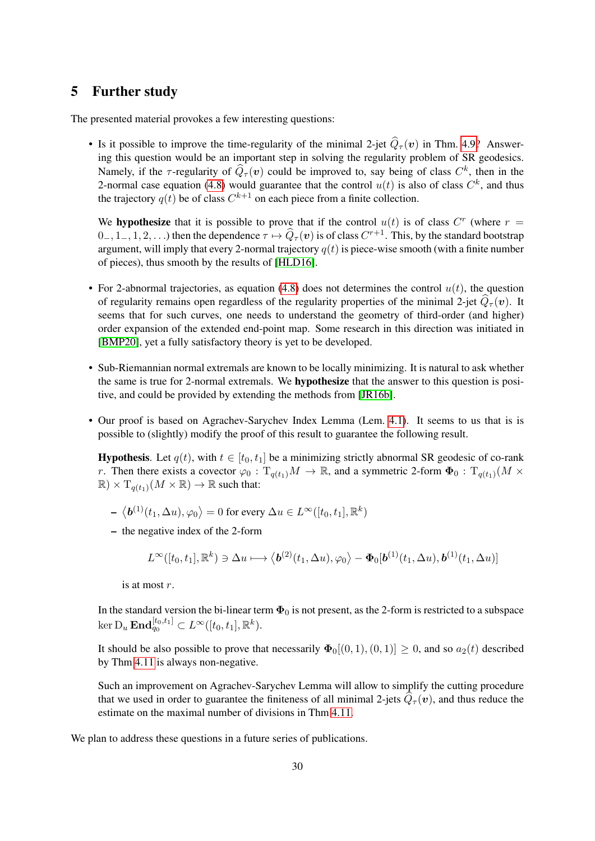# <span id="page-29-0"></span>5 Further study

The presented material provokes a few interesting questions:

• Is it possible to improve the time-regularity of the minimal 2-jet  $\hat{Q}_{\tau}(v)$  in Thm. [4.9?](#page-15-2) Answering this question would be an important step in solving the regularity problem of SR geodesics. Namely, if the  $\tau$ -regularity of  $\hat{Q}_{\tau}(\nu)$  could be improved to, say being of class  $C^k$ , then in the 2-normal case equation [\(4.8\)](#page-19-0) would guarantee that the control  $u(t)$  is also of class  $C<sup>k</sup>$ , and thus the trajectory  $q(t)$  be of class  $C^{k+1}$  on each piece from a finite collection.

We hypothesize that it is possible to prove that if the control  $u(t)$  is of class  $C<sup>r</sup>$  (where  $r =$  $0_-, 1_-, 1, 2, \ldots$ ) then the dependence  $\tau \mapsto \widehat{Q}_{\tau}(v)$  is of class  $C^{r+1}$ . This, by the standard bootstrap argument, will imply that every 2-normal trajectory  $q(t)$  is piece-wise smooth (with a finite number of pieces), thus smooth by the results of [\[HLD16\]](#page-30-4).

- For 2-abnormal trajectories, as equation [\(4.8\)](#page-19-0) does not determines the control  $u(t)$ , the question of regularity remains open regardless of the regularity properties of the minimal 2-jet  $\hat{Q}_{\tau}(\mathbf{v})$ . It seems that for such curves, one needs to understand the geometry of third-order (and higher) order expansion of the extended end-point map. Some research in this direction was initiated in [\[BMP20\]](#page-30-7), yet a fully satisfactory theory is yet to be developed.
- Sub-Riemannian normal extremals are known to be locally minimizing. It is natural to ask whether the same is true for 2-normal extremals. We hypothesize that the answer to this question is positive, and could be provided by extending the methods from [\[JR16b\]](#page-30-15).
- Our proof is based on Agrachev-Sarychev Index Lemma (Lem. [4.1\)](#page-11-1). It seems to us that is is possible to (slightly) modify the proof of this result to guarantee the following result.

**Hypothesis.** Let  $q(t)$ , with  $t \in [t_0, t_1]$  be a minimizing strictly abnormal SR geodesic of co-rank r. Then there exists a covector  $\varphi_0 : T_{q(t_1)}M \to \mathbb{R}$ , and a symmetric 2-form  $\Phi_0 : T_{q(t_1)}(M \times$  $(\mathbb{R}) \times \mathrm{T}_{q(t_1)}(M \times \mathbb{R}) \to \mathbb{R}$  such that:

- $\langle \bm{b}^{(1)}(t_1, \Delta u), \varphi_0 \rangle = 0$  for every  $\Delta u \in L^\infty([t_0,t_1], \mathbb{R}^k)$
- the negative index of the 2-form

$$
L^{\infty}([t_0, t_1], \mathbb{R}^k) \ni \Delta u \longmapsto \langle \boldsymbol{b}^{(2)}(t_1, \Delta u), \varphi_0 \rangle - \boldsymbol{\Phi}_0[\boldsymbol{b}^{(1)}(t_1, \Delta u), \boldsymbol{b}^{(1)}(t_1, \Delta u)]
$$

is at most r.

In the standard version the bi-linear term  $\Phi_0$  is not present, as the 2-form is restricted to a subspace  $\ker \operatorname{D}_u\bm{\mathrm{End}}^{[t_0,t_1]}_{q_0} \subset L^\infty([t_0,t_1],{\mathbb{R}}^k).$ 

It should be also possible to prove that necessarily  $\Phi_0[(0,1),(0,1)] \geq 0$ , and so  $a_2(t)$  described by Thm [4.11](#page-18-0) is always non-negative.

Such an improvement on Agrachev-Sarychev Lemma will allow to simplify the cutting procedure that we used in order to guarantee the finiteness of all minimal 2-jets  $\hat{Q}_{\tau}(v)$ , and thus reduce the estimate on the maximal number of divisions in Thm [4.11.](#page-18-0)

We plan to address these questions in a future series of publications.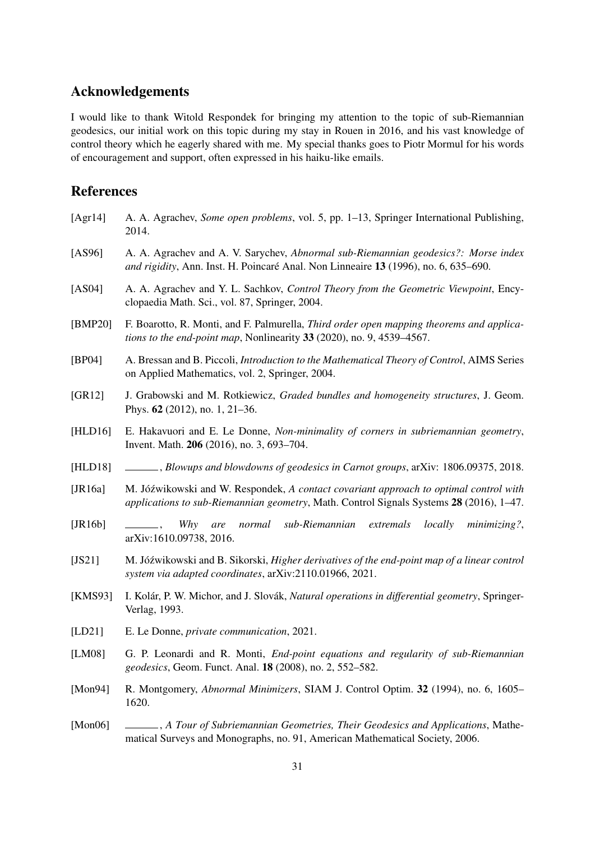# Acknowledgements

I would like to thank Witold Respondek for bringing my attention to the topic of sub-Riemannian geodesics, our initial work on this topic during my stay in Rouen in 2016, and his vast knowledge of control theory which he eagerly shared with me. My special thanks goes to Piotr Mormul for his words of encouragement and support, often expressed in his haiku-like emails.

# References

<span id="page-30-15"></span><span id="page-30-14"></span><span id="page-30-13"></span><span id="page-30-12"></span><span id="page-30-11"></span><span id="page-30-10"></span><span id="page-30-9"></span><span id="page-30-8"></span><span id="page-30-7"></span><span id="page-30-6"></span><span id="page-30-5"></span><span id="page-30-4"></span><span id="page-30-3"></span><span id="page-30-2"></span><span id="page-30-1"></span><span id="page-30-0"></span>

| [Agr14]     | A. A. Agrachev, Some open problems, vol. 5, pp. 1–13, Springer International Publishing,<br>2014.                                                                                |
|-------------|----------------------------------------------------------------------------------------------------------------------------------------------------------------------------------|
| $[AS96]$    | A. A. Agrachev and A. V. Sarychev, Abnormal sub-Riemannian geodesics?: Morse index<br>and rigidity, Ann. Inst. H. Poincaré Anal. Non Linneaire 13 (1996), no. 6, 635–690.        |
| [AS04]      | A. A. Agrachev and Y. L. Sachkov, Control Theory from the Geometric Viewpoint, Ency-<br>clopaedia Math. Sci., vol. 87, Springer, 2004.                                           |
| [BMP20]     | F. Boarotto, R. Monti, and F. Palmurella, Third order open mapping theorems and applica-<br>tions to the end-point map, Nonlinearity $33(2020)$ , no. 9, 4539-4567.              |
| [BP04]      | A. Bressan and B. Piccoli, Introduction to the Mathematical Theory of Control, AIMS Series<br>on Applied Mathematics, vol. 2, Springer, 2004.                                    |
| [GR12]      | J. Grabowski and M. Rotkiewicz, Graded bundles and homogeneity structures, J. Geom.<br>Phys. $62$ (2012), no. 1, 21–36.                                                          |
| [HLD16]     | E. Hakavuori and E. Le Donne, Non-minimality of corners in subriemannian geometry,<br>Invent. Math. 206 (2016), no. 3, 693-704.                                                  |
| [HLD18]     | .Blowups and blowdowns of geodesics in Carnot groups, arXiv: 1806.09375, 2018.                                                                                                   |
| [JR $16a$ ] | M. Jóźwikowski and W. Respondek, A contact covariant approach to optimal control with<br>applications to sub-Riemannian geometry, Math. Control Signals Systems 28 (2016), 1–47. |
| [JR16b]     | sub-Riemannian<br>extremals<br>locally<br>minimizing?,<br>Why<br>normal<br>are<br>arXiv:1610.09738, 2016.                                                                        |
| [JS21]      | M. Jóźwikowski and B. Sikorski, Higher derivatives of the end-point map of a linear control<br>system via adapted coordinates, arXiv:2110.01966, 2021.                           |
| [KMS93]     | I. Kolár, P. W. Michor, and J. Slovák, Natural operations in differential geometry, Springer-<br>Verlag, 1993.                                                                   |
| [LD21]      | E. Le Donne, <i>private communication</i> , 2021.                                                                                                                                |
| [LM08]      | G. P. Leonardi and R. Monti, <i>End-point equations and regularity of sub-Riemannian</i><br><i>geodesics</i> , Geom. Funct. Anal. <b>18</b> (2008), no. 2, 552–582.              |
| [ $Mon94$ ] | R. Montgomery, Abnormal Minimizers, SIAM J. Control Optim. 32 (1994), no. 6, 1605–<br>1620.                                                                                      |
| [Mon06]     | A Tour of Subriemannian Geometries, Their Geodesics and Applications, Mathe-<br>matical Surveys and Monographs, no. 91, American Mathematical Society, 2006.                     |